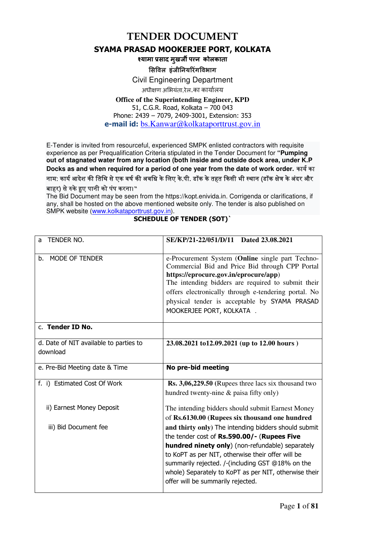**TENDER DOCUMENT** 

#### **SYAMA PRASAD MOOKERJEE PORT, KOLKATA**

**-यामा साद मुखज पन कोलकाता**

**सवल इंजीनयरंगवभाग**

Civil Engineering Department

अधीण अभयंता,रेल.का कायालय

#### **Office of the Superintending Engineer, KPD** 51, C.G.R. Road, Kolkata – 700 043 Phone: 2439 – 7079, 2409-3001, Extension: 353 **e-mail id:** bs.Kanwar@kolkataporttrust.gov.in

E-Tender is invited from resourceful, experienced SMPK enlisted contractors with requisite experience as per Prequalification Criteria stipulated in the Tender Document for **"Pumping out of stagnated water from any location (both inside and outside dock area, under K.P**  Docks as and when required for a period of one year from the date of work order. कार्य का नाम: कार्य आदेश की तिथि से एक वर्ष की अवधि के लिए के.पी. डॉक के तहत किसी भी स्थान (डॉक क्षेत्र के अंदर और बाहर) से रुके हुए पानी को पंप करना।**"** 

The Bid Document may be seen from the https://kopt.enivida.in. Corrigenda or clarifications, if any, shall be hosted on the above mentioned website only. The tender is also published on SMPK website (www.kolkataporttrust.gov.in).

| TENDER NO.<br>a                                    | SE/KP/21-22/051/D/11 Dated 23.08.2021                                                                                                                                                                                                                                                                                                    |
|----------------------------------------------------|------------------------------------------------------------------------------------------------------------------------------------------------------------------------------------------------------------------------------------------------------------------------------------------------------------------------------------------|
| MODE OF TENDER<br>b.                               | e-Procurement System (Online single part Techno-<br>Commercial Bid and Price Bid through CPP Portal<br>https://eprocure.gov.in/eprocure/app)<br>The intending bidders are required to submit their<br>offers electronically through e-tendering portal. No<br>physical tender is acceptable by SYAMA PRASAD<br>MOOKERJEE PORT, KOLKATA . |
| c. Tender ID No.                                   |                                                                                                                                                                                                                                                                                                                                          |
| d. Date of NIT available to parties to<br>download | 23.08.2021 to12.09.2021 (up to 12.00 hours)                                                                                                                                                                                                                                                                                              |
|                                                    |                                                                                                                                                                                                                                                                                                                                          |
| e. Pre-Bid Meeting date & Time                     | No pre-bid meeting                                                                                                                                                                                                                                                                                                                       |
| f. i) Estimated Cost Of Work                       | $\mathbf{Rs.}$ 3,06,229.50 (Rupees three lacs six thousand two<br>hundred twenty-nine & paisa fifty only)                                                                                                                                                                                                                                |
| ii) Earnest Money Deposit                          | The intending bidders should submit Earnest Money<br>of Rs.6130.00 (Rupees six thousand one hundred                                                                                                                                                                                                                                      |

#### **SCHEDULE OF TENDER (SOT)`**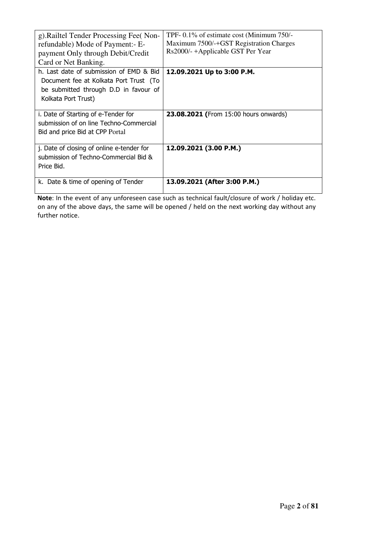| g). Railtel Tender Processing Fee(Non-<br>refundable) Mode of Payment:- E-<br>payment Only through Debit/Credit<br>Card or Net Banking.           | TPF-0.1% of estimate cost (Minimum 750/-<br>Maximum 7500/-+GST Registration Charges<br>Rs2000/-+Applicable GST Per Year |
|---------------------------------------------------------------------------------------------------------------------------------------------------|-------------------------------------------------------------------------------------------------------------------------|
| h. Last date of submission of EMD & Bid<br>Document fee at Kolkata Port Trust (To<br>be submitted through D.D in favour of<br>Kolkata Port Trust) | 12.09.2021 Up to 3:00 P.M.                                                                                              |
| i. Date of Starting of e-Tender for<br>submission of on line Techno-Commercial<br>Bid and price Bid at CPP Portal                                 | 23.08.2021 (From 15:00 hours onwards)                                                                                   |
| j. Date of closing of online e-tender for<br>submission of Techno-Commercial Bid &<br>Price Bid.                                                  | 12.09.2021 (3.00 P.M.)                                                                                                  |
| k. Date & time of opening of Tender                                                                                                               | 13.09.2021 (After 3:00 P.M.)                                                                                            |

 **Note**: In the event of any unforeseen case such as technical fault/closure of work / holiday etc. on any of the above days, the same will be opened / held on the next working day without any further notice.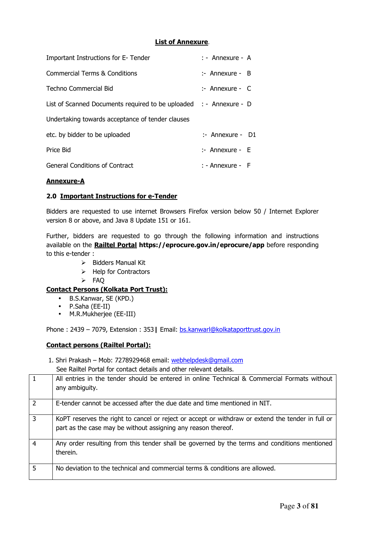#### **List of Annexure**.

| Important Instructions for E- Tender                               | $:$ - Annexure - A |
|--------------------------------------------------------------------|--------------------|
| <b>Commercial Terms &amp; Conditions</b>                           | $:$ Annexure - B   |
| Techno Commercial Bid                                              | $:$ Annexure - C   |
| List of Scanned Documents required to be uploaded : - Annexure - D |                    |
| Undertaking towards acceptance of tender clauses                   |                    |
| etc. by bidder to be uploaded                                      | $:$ Annexure - D1  |
| Price Bid                                                          | $:$ Annexure - E   |
| <b>General Conditions of Contract</b>                              | $:$ - Annexure - F |

#### **Annexure-A**

#### **2.0 Important Instructions for e-Tender**

Bidders are requested to use internet Browsers Firefox version below 50 / Internet Explorer version 8 or above, and Java 8 Update 151 or 161.

Further, bidders are requested to go through the following information and instructions available on the **Railtel Portal https://eprocure.gov.in/eprocure/app** before responding to this e-tender :

- $\triangleright$  Bidders Manual Kit
- $\triangleright$  Help for Contractors
- FAQ

#### **Contact Persons (Kolkata Port Trust):**

- B.S.Kanwar, SE (KPD.)
- P.Saha (EE-II)
- M.R.Mukherjee (EE-III)

Phone : 2439 – 7079, Extension : 353**|** Email: bs.kanwarl@kolkataporttrust.gov.in

#### **Contact persons (Railtel Portal):**

1. Shri Prakash – Mob: 7278929468 email: webhelpdesk@gmail.com

See Railtel Portal for contact details and other relevant details.

|               | All entries in the tender should be entered in online Technical & Commercial Formats without<br>any ambiguity.                                                     |
|---------------|--------------------------------------------------------------------------------------------------------------------------------------------------------------------|
| $\mathcal{P}$ | E-tender cannot be accessed after the due date and time mentioned in NIT.                                                                                          |
| 3             | KoPT reserves the right to cancel or reject or accept or withdraw or extend the tender in full or<br>part as the case may be without assigning any reason thereof. |
| 4             | Any order resulting from this tender shall be governed by the terms and conditions mentioned<br>therein.                                                           |
| 5             | No deviation to the technical and commercial terms & conditions are allowed.                                                                                       |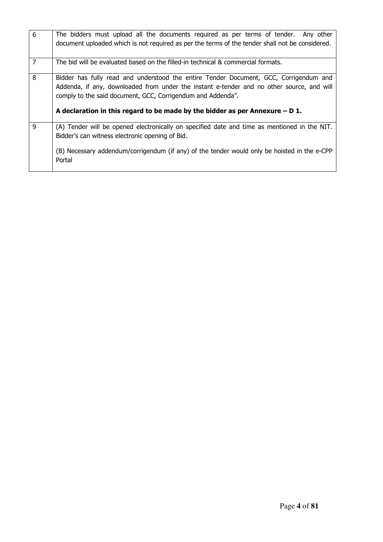| 6              | The bidders must upload all the documents required as per terms of tender. Any other<br>document uploaded which is not required as per the terms of the tender shall not be considered.                                                           |
|----------------|---------------------------------------------------------------------------------------------------------------------------------------------------------------------------------------------------------------------------------------------------|
| $\overline{7}$ | The bid will be evaluated based on the filled-in technical & commercial formats.                                                                                                                                                                  |
| 8              | Bidder has fully read and understood the entire Tender Document, GCC, Corrigendum and<br>Addenda, if any, downloaded from under the instant e-tender and no other source, and will<br>comply to the said document, GCC, Corrigendum and Addenda". |
|                | A declaration in this regard to be made by the bidder as per Annexure $- D 1$ .                                                                                                                                                                   |
| 9              | (A) Tender will be opened electronically on specified date and time as mentioned in the NIT.<br>Bidder's can witness electronic opening of Bid.                                                                                                   |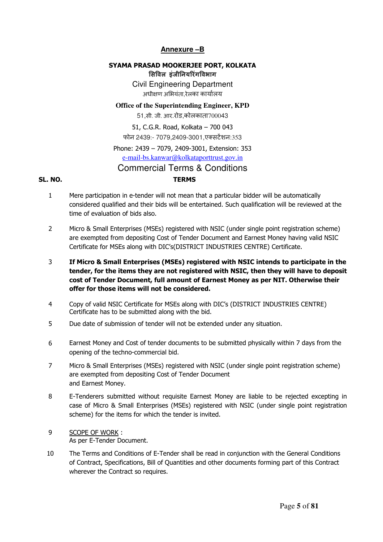#### **Annexure –B**

#### **SYAMA PRASAD MOOKERJEE PORT, KOLKATA**

**सवल इंजीनयरंगवभाग** Civil Engineering Department अधीण अभयंता,रेलका कायालय

#### **Office of the Superintending Engineer, KPD**

51,सी. जी. आर.रोड,कोलकाता700043

51, C.G.R. Road, Kolkata – 700 043 फोन 2439:- 7079,2409-3001,एसटशन:353 Phone: 2439 – 7079, 2409-3001, Extension: 353 e-mail-bs.kanwar@kolkataporttrust.gov.in

### Commercial Terms & Conditions

#### **SL. NO. TERMS**

- 1 Mere participation in e-tender will not mean that a particular bidder will be automatically considered qualified and their bids will be entertained. Such qualification will be reviewed at the time of evaluation of bids also.
- 2 Micro & Small Enterprises (MSEs) registered with NSIC (under single point registration scheme) are exempted from depositing Cost of Tender Document and Earnest Money having valid NSIC Certificate for MSEs along with DIC's(DISTRICT INDUSTRIES CENTRE) Certificate.
- 3 **If Micro & Small Enterprises (MSEs) registered with NSIC intends to participate in the tender, for the items they are not registered with NSIC, then they will have to deposit cost of Tender Document, full amount of Earnest Money as per NIT. Otherwise their offer for those items will not be considered.**
- 4 Copy of valid NSIC Certificate for MSEs along with DIC's (DISTRICT INDUSTRIES CENTRE) Certificate has to be submitted along with the bid.
- 5 Due date of submission of tender will not be extended under any situation.
- 6 Earnest Money and Cost of tender documents to be submitted physically within 7 days from the opening of the techno-commercial bid.
- 7 Micro & Small Enterprises (MSEs) registered with NSIC (under single point registration scheme) are exempted from depositing Cost of Tender Document and Earnest Money.
- 8 E-Tenderers submitted without requisite Earnest Money are liable to be rejected excepting in case of Micro & Small Enterprises (MSEs) registered with NSIC (under single point registration scheme) for the items for which the tender is invited.
- 9 SCOPE OF WORK : As per E-Tender Document.
- 10 The Terms and Conditions of E-Tender shall be read in conjunction with the General Conditions of Contract, Specifications, Bill of Quantities and other documents forming part of this Contract wherever the Contract so requires.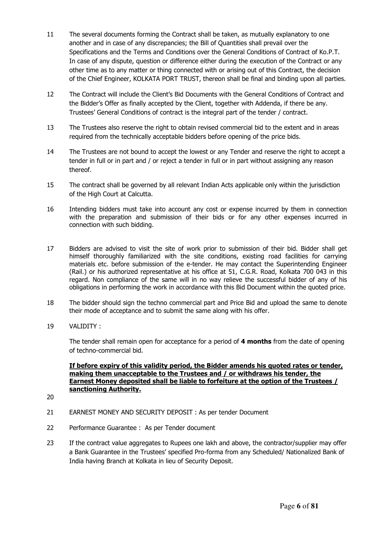- 11 The several documents forming the Contract shall be taken, as mutually explanatory to one another and in case of any discrepancies; the Bill of Quantities shall prevail over the Specifications and the Terms and Conditions over the General Conditions of Contract of Ko.P.T. In case of any dispute, question or difference either during the execution of the Contract or any other time as to any matter or thing connected with or arising out of this Contract, the decision of the Chief Engineer, KOLKATA PORT TRUST, thereon shall be final and binding upon all parties.
- 12 The Contract will include the Client's Bid Documents with the General Conditions of Contract and the Bidder's Offer as finally accepted by the Client, together with Addenda, if there be any. Trustees' General Conditions of contract is the integral part of the tender / contract.
- 13 The Trustees also reserve the right to obtain revised commercial bid to the extent and in areas required from the technically acceptable bidders before opening of the price bids.
- 14 The Trustees are not bound to accept the lowest or any Tender and reserve the right to accept a tender in full or in part and / or reject a tender in full or in part without assigning any reason thereof.
- 15 The contract shall be governed by all relevant Indian Acts applicable only within the jurisdiction of the High Court at Calcutta.
- 16 Intending bidders must take into account any cost or expense incurred by them in connection with the preparation and submission of their bids or for any other expenses incurred in connection with such bidding.
- 17 Bidders are advised to visit the site of work prior to submission of their bid. Bidder shall get himself thoroughly familiarized with the site conditions, existing road facilities for carrying materials etc. before submission of the e-tender. He may contact the Superintending Engineer (Rail.) or his authorized representative at his office at 51, C.G.R. Road, Kolkata 700 043 in this regard. Non compliance of the same will in no way relieve the successful bidder of any of his obligations in performing the work in accordance with this Bid Document within the quoted price.
- 18 The bidder should sign the techno commercial part and Price Bid and upload the same to denote their mode of acceptance and to submit the same along with his offer.
- 19 VALIDITY :

The tender shall remain open for acceptance for a period of **4 months** from the date of opening of techno-commercial bid.

#### **If before expiry of this validity period, the Bidder amends his quoted rates or tender, making them unacceptable to the Trustees and / or withdraws his tender, the Earnest Money deposited shall be liable to forfeiture at the option of the Trustees / sanctioning Authority.**

- 20
- 21 EARNEST MONEY AND SECURITY DEPOSIT : As per tender Document
- 22 Performance Guarantee : As per Tender document
- 23 If the contract value aggregates to Rupees one lakh and above, the contractor/supplier may offer a Bank Guarantee in the Trustees' specified Pro-forma from any Scheduled/ Nationalized Bank of India having Branch at Kolkata in lieu of Security Deposit.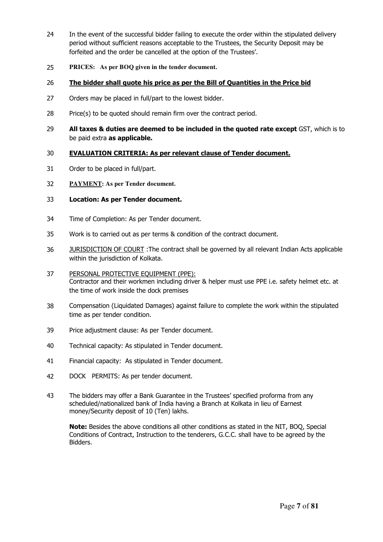- 24 In the event of the successful bidder failing to execute the order within the stipulated delivery period without sufficient reasons acceptable to the Trustees, the Security Deposit may be forfeited and the order be cancelled at the option of the Trustees'.
- 25 **PRICES: As per BOQ given in the tender document.**

#### 26 **The bidder shall quote his price as per the Bill of Quantities in the Price bid**

- 27 Orders may be placed in full/part to the lowest bidder.
- 28 Price(s) to be quoted should remain firm over the contract period.
- 29 **All taxes & duties are deemed to be included in the quoted rate except** GST, which is to be paid extra **as applicable.**

#### 30 **EVALUATION CRITERIA: As per relevant clause of Tender document.**

- 31 Order to be placed in full/part.
- 32 **PAYMENT: As per Tender document.**

#### 33 **Location: As per Tender document.**

- 34 Time of Completion: As per Tender document.
- 35 Work is to carried out as per terms & condition of the contract document.
- 36 JURISDICTION OF COURT : The contract shall be governed by all relevant Indian Acts applicable within the jurisdiction of Kolkata.
- 37 PERSONAL PROTECTIVE EQUIPMENT (PPE): Contractor and their workmen including driver & helper must use PPE i.e. safety helmet etc. at the time of work inside the dock premises
- 38 Compensation (Liquidated Damages) against failure to complete the work within the stipulated time as per tender condition.
- 39 Price adjustment clause: As per Tender document.
- 40 Technical capacity: As stipulated in Tender document.
- 41 Financial capacity: As stipulated in Tender document.
- 42 DOCK PERMITS: As per tender document.
- 43 The bidders may offer a Bank Guarantee in the Trustees' specified proforma from any scheduled/nationalized bank of India having a Branch at Kolkata in lieu of Earnest money/Security deposit of 10 (Ten) lakhs.

**Note:** Besides the above conditions all other conditions as stated in the NIT, BOQ, Special Conditions of Contract, Instruction to the tenderers, G.C.C. shall have to be agreed by the Bidders.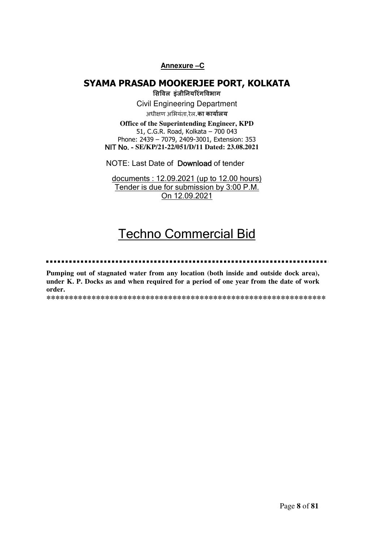#### **Annexure –C**

### **SYAMA PRASAD MOOKERJEE PORT, KOLKATA**

**सवल इंजीनयरंगवभाग** Civil Engineering Department अधीण अभयंता,रेल.**का कायालय**

**Office of the Superintending Engineer, KPD** 51, C.G.R. Road, Kolkata – 700 043 Phone: 2439 – 7079, 2409-3001, Extension: 353 NIT No. - **SE/KP/21-22/051/D/11 Dated: 23.08.2021** 

NOTE: Last Date of Download of tender

documents : 12.09.2021 (up to 12.00 hours) Tender is due for submission by 3:00 P.M. On 12.09.2021

# Techno Commercial Bid

#### ......

**Pumping out of stagnated water from any location (both inside and outside dock area), under K. P. Docks as and when required for a period of one year from the date of work order.** 

**\*\*\*\*\*\*\*\*\*\*\*\*\*\*\*\*\*\*\*\*\*\*\*\*\*\*\*\*\*\*\*\*\*\*\*\*\*\*\*\*\*\*\*\*\*\*\*\*\*\*\*\*\*\*\*\*\*\*\*\*\*\***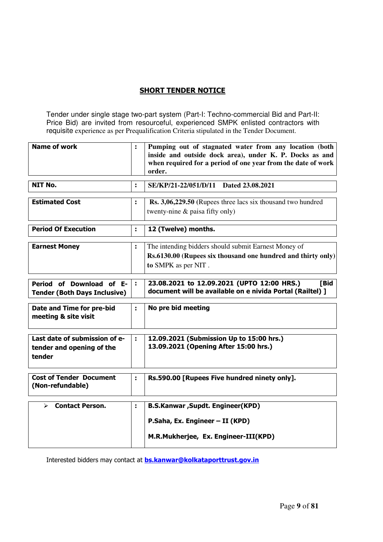#### **SHORT TENDER NOTICE**

Tender under single stage two-part system (Part-I: Techno-commercial Bid and Part-II: Price Bid) are invited from resourceful, experienced SMPK enlisted contractors with requisite experience as per Prequalification Criteria stipulated in the Tender Document.

| <b>Name of work</b>                                                  | ÷  | Pumping out of stagnated water from any location (both<br>inside and outside dock area), under K. P. Docks as and<br>when required for a period of one year from the date of work<br>order. |
|----------------------------------------------------------------------|----|---------------------------------------------------------------------------------------------------------------------------------------------------------------------------------------------|
| <b>NIT No.</b>                                                       | ÷. | SE/KP/21-22/051/D/11 Dated 23.08.2021                                                                                                                                                       |
| <b>Estimated Cost</b>                                                | ÷. | Rs. 3,06,229.50 (Rupees three lacs six thousand two hundred<br>twenty-nine & paisa fifty only)                                                                                              |
| <b>Period Of Execution</b>                                           | ÷  | 12 (Twelve) months.                                                                                                                                                                         |
| <b>Earnest Money</b>                                                 | t, | The intending bidders should submit Earnest Money of<br>Rs.6130.00 (Rupees six thousand one hundred and thirty only)<br>to SMPK as per NIT.                                                 |
| Period of Download of E-<br><b>Tender (Both Days Inclusive)</b>      | ÷  | 23.08.2021 to 12.09.2021 (UPTO 12:00 HRS.)<br>[Bid<br>document will be available on e nivida Portal (Railtel) ]                                                                             |
| Date and Time for pre-bid<br>meeting & site visit                    | t, | No pre bid meeting                                                                                                                                                                          |
| Last date of submission of e-<br>tender and opening of the<br>tender | ÷  | 12.09.2021 (Submission Up to 15:00 hrs.)<br>13.09.2021 (Opening After 15:00 hrs.)                                                                                                           |
| <b>Cost of Tender Document</b><br>(Non-refundable)                   | ÷  | Rs.590.00 [Rupees Five hundred ninety only].                                                                                                                                                |
| <b>Contact Person.</b><br>➤                                          | t  | <b>B.S.Kanwar, Supdt. Engineer(KPD)</b>                                                                                                                                                     |
|                                                                      |    | P.Saha, Ex. Engineer - II (KPD)<br>M.R.Mukherjee, Ex. Engineer-III(KPD)                                                                                                                     |

Interested bidders may contact at **bs.kanwar@kolkataporttrust.gov.in**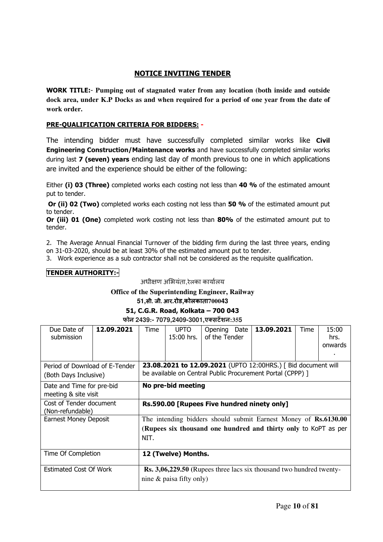#### **NOTICE INVITING TENDER**

**WORK TITLE:**- **Pumping out of stagnated water from any location (both inside and outside dock area, under K.P Docks as and when required for a period of one year from the date of work order.**

#### **PRE-QUALIFICATION CRITERIA FOR BIDDERS: -**

The intending bidder must have successfully completed similar works like **Civil Engineering Construction/Maintenance works** and have successfully completed similar works during last **7 (seven) years** ending last day of month previous to one in which applications are invited and the experience should be either of the following:

Either **(i) 03 (Three)** completed works each costing not less than **40 %** of the estimated amount put to tender.

 **Or (ii) 02 (Two)** completed works each costing not less than **50 %** of the estimated amount put to tender.

**Or (iii) 01 (One)** completed work costing not less than **80%** of the estimated amount put to tender.

2. The Average Annual Financial Turnover of the bidding firm during the last three years, ending on 31-03-2020, should be at least 30% of the estimated amount put to tender.

3. Work experience as a sub contractor shall not be considered as the requisite qualification.

#### **TENDER AUTHORITY:-**

अधीण अभयंता,रेलका कायालय

#### **Office of the Superintending Engineer, Railway**

**51,सी. जी. आर.रोड,कोलकाता700043**

#### **51, C.G.R. Road, Kolkata – 700 043**

**फोन 2439:- 7079,2409-3001,ए\$सट&शन:355** 

| Due Date of<br>submission                               | 12.09.2021 | Time                                                                                                                                       | <b>UPTO</b><br>$15:00$ hrs. | Opening<br>of the Tender | Date | 13.09.2021                                                                                                                  | Time | 15:00<br>hrs.<br>onwards |
|---------------------------------------------------------|------------|--------------------------------------------------------------------------------------------------------------------------------------------|-----------------------------|--------------------------|------|-----------------------------------------------------------------------------------------------------------------------------|------|--------------------------|
| Period of Download of E-Tender<br>(Both Days Inclusive) |            |                                                                                                                                            |                             |                          |      | 23.08.2021 to 12.09.2021 (UPTO 12:00HRS.) [ Bid document will<br>be available on Central Public Procurement Portal (CPPP) ] |      |                          |
| Date and Time for pre-bid<br>meeting & site visit       |            | No pre-bid meeting                                                                                                                         |                             |                          |      |                                                                                                                             |      |                          |
| Cost of Tender document<br>(Non-refundable)             |            | Rs.590.00 [Rupees Five hundred ninety only]                                                                                                |                             |                          |      |                                                                                                                             |      |                          |
| <b>Earnest Money Deposit</b>                            |            | The intending bidders should submit Earnest Money of Rs.6130.00<br>(Rupees six thousand one hundred and thirty only to KoPT as per<br>NIT. |                             |                          |      |                                                                                                                             |      |                          |
| Time Of Completion                                      |            |                                                                                                                                            | 12 (Twelve) Months.         |                          |      |                                                                                                                             |      |                          |
| <b>Estimated Cost Of Work</b>                           |            |                                                                                                                                            | nine $\&$ paisa fifty only) |                          |      | <b>Rs. 3,06,229.50</b> (Rupees three lacs six thousand two hundred twenty-                                                  |      |                          |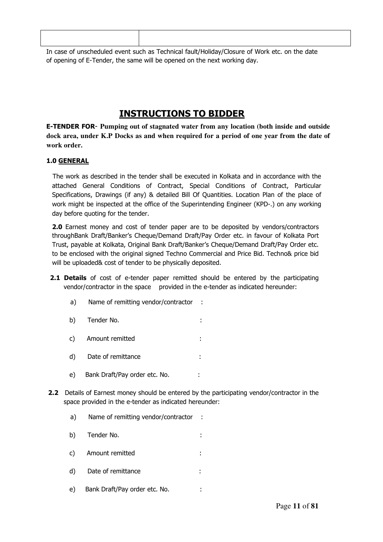| In case of unscheduled event such as Technical fault/Holiday/Closure of Work etc. on the date |
|-----------------------------------------------------------------------------------------------|

In case of unscheduled event such as Technical fault/Holiday/Closure of Work etc. on the date of opening of E-Tender, the same will be opened on the next working day.

### **INSTRUCTIONS TO BIDDER**

**E-TENDER FOR**- **Pumping out of stagnated water from any location (both inside and outside dock area, under K.P Docks as and when required for a period of one year from the date of work order.**

#### **1.0 GENERAL**

 The work as described in the tender shall be executed in Kolkata and in accordance with the attached General Conditions of Contract, Special Conditions of Contract, Particular Specifications, Drawings (if any) & detailed Bill Of Quantities. Location Plan of the place of work might be inspected at the office of the Superintending Engineer (KPD-.) on any working day before quoting for the tender.

**2.0** Earnest money and cost of tender paper are to be deposited by vendors/contractors throughBank Draft/Banker's Cheque/Demand Draft/Pay Order etc. in favour of Kolkata Port Trust, payable at Kolkata, Original Bank Draft/Banker's Cheque/Demand Draft/Pay Order etc. to be enclosed with the original signed Techno Commercial and Price Bid. Techno& price bid will be uploaded& cost of tender to be physically deposited.

- **2.1 Details** of cost of e-tender paper remitted should be entered by the participating vendor/contractor in the space provided in the e-tender as indicated hereunder:
	- a) Name of remitting vendor/contractor :
	- b) Tender No. :
	- c) Amount remitted :
	- d) Date of remittance :
	- e) Bank Draft/Pay order etc. No. :
- **2.2** Details of Earnest money should be entered by the participating vendor/contractor in the space provided in the e-tender as indicated hereunder:
	- a) Name of remitting vendor/contractor :
	- b) Tender No.  $\qquad \qquad$ :
	- c) Amount remitted :
	- d) Date of remittance :
	- e) Bank Draft/Pay order etc. No.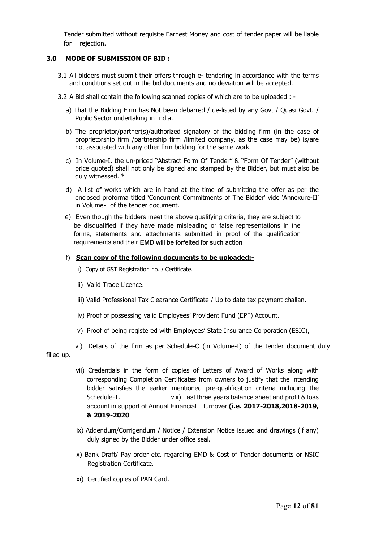Tender submitted without requisite Earnest Money and cost of tender paper will be liable for rejection.

#### **3.0 MODE OF SUBMISSION OF BID :**

- 3.1 All bidders must submit their offers through e- tendering in accordance with the terms and conditions set out in the bid documents and no deviation will be accepted.
- 3.2 A Bid shall contain the following scanned copies of which are to be uploaded :
	- a) That the Bidding Firm has Not been debarred / de-listed by any Govt / Quasi Govt. / Public Sector undertaking in India.
	- b) The proprietor/partner(s)/authorized signatory of the bidding firm (in the case of proprietorship firm /partnership firm /limited company, as the case may be) is/are not associated with any other firm bidding for the same work.
	- c) In Volume-I, the un-priced "Abstract Form Of Tender" & "Form Of Tender" (without price quoted) shall not only be signed and stamped by the Bidder, but must also be duly witnessed. \*
	- d) A list of works which are in hand at the time of submitting the offer as per the enclosed proforma titled 'Concurrent Commitments of The Bidder' vide 'Annexure-II' in Volume-I of the tender document.
	- e) Even though the bidders meet the above qualifying criteria, they are subject to be disqualified if they have made misleading or false representations in the forms, statements and attachments submitted in proof of the qualification requirements and their EMD will be forfeited for such action.

#### f) **Scan copy of the following documents to be uploaded:-**

- i) Copy of GST Registration no. / Certificate.
- ii) Valid Trade Licence.
- iii) Valid Professional Tax Clearance Certificate / Up to date tax payment challan.
- iv) Proof of possessing valid Employees' Provident Fund (EPF) Account.
- v) Proof of being registered with Employees' State Insurance Corporation (ESIC),

 vi) Details of the firm as per Schedule-O (in Volume-I) of the tender document duly filled up.

- vii) Credentials in the form of copies of Letters of Award of Works along with corresponding Completion Certificates from owners to justify that the intending bidder satisfies the earlier mentioned pre-qualification criteria including the Schedule-T. viii) Last three years balance sheet and profit & loss account in support of Annual Financial turnover **(i.e. 2017-2018,2018-2019, & 2019-2020**
- ix) Addendum/Corrigendum / Notice / Extension Notice issued and drawings (if any) duly signed by the Bidder under office seal.
- x) Bank Draft/ Pay order etc. regarding EMD & Cost of Tender documents or NSIC Registration Certificate.
- xi) Certified copies of PAN Card.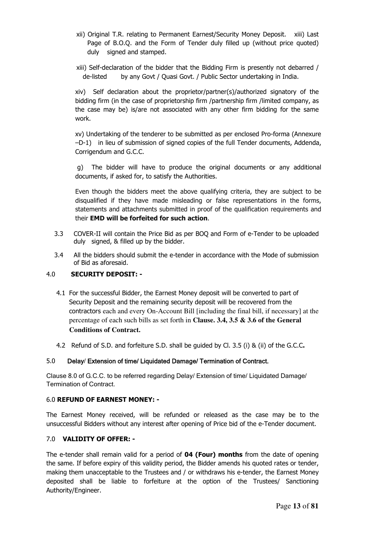- xii) Original T.R. relating to Permanent Earnest/Security Money Deposit. xiii) Last Page of B.O.Q. and the Form of Tender duly filled up (without price quoted) duly signed and stamped.
- xiii) Self-declaration of the bidder that the Bidding Firm is presently not debarred / de-listed by any Govt / Quasi Govt. / Public Sector undertaking in India.

xiv) Self declaration about the proprietor/partner(s)/authorized signatory of the bidding firm (in the case of proprietorship firm /partnership firm /limited company, as the case may be) is/are not associated with any other firm bidding for the same work.

xv) Undertaking of the tenderer to be submitted as per enclosed Pro-forma (Annexure –D-1) in lieu of submission of signed copies of the full Tender documents, Addenda, Corrigendum and G.C.C.

 g) The bidder will have to produce the original documents or any additional documents, if asked for, to satisfy the Authorities.

Even though the bidders meet the above qualifying criteria, they are subject to be disqualified if they have made misleading or false representations in the forms, statements and attachments submitted in proof of the qualification requirements and their **EMD will be forfeited for such action**.

- 3.3 COVER-II will contain the Price Bid as per BOQ and Form of e-Tender to be uploaded duly signed, & filled up by the bidder.
- 3.4 All the bidders should submit the e-tender in accordance with the Mode of submission of Bid as aforesaid.

#### 4.0 **SECURITY DEPOSIT: -**

- 4.1 For the successful Bidder, the Earnest Money deposit will be converted to part of Security Deposit and the remaining security deposit will be recovered from the contractors each and every On-Account Bill [including the final bill, if necessary] at the percentage of each such bills as set forth in **Clause. 3.4, 3.5 & 3.6 of the General Conditions of Contract.**
- 4.2 Refund of S.D. and forfeiture S.D. shall be guided by Cl. 3.5 (i) & (ii) of the G.C.C**.**

#### 5.0 Delay/ Extension of time/ Liquidated Damage/ Termination of Contract.

Clause 8.0 of G.C.C. to be referred regarding Delay/ Extension of time/ Liquidated Damage/ Termination of Contract.

#### 6.0 **REFUND OF EARNEST MONEY: -**

The Earnest Money received, will be refunded or released as the case may be to the unsuccessful Bidders without any interest after opening of Price bid of the e-Tender document.

#### 7.0 **VALIDITY OF OFFER: -**

The e-tender shall remain valid for a period of **04 (Four) months** from the date of opening the same. If before expiry of this validity period, the Bidder amends his quoted rates or tender, making them unacceptable to the Trustees and / or withdraws his e-tender, the Earnest Money deposited shall be liable to forfeiture at the option of the Trustees/ Sanctioning Authority/Engineer.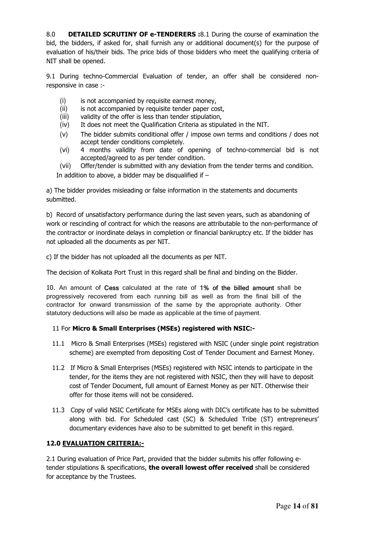8.0 **DETAILED SCRUTINY OF e-TENDERERS :**8.1 During the course of examination the bid, the bidders, if asked for, shall furnish any or additional document(s) for the purpose of evaluation of his/their bids. The price bids of those bidders who meet the qualifying criteria of NIT shall be opened.

9.1 During techno-Commercial Evaluation of tender, an offer shall be considered nonresponsive in case :-

- (i) is not accompanied by requisite earnest money,
- (ii) is not accompanied by requisite tender paper cost,
- (iii) validity of the offer is less than tender stipulation,
- (iv) It does not meet the Qualification Criteria as stipulated in the NIT.
- (v) The bidder submits conditional offer / impose own terms and conditions / does not accept tender conditions completely.
- (vi) 4 months validity from date of opening of techno-commercial bid is not accepted/agreed to as per tender condition.
- (vii) Offer/tender is submitted with any deviation from the tender terms and condition. In addition to above, a bidder may be disqualified if  $-$

a) The bidder provides misleading or false information in the statements and documents submitted.

b) Record of unsatisfactory performance during the last seven years, such as abandoning of work or rescinding of contract for which the reasons are attributable to the non-performance of the contractor or inordinate delays in completion or financial bankruptcy etc. If the bidder has not uploaded all the documents as per NIT.

c) If the bidder has not uploaded all the documents as per NIT.

The decision of Kolkata Port Trust in this regard shall be final and binding on the Bidder.

10. An amount of Cess calculated at the rate of 1% of the billed amount shall be progressively recovered from each running bill as well as from the final bill of the contractor for onward transmission of the same by the appropriate authority. Other statutory deductions will also be made as applicable at the time of payment.

#### 11 For **Micro & Small Enterprises (MSEs) registered with NSIC:-**

- 11.1 Micro & Small Enterprises (MSEs) registered with NSIC (under single point registration scheme) are exempted from depositing Cost of Tender Document and Earnest Money.
- 11.2 If Micro & Small Enterprises (MSEs) registered with NSIC intends to participate in the tender, for the items they are not registered with NSIC, then they will have to deposit cost of Tender Document, full amount of Earnest Money as per NIT. Otherwise their offer for those items will not be considered.
- 11.3 Copy of valid NSIC Certificate for MSEs along with DIC's certificate has to be submitted along with bid. For Scheduled cast (SC) & Scheduled Tribe (ST) entrepreneurs' documentary evidences have also to be submitted to get benefit in this regard.

#### **12.0 EVALUATION CRITERIA:-**

2.1 During evaluation of Price Part, provided that the bidder submits his offer following etender stipulations & specifications, **the overall lowest offer received** shall be considered for acceptance by the Trustees.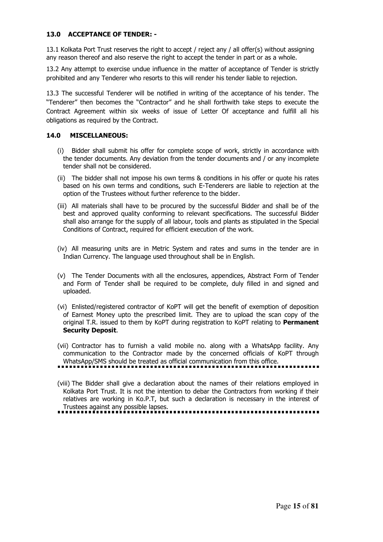#### **13.0 ACCEPTANCE OF TENDER: -**

13.1 Kolkata Port Trust reserves the right to accept / reject any / all offer(s) without assigning any reason thereof and also reserve the right to accept the tender in part or as a whole.

13.2 Any attempt to exercise undue influence in the matter of acceptance of Tender is strictly prohibited and any Tenderer who resorts to this will render his tender liable to rejection.

13.3 The successful Tenderer will be notified in writing of the acceptance of his tender. The "Tenderer" then becomes the "Contractor" and he shall forthwith take steps to execute the Contract Agreement within six weeks of issue of Letter Of acceptance and fulfill all his obligations as required by the Contract.

#### **14.0 MISCELLANEOUS:**

- (i) Bidder shall submit his offer for complete scope of work, strictly in accordance with the tender documents. Any deviation from the tender documents and / or any incomplete tender shall not be considered.
- (ii) The bidder shall not impose his own terms & conditions in his offer or quote his rates based on his own terms and conditions, such E-Tenderers are liable to rejection at the option of the Trustees without further reference to the bidder.
- (iii) All materials shall have to be procured by the successful Bidder and shall be of the best and approved quality conforming to relevant specifications. The successful Bidder shall also arrange for the supply of all labour, tools and plants as stipulated in the Special Conditions of Contract, required for efficient execution of the work.
- (iv) All measuring units are in Metric System and rates and sums in the tender are in Indian Currency. The language used throughout shall be in English.
- (v) The Tender Documents with all the enclosures, appendices, Abstract Form of Tender and Form of Tender shall be required to be complete, duly filled in and signed and uploaded.
- (vi) Enlisted/registered contractor of KoPT will get the benefit of exemption of deposition of Earnest Money upto the prescribed limit. They are to upload the scan copy of the original T.R. issued to them by KoPT during registration to KoPT relating to **Permanent Security Deposit**.
- (vii) Contractor has to furnish a valid mobile no. along with a WhatsApp facility. Any communication to the Contractor made by the concerned officials of KoPT through WhatsApp/SMS should be treated as official communication from this office.
- (viii) The Bidder shall give a declaration about the names of their relations employed in Kolkata Port Trust. It is not the intention to debar the Contractors from working if their relatives are working in Ko.P.T, but such a declaration is necessary in the interest of Trustees against any possible lapses.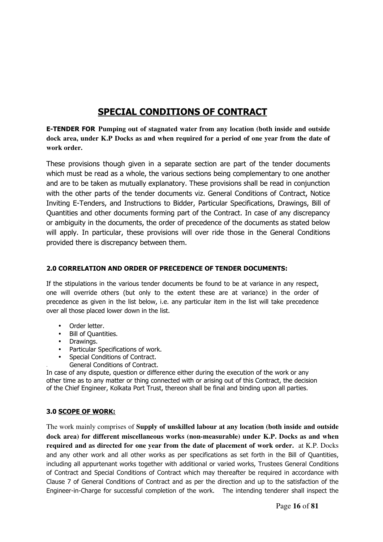### **SPECIAL CONDITIONS OF CONTRACT**

**E-TENDER FOR Pumping out of stagnated water from any location (both inside and outside dock area, under K.P Docks as and when required for a period of one year from the date of work order.** 

These provisions though given in a separate section are part of the tender documents which must be read as a whole, the various sections being complementary to one another and are to be taken as mutually explanatory. These provisions shall be read in conjunction with the other parts of the tender documents viz. General Conditions of Contract, Notice Inviting E-Tenders, and Instructions to Bidder, Particular Specifications, Drawings, Bill of Quantities and other documents forming part of the Contract. In case of any discrepancy or ambiguity in the documents, the order of precedence of the documents as stated below will apply. In particular, these provisions will over ride those in the General Conditions provided there is discrepancy between them.

#### **2.0 CORRELATION AND ORDER OF PRECEDENCE OF TENDER DOCUMENTS:**

If the stipulations in the various tender documents be found to be at variance in any respect, one will override others (but only to the extent these are at variance) in the order of precedence as given in the list below, i.e. any particular item in the list will take precedence over all those placed lower down in the list.

- Order letter.
- Bill of Quantities.
- Drawings.
- Particular Specifications of work.
- Special Conditions of Contract.
- General Conditions of Contract.

In case of any dispute, question or difference either during the execution of the work or any other time as to any matter or thing connected with or arising out of this Contract, the decision of the Chief Engineer, Kolkata Port Trust, thereon shall be final and binding upon all parties.

#### **3.0 SCOPE OF WORK:**

The work mainly comprises of **Supply of unskilled labour at any location (both inside and outside dock area) for different miscellaneous works (non-measurable) under K.P. Docks as and when required and as directed for one year from the date of placement of work order.** at K.P. Docks and any other work and all other works as per specifications as set forth in the Bill of Quantities, including all appurtenant works together with additional or varied works, Trustees General Conditions of Contract and Special Conditions of Contract which may thereafter be required in accordance with Clause 7 of General Conditions of Contract and as per the direction and up to the satisfaction of the Engineer-in-Charge for successful completion of the work. The intending tenderer shall inspect the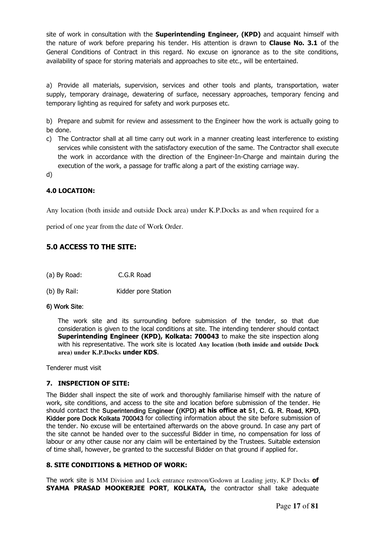site of work in consultation with the **Superintending Engineer, (KPD)** and acquaint himself with the nature of work before preparing his tender. His attention is drawn to **Clause No. 3.1** of the General Conditions of Contract in this regard. No excuse on ignorance as to the site conditions, availability of space for storing materials and approaches to site etc., will be entertained.

a) Provide all materials, supervision, services and other tools and plants, transportation, water supply, temporary drainage, dewatering of surface, necessary approaches, temporary fencing and temporary lighting as required for safety and work purposes etc.

b) Prepare and submit for review and assessment to the Engineer how the work is actually going to be done.

c) The Contractor shall at all time carry out work in a manner creating least interference to existing services while consistent with the satisfactory execution of the same. The Contractor shall execute the work in accordance with the direction of the Engineer-In-Charge and maintain during the execution of the work, a passage for traffic along a part of the existing carriage way.

d)

#### **4.0 LOCATION:**

Any location (both inside and outside Dock area) under K.P.Docks as and when required for a

period of one year from the date of Work Order.

#### **5.0 ACCESS TO THE SITE:**

- (a) By Road: C.G.R Road
- (b) By Rail: Kidder pore Station

#### 6) Work Site:

The work site and its surrounding before submission of the tender, so that due consideration is given to the local conditions at site. The intending tenderer should contact **Superintending Engineer (KPD), Kolkata: 700043** to make the site inspection along with his representative. The work site is located **Any location (both inside and outside Dock area) under K.P.Docks under KDS**.

Tenderer must visit

#### **7. INSPECTION OF SITE:**

The Bidder shall inspect the site of work and thoroughly familiarise himself with the nature of work, site conditions, and access to the site and location before submission of the tender. He should contact the Superintending Engineer **(**(KPD) **at his office at** 51, C. G. R. Road, KPD, Kidder pore Dock Kolkata 700043 for collecting information about the site before submission of the tender. No excuse will be entertained afterwards on the above ground. In case any part of the site cannot be handed over to the successful Bidder in time, no compensation for loss of labour or any other cause nor any claim will be entertained by the Trustees. Suitable extension of time shall, however, be granted to the successful Bidder on that ground if applied for.

#### **8. SITE CONDITIONS & METHOD OF WORK:**

The work site is MM Division and Lock entrance restroon/Godown at Leading jetty, K.P Docks **of SYAMA PRASAD MOOKERJEE PORT**, **KOLKATA,** the contractor shall take adequate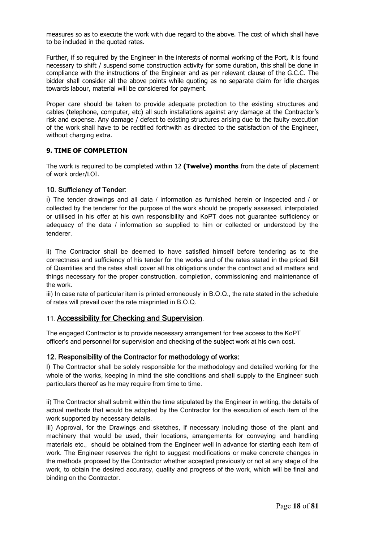measures so as to execute the work with due regard to the above. The cost of which shall have to be included in the quoted rates.

Further, if so required by the Engineer in the interests of normal working of the Port, it is found necessary to shift / suspend some construction activity for some duration, this shall be done in compliance with the instructions of the Engineer and as per relevant clause of the G.C.C. The bidder shall consider all the above points while quoting as no separate claim for idle charges towards labour, material will be considered for payment.

Proper care should be taken to provide adequate protection to the existing structures and cables (telephone, computer, etc) all such installations against any damage at the Contractor's risk and expense. Any damage / defect to existing structures arising due to the faulty execution of the work shall have to be rectified forthwith as directed to the satisfaction of the Engineer, without charging extra.

#### **9. TIME OF COMPLETION**

The work is required to be completed within 12 **(Twelve) months** from the date of placement of work order/LOI.

#### 10. Sufficiency of Tender:

i) The tender drawings and all data / information as furnished herein or inspected and / or collected by the tenderer for the purpose of the work should be properly assessed, interpolated or utilised in his offer at his own responsibility and KoPT does not guarantee sufficiency or adequacy of the data / information so supplied to him or collected or understood by the tenderer.

ii) The Contractor shall be deemed to have satisfied himself before tendering as to the correctness and sufficiency of his tender for the works and of the rates stated in the priced Bill of Quantities and the rates shall cover all his obligations under the contract and all matters and things necessary for the proper construction, completion, commissioning and maintenance of the work.

iii) In case rate of particular item is printed erroneously in B.O.Q., the rate stated in the schedule of rates will prevail over the rate misprinted in B.O.Q.

#### 11. Accessibility for Checking and Supervision.

The engaged Contractor is to provide necessary arrangement for free access to the KoPT officer's and personnel for supervision and checking of the subject work at his own cost.

#### 12. Responsibility of the Contractor for methodology of works:

i) The Contractor shall be solely responsible for the methodology and detailed working for the whole of the works, keeping in mind the site conditions and shall supply to the Engineer such particulars thereof as he may require from time to time.

ii) The Contractor shall submit within the time stipulated by the Engineer in writing, the details of actual methods that would be adopted by the Contractor for the execution of each item of the work supported by necessary details.

iii) Approval, for the Drawings and sketches, if necessary including those of the plant and machinery that would be used, their locations, arrangements for conveying and handling materials etc., should be obtained from the Engineer well in advance for starting each item of work. The Engineer reserves the right to suggest modifications or make concrete changes in the methods proposed by the Contractor whether accepted previously or not at any stage of the work, to obtain the desired accuracy, quality and progress of the work, which will be final and binding on the Contractor.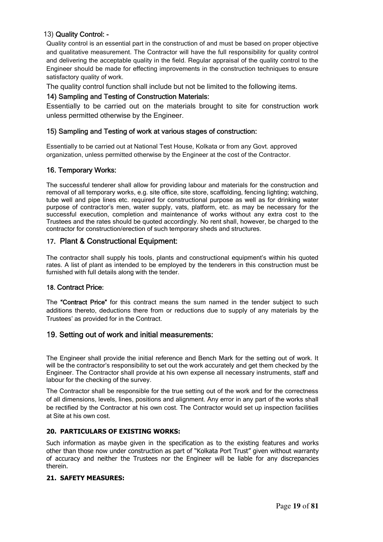#### 13) Quality Control: -

Quality control is an essential part in the construction of and must be based on proper objective and qualitative measurement. The Contractor will have the full responsibility for quality control and delivering the acceptable quality in the field. Regular appraisal of the quality control to the Engineer should be made for effecting improvements in the construction techniques to ensure satisfactory quality of work.

The quality control function shall include but not be limited to the following items.

#### 14) Sampling and Testing of Construction Materials:

Essentially to be carried out on the materials brought to site for construction work unless permitted otherwise by the Engineer.

#### 15) Sampling and Testing of work at various stages of construction:

Essentially to be carried out at National Test House, Kolkata or from any Govt. approved organization, unless permitted otherwise by the Engineer at the cost of the Contractor.

#### 16. Temporary Works:

The successful tenderer shall allow for providing labour and materials for the construction and removal of all temporary works, e.g. site office, site store, scaffolding, fencing lighting; watching, tube well and pipe lines etc. required for constructional purpose as well as for drinking water purpose of contractor's men, water supply, vats, platform, etc. as may be necessary for the successful execution, completion and maintenance of works without any extra cost to the Trustees and the rates should be quoted accordingly. No rent shall, however, be charged to the contractor for construction/erection of such temporary sheds and structures.

#### 17. Plant & Constructional Equipment:

The contractor shall supply his tools, plants and constructional equipment's within his quoted rates. A list of plant as intended to be employed by the tenderers in this construction must be furnished with full details along with the tender.

#### 18. Contract Price:

The "Contract Price" for this contract means the sum named in the tender subject to such additions thereto, deductions there from or reductions due to supply of any materials by the Trustees' as provided for in the Contract.

#### 19. Setting out of work and initial measurements:

The Engineer shall provide the initial reference and Bench Mark for the setting out of work. It will be the contractor's responsibility to set out the work accurately and get them checked by the Engineer. The Contractor shall provide at his own expense all necessary instruments, staff and labour for the checking of the survey.

The Contractor shall be responsible for the true setting out of the work and for the correctness of all dimensions, levels, lines, positions and alignment. Any error in any part of the works shall be rectified by the Contractor at his own cost. The Contractor would set up inspection facilities at Site at his own cost.

#### **20. PARTICULARS OF EXISTING WORKS:**

Such information as maybe given in the specification as to the existing features and works other than those now under construction as part of "Kolkata Port Trust" given without warranty of accuracy and neither the Trustees nor the Engineer will be liable for any discrepancies therein.

#### **21. SAFETY MEASURES:**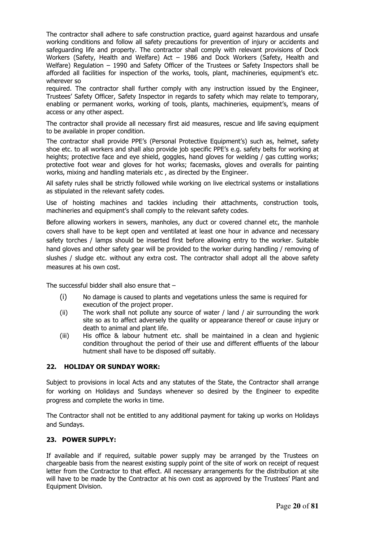The contractor shall adhere to safe construction practice, guard against hazardous and unsafe working conditions and follow all safety precautions for prevention of injury or accidents and safeguarding life and property. The contractor shall comply with relevant provisions of Dock Workers (Safety, Health and Welfare) Act – 1986 and Dock Workers (Safety, Health and Welfare) Regulation – 1990 and Safety Officer of the Trustees or Safety Inspectors shall be afforded all facilities for inspection of the works, tools, plant, machineries, equipment's etc. wherever so

required. The contractor shall further comply with any instruction issued by the Engineer, Trustees' Safety Officer, Safety Inspector in regards to safety which may relate to temporary, enabling or permanent works, working of tools, plants, machineries, equipment's, means of access or any other aspect.

The contractor shall provide all necessary first aid measures, rescue and life saving equipment to be available in proper condition.

The contractor shall provide PPE's (Personal Protective Equipment's) such as, helmet, safety shoe etc. to all workers and shall also provide job specific PPE's e.g. safety belts for working at heights; protective face and eye shield, goggles, hand gloves for welding / gas cutting works; protective foot wear and gloves for hot works; facemasks, gloves and overalls for painting works, mixing and handling materials etc , as directed by the Engineer.

All safety rules shall be strictly followed while working on live electrical systems or installations as stipulated in the relevant safety codes.

Use of hoisting machines and tackles including their attachments, construction tools, machineries and equipment's shall comply to the relevant safety codes.

Before allowing workers in sewers, manholes, any duct or covered channel etc, the manhole covers shall have to be kept open and ventilated at least one hour in advance and necessary safety torches / lamps should be inserted first before allowing entry to the worker. Suitable hand gloves and other safety gear will be provided to the worker during handling / removing of slushes / sludge etc. without any extra cost. The contractor shall adopt all the above safety measures at his own cost.

The successful bidder shall also ensure that –

- (i) No damage is caused to plants and vegetations unless the same is required for execution of the project proper.
- (ii) The work shall not pollute any source of water / land / air surrounding the work site so as to affect adversely the quality or appearance thereof or cause injury or death to animal and plant life.
- (iii) His office & labour hutment etc. shall be maintained in a clean and hygienic condition throughout the period of their use and different effluents of the labour hutment shall have to be disposed off suitably.

#### **22. HOLIDAY OR SUNDAY WORK:**

Subject to provisions in local Acts and any statutes of the State, the Contractor shall arrange for working on Holidays and Sundays whenever so desired by the Engineer to expedite progress and complete the works in time.

The Contractor shall not be entitled to any additional payment for taking up works on Holidays and Sundays.

#### **23. POWER SUPPLY:**

If available and if required, suitable power supply may be arranged by the Trustees on chargeable basis from the nearest existing supply point of the site of work on receipt of request letter from the Contractor to that effect. All necessary arrangements for the distribution at site will have to be made by the Contractor at his own cost as approved by the Trustees' Plant and Equipment Division.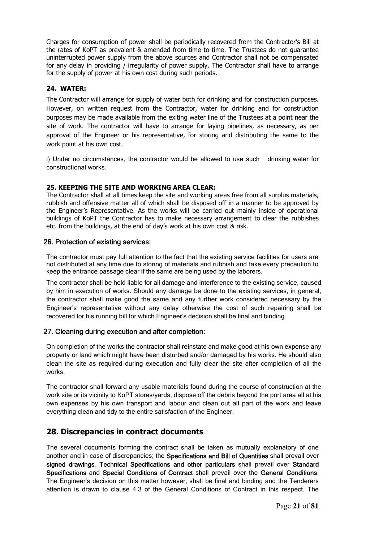Charges for consumption of power shall be periodically recovered from the Contractor's Bill at the rates of KoPT as prevalent & amended from time to time. The Trustees do not guarantee uninterrupted power supply from the above sources and Contractor shall not be compensated for any delay in providing / irregularity of power supply. The Contractor shall have to arrange for the supply of power at his own cost during such periods.

#### **24. WATER:**

The Contractor will arrange for supply of water both for drinking and for construction purposes. However, on written request from the Contractor, water for drinking and for construction purposes may be made available from the exiting water line of the Trustees at a point near the site of work. The contractor will have to arrange for laying pipelines, as necessary, as per approval of the Engineer or his representative, for storing and distributing the same to the work point at his own cost.

i) Under no circumstances, the contractor would be allowed to use such drinking water for constructional works.

#### **25. KEEPING THE SITE AND WORKING AREA CLEAR:**

The Contractor shall at all times keep the site and working areas free from all surplus materials, rubbish and offensive matter all of which shall be disposed off in a manner to be approved by the Engineer's Representative. As the works will be carried out mainly inside of operational buildings of KoPT the Contractor has to make necessary arrangement to clear the rubbishes etc. from the buildings, at the end of day's work at his own cost & risk.

#### 26. Protection of existing services:

The contractor must pay full attention to the fact that the existing service facilities for users are not distributed at any time due to storing of materials and rubbish and take every precaution to keep the entrance passage clear if the same are being used by the laborers.

The contractor shall be held liable for all damage and interference to the existing service, caused by him in execution of works. Should any damage be done to the existing services, in general, the contractor shall make good the same and any further work considered necessary by the Engineer's representative without any delay otherwise the cost of such repairing shall be recovered for his running bill for which Engineer's decision shall be final and binding.

#### 27. Cleaning during execution and after completion:

On completion of the works the contractor shall reinstate and make good at his own expense any property or land which might have been disturbed and/or damaged by his works. He should also clean the site as required during execution and fully clear the site after completion of all the works.

The contractor shall forward any usable materials found during the course of construction at the work site or its vicinity to KoPT stores/yards, dispose off the debris beyond the port area all at his own expenses by his own transport and labour and clean out all part of the work and leave everything clean and tidy to the entire satisfaction of the Engineer.

#### **28. Discrepancies in contract documents**

The several documents forming the contract shall be taken as mutually explanatory of one another and in case of discrepancies; the Specifications and Bill of Quantities shall prevail over signed drawings. Technical Specifications and other particulars shall prevail over Standard Specifications and Special Conditions of Contract shall prevail over the General Conditions. The Engineer's decision on this matter however, shall be final and binding and the Tenderers attention is drawn to clause 4.3 of the General Conditions of Contract in this respect. The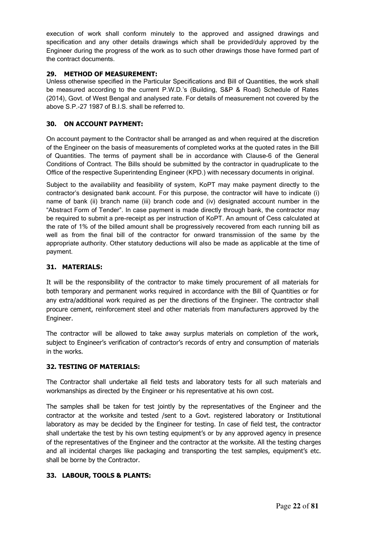execution of work shall conform minutely to the approved and assigned drawings and specification and any other details drawings which shall be provided/duly approved by the Engineer during the progress of the work as to such other drawings those have formed part of the contract documents.

#### **29. METHOD OF MEASUREMENT:**

Unless otherwise specified in the Particular Specifications and Bill of Quantities, the work shall be measured according to the current P.W.D.'s (Building, S&P & Road) Schedule of Rates (2014), Govt. of West Bengal and analysed rate. For details of measurement not covered by the above S.P.-27 1987 of B.I.S. shall be referred to.

#### **30. ON ACCOUNT PAYMENT:**

On account payment to the Contractor shall be arranged as and when required at the discretion of the Engineer on the basis of measurements of completed works at the quoted rates in the Bill of Quantities. The terms of payment shall be in accordance with Clause-6 of the General Conditions of Contract. The Bills should be submitted by the contractor in quadruplicate to the Office of the respective Superintending Engineer (KPD.) with necessary documents in original.

Subject to the availability and feasibility of system, KoPT may make payment directly to the contractor's designated bank account. For this purpose, the contractor will have to indicate (i) name of bank (ii) branch name (iii) branch code and (iv) designated account number in the "Abstract Form of Tender". In case payment is made directly through bank, the contractor may be required to submit a pre-receipt as per instruction of KoPT. An amount of Cess calculated at the rate of 1% of the billed amount shall be progressively recovered from each running bill as well as from the final bill of the contractor for onward transmission of the same by the appropriate authority. Other statutory deductions will also be made as applicable at the time of payment.

#### **31. MATERIALS:**

It will be the responsibility of the contractor to make timely procurement of all materials for both temporary and permanent works required in accordance with the Bill of Quantities or for any extra/additional work required as per the directions of the Engineer. The contractor shall procure cement, reinforcement steel and other materials from manufacturers approved by the Engineer.

The contractor will be allowed to take away surplus materials on completion of the work, subject to Engineer's verification of contractor's records of entry and consumption of materials in the works.

#### **32. TESTING OF MATERIALS:**

The Contractor shall undertake all field tests and laboratory tests for all such materials and workmanships as directed by the Engineer or his representative at his own cost.

The samples shall be taken for test jointly by the representatives of the Engineer and the contractor at the worksite and tested /sent to a Govt. registered laboratory or Institutional laboratory as may be decided by the Engineer for testing. In case of field test, the contractor shall undertake the test by his own testing equipment's or by any approved agency in presence of the representatives of the Engineer and the contractor at the worksite. All the testing charges and all incidental charges like packaging and transporting the test samples, equipment's etc. shall be borne by the Contractor.

#### **33. LABOUR, TOOLS & PLANTS:**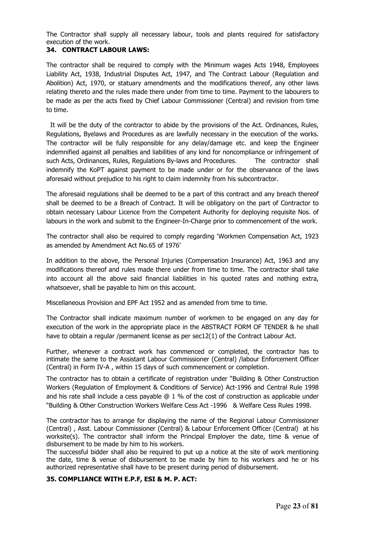The Contractor shall supply all necessary labour, tools and plants required for satisfactory execution of the work.

#### **34. CONTRACT LABOUR LAWS:**

The contractor shall be required to comply with the Minimum wages Acts 1948, Employees Liability Act, 1938, Industrial Disputes Act, 1947, and The Contract Labour (Regulation and Abolition) Act, 1970, or statuary amendments and the modifications thereof, any other laws relating thereto and the rules made there under from time to time. Payment to the labourers to be made as per the acts fixed by Chief Labour Commissioner (Central) and revision from time to time.

 It will be the duty of the contractor to abide by the provisions of the Act. Ordinances, Rules, Regulations, Byelaws and Procedures as are lawfully necessary in the execution of the works. The contractor will be fully responsible for any delay/damage etc. and keep the Engineer indemnified against all penalties and liabilities of any kind for noncompliance or infringement of such Acts, Ordinances, Rules, Regulations By-laws and Procedures. The contractor shall indemnify the KoPT against payment to be made under or for the observance of the laws aforesaid without prejudice to his right to claim indemnity from his subcontractor.

The aforesaid regulations shall be deemed to be a part of this contract and any breach thereof shall be deemed to be a Breach of Contract. It will be obligatory on the part of Contractor to obtain necessary Labour Licence from the Competent Authority for deploying requisite Nos. of labours in the work and submit to the Engineer-In-Charge prior to commencement of the work.

The contractor shall also be required to comply regarding 'Workmen Compensation Act, 1923 as amended by Amendment Act No.65 of 1976'

In addition to the above, the Personal Injuries (Compensation Insurance) Act, 1963 and any modifications thereof and rules made there under from time to time. The contractor shall take into account all the above said financial liabilities in his quoted rates and nothing extra, whatsoever, shall be payable to him on this account.

Miscellaneous Provision and EPF Act 1952 and as amended from time to time.

The Contractor shall indicate maximum number of workmen to be engaged on any day for execution of the work in the appropriate place in the ABSTRACT FORM OF TENDER & he shall have to obtain a regular /permanent license as per sec12(1) of the Contract Labour Act.

Further, whenever a contract work has commenced or completed, the contractor has to intimate the same to the Assistant Labour Commissioner (Central) /labour Enforcement Officer (Central) in Form IV-A , within 15 days of such commencement or completion.

The contractor has to obtain a certificate of registration under "Building & Other Construction Workers (Regulation of Employment & Conditions of Service) Act-1996 and Central Rule 1998 and his rate shall include a cess payable @ 1 % of the cost of construction as applicable under "Building & Other Construction Workers Welfare Cess Act -1996 & Welfare Cess Rules 1998.

The contractor has to arrange for displaying the name of the Regional Labour Commissioner (Central) , Asst. Labour Commissioner (Central) & Labour Enforcement Officer (Central) at his worksite(s). The contractor shall inform the Principal Employer the date, time & venue of disbursement to be made by him to his workers.

The successful bidder shall also be required to put up a notice at the site of work mentioning the date, time & venue of disbursement to be made by him to his workers and he or his authorized representative shall have to be present during period of disbursement.

#### **35. COMPLIANCE WITH E.P.F, ESI & M. P. ACT:**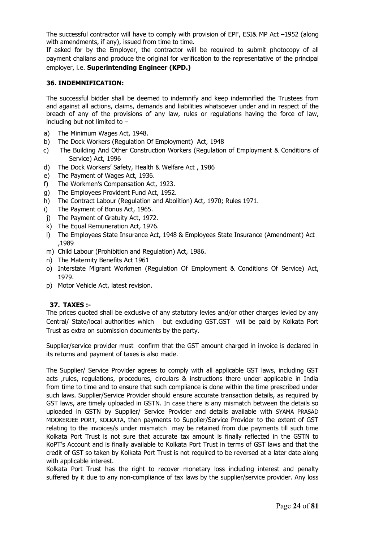The successful contractor will have to comply with provision of EPF, ESI& MP Act –1952 (along with amendments, if any), issued from time to time.

If asked for by the Employer, the contractor will be required to submit photocopy of all payment challans and produce the original for verification to the representative of the principal employer, i.e. **Superintending Engineer (KPD.)** 

#### **36. INDEMNIFICATION:**

The successful bidder shall be deemed to indemnify and keep indemnified the Trustees from and against all actions, claims, demands and liabilities whatsoever under and in respect of the breach of any of the provisions of any law, rules or regulations having the force of law, including but not limited to –

- a) The Minimum Wages Act, 1948.
- b) The Dock Workers (Regulation Of Employment) Act, 1948
- c) The Building And Other Construction Workers (Regulation of Employment & Conditions of Service) Act, 1996
- d) The Dock Workers' Safety, Health & Welfare Act , 1986
- e) The Payment of Wages Act, 1936.
- f) The Workmen's Compensation Act, 1923.
- g) The Employees Provident Fund Act, 1952.
- h) The Contract Labour (Regulation and Abolition) Act, 1970; Rules 1971.
- i) The Payment of Bonus Act, 1965.
- j) The Payment of Gratuity Act, 1972.
- k) The Equal Remuneration Act, 1976.
- l) The Employees State Insurance Act, 1948 & Employees State Insurance (Amendment) Act ,1989
- m) Child Labour (Prohibition and Regulation) Act, 1986.
- n) The Maternity Benefits Act 1961
- o) Interstate Migrant Workmen (Regulation Of Employment & Conditions Of Service) Act, 1979.
- p) Motor Vehicle Act, latest revision.

#### **37. TAXES :-**

The prices quoted shall be exclusive of any statutory levies and/or other charges levied by any Central/ State/local authorities which but excluding GST.GST will be paid by Kolkata Port Trust as extra on submission documents by the party.

Supplier/service provider must confirm that the GST amount charged in invoice is declared in its returns and payment of taxes is also made.

The Supplier/ Service Provider agrees to comply with all applicable GST laws, including GST acts ,rules, regulations, procedures, circulars & instructions there under applicable in India from time to time and to ensure that such compliance is done within the time prescribed under such laws. Supplier/Service Provider should ensure accurate transaction details, as required by GST laws, are timely uploaded in GSTN. In case there is any mismatch between the details so uploaded in GSTN by Supplier/ Service Provider and details available with SYAMA PRASAD MOOKERJEE PORT, KOLKATA, then payments to Supplier/Service Provider to the extent of GST relating to the invoices/s under mismatch may be retained from due payments till such time Kolkata Port Trust is not sure that accurate tax amount is finally reflected in the GSTN to KoPT's Account and is finally available to Kolkata Port Trust in terms of GST laws and that the credit of GST so taken by Kolkata Port Trust is not required to be reversed at a later date along with applicable interest.

Kolkata Port Trust has the right to recover monetary loss including interest and penalty suffered by it due to any non-compliance of tax laws by the supplier/service provider. Any loss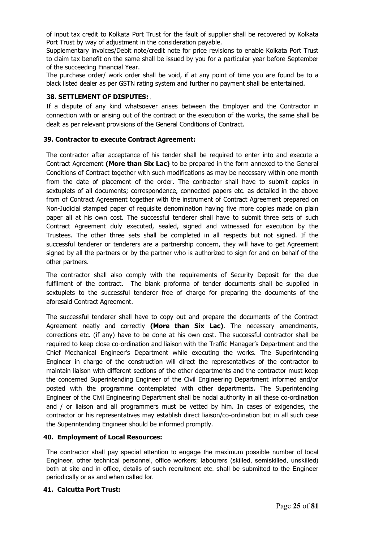of input tax credit to Kolkata Port Trust for the fault of supplier shall be recovered by Kolkata Port Trust by way of adjustment in the consideration payable.

Supplementary invoices/Debit note/credit note for price revisions to enable Kolkata Port Trust to claim tax benefit on the same shall be issued by you for a particular year before September of the succeeding Financial Year.

The purchase order/ work order shall be void, if at any point of time you are found be to a black listed dealer as per GSTN rating system and further no payment shall be entertained.

#### **38. SETTLEMENT OF DISPUTES:** [

If a dispute of any kind whatsoever arises between the Employer and the Contractor in connection with or arising out of the contract or the execution of the works, the same shall be dealt as per relevant provisions of the General Conditions of Contract.

#### **39. Contractor to execute Contract Agreement:**

The contractor after acceptance of his tender shall be required to enter into and execute a Contract Agreement **(More than Six Lac)** to be prepared in the form annexed to the General Conditions of Contract together with such modifications as may be necessary within one month from the date of placement of the order. The contractor shall have to submit copies in sextuplets of all documents; correspondence, connected papers etc. as detailed in the above from of Contract Agreement together with the instrument of Contract Agreement prepared on Non-Judicial stamped paper of requisite denomination having five more copies made on plain paper all at his own cost. The successful tenderer shall have to submit three sets of such Contract Agreement duly executed, sealed, signed and witnessed for execution by the Trustees. The other three sets shall be completed in all respects but not signed. If the successful tenderer or tenderers are a partnership concern, they will have to get Agreement signed by all the partners or by the partner who is authorized to sign for and on behalf of the other partners.

The contractor shall also comply with the requirements of Security Deposit for the due fulfilment of the contract. The blank proforma of tender documents shall be supplied in sextuplets to the successful tenderer free of charge for preparing the documents of the aforesaid Contract Agreement.

The successful tenderer shall have to copy out and prepare the documents of the Contract Agreement neatly and correctly **(More than Six Lac)**. The necessary amendments, corrections etc. (if any) have to be done at his own cost. The successful contractor shall be required to keep close co-ordination and liaison with the Traffic Manager's Department and the Chief Mechanical Engineer's Department while executing the works. The Superintending Engineer in charge of the construction will direct the representatives of the contractor to maintain liaison with different sections of the other departments and the contractor must keep the concerned Superintending Engineer of the Civil Engineering Department informed and/or posted with the programme contemplated with other departments. The Superintending Engineer of the Civil Engineering Department shall be nodal authority in all these co-ordination and / or liaison and all programmers must be vetted by him. In cases of exigencies, the contractor or his representatives may establish direct liaison/co-ordination but in all such case the Superintending Engineer should be informed promptly.

#### **40. Employment of Local Resources:**

The contractor shall pay special attention to engage the maximum possible number of local Engineer, other technical personnel, office workers; labourers (skilled, semiskilled, unskilled) both at site and in office, details of such recruitment etc. shall be submitted to the Engineer periodically or as and when called for.

#### **41. Calcutta Port Trust:**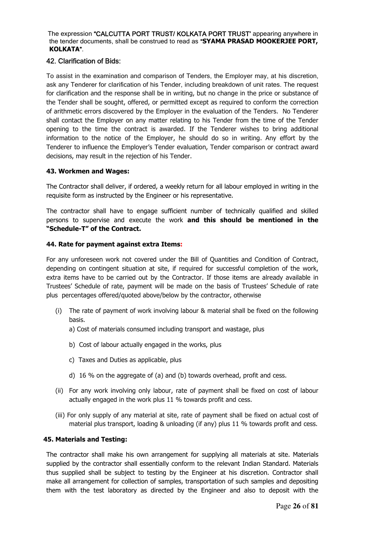The expression "CALCUTTA PORT TRUST/ KOLKATA PORT TRUST' appearing anywhere in the tender documents, shall be construed to read as "**SYAMA PRASAD MOOKERJEE PORT, KOLKATA**".

#### 42. Clarification of Bids:

To assist in the examination and comparison of Tenders, the Employer may, at his discretion, ask any Tenderer for clarification of his Tender, including breakdown of unit rates. The request for clarification and the response shall be in writing, but no change in the price or substance of the Tender shall be sought, offered, or permitted except as required to conform the correction of arithmetic errors discovered by the Employer in the evaluation of the Tenders. No Tenderer shall contact the Employer on any matter relating to his Tender from the time of the Tender opening to the time the contract is awarded. If the Tenderer wishes to bring additional information to the notice of the Employer, he should do so in writing. Any effort by the Tenderer to influence the Employer's Tender evaluation, Tender comparison or contract award decisions, may result in the rejection of his Tender.

#### **43. Workmen and Wages:**

The Contractor shall deliver, if ordered, a weekly return for all labour employed in writing in the requisite form as instructed by the Engineer or his representative.

The contractor shall have to engage sufficient number of technically qualified and skilled persons to supervise and execute the work **and this should be mentioned in the "Schedule-T" of the Contract.** 

#### **44. Rate for payment against extra Items:**

For any unforeseen work not covered under the Bill of Quantities and Condition of Contract, depending on contingent situation at site, if required for successful completion of the work, extra items have to be carried out by the Contractor. If those items are already available in Trustees' Schedule of rate, payment will be made on the basis of Trustees' Schedule of rate plus percentages offered/quoted above/below by the contractor, otherwise

- (i) The rate of payment of work involving labour & material shall be fixed on the following basis.
	- a) Cost of materials consumed including transport and wastage, plus
	- b) Cost of labour actually engaged in the works, plus
	- c) Taxes and Duties as applicable, plus
	- d) 16 % on the aggregate of (a) and (b) towards overhead, profit and cess.
- (ii) For any work involving only labour, rate of payment shall be fixed on cost of labour actually engaged in the work plus 11 % towards profit and cess.
- (iii) For only supply of any material at site, rate of payment shall be fixed on actual cost of material plus transport, loading & unloading (if any) plus 11 % towards profit and cess.

#### **45. Materials and Testing:**

The contractor shall make his own arrangement for supplying all materials at site. Materials supplied by the contractor shall essentially conform to the relevant Indian Standard. Materials thus supplied shall be subject to testing by the Engineer at his discretion. Contractor shall make all arrangement for collection of samples, transportation of such samples and depositing them with the test laboratory as directed by the Engineer and also to deposit with the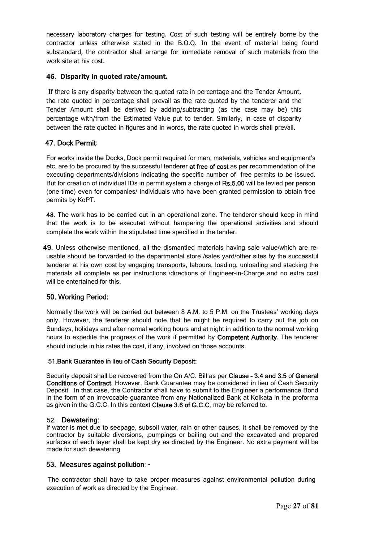necessary laboratory charges for testing. Cost of such testing will be entirely borne by the contractor unless otherwise stated in the B.O.Q. In the event of material being found substandard, the contractor shall arrange for immediate removal of such materials from the work site at his cost.

#### **46**. **Disparity in quoted rate/amount.**

 If there is any disparity between the quoted rate in percentage and the Tender Amount, the rate quoted in percentage shall prevail as the rate quoted by the tenderer and the Tender Amount shall be derived by adding/subtracting (as the case may be) this percentage with/from the Estimated Value put to tender. Similarly, in case of disparity between the rate quoted in figures and in words, the rate quoted in words shall prevail.

#### 47. Dock Permit:

For works inside the Docks, Dock permit required for men, materials, vehicles and equipment's etc. are to be procured by the successful tenderer at free of cost as per recommendation of the executing departments/divisions indicating the specific number of free permits to be issued. But for creation of individual IDs in permit system a charge of Rs.5.00 will be levied per person (one time) even for companies/ Individuals who have been granted permission to obtain free permits by KoPT.

48. The work has to be carried out in an operational zone. The tenderer should keep in mind that the work is to be executed without hampering the operational activities and should complete the work within the stipulated time specified in the tender.

49. Unless otherwise mentioned, all the dismantled materials having sale value/which are reusable should be forwarded to the departmental store /sales yard/other sites by the successful tenderer at his own cost by engaging transports, labours, loading, unloading and stacking the materials all complete as per instructions /directions of Engineer-in-Charge and no extra cost will be entertained for this.

#### 50. Working Period:

Normally the work will be carried out between 8 A.M. to 5 P.M. on the Trustees' working days only. However, the tenderer should note that he might be required to carry out the job on Sundays, holidays and after normal working hours and at night in addition to the normal working hours to expedite the progress of the work if permitted by Competent Authority. The tenderer should include in his rates the cost, if any, involved on those accounts.

#### 51.Bank Guarantee in lieu of Cash Security Deposit:

Security deposit shall be recovered from the On A/C. Bill as per Clause – 3.4 and 3.5 of General Conditions of Contract. However, Bank Guarantee may be considered in lieu of Cash Security Deposit. In that case, the Contractor shall have to submit to the Engineer a performance Bond in the form of an irrevocable guarantee from any Nationalized Bank at Kolkata in the proforma as given in the G.C.C. In this context Clause 3.6 of G.C.C. may be referred to.

#### 52. Dewatering:

If water is met due to seepage, subsoil water, rain or other causes, it shall be removed by the contractor by suitable diversions, ,pumpings or bailing out and the excavated and prepared surfaces of each layer shall be kept dry as directed by the Engineer. No extra payment will be made for such dewatering

#### 53. Measures against pollution: -

 The contractor shall have to take proper measures against environmental pollution during execution of work as directed by the Engineer.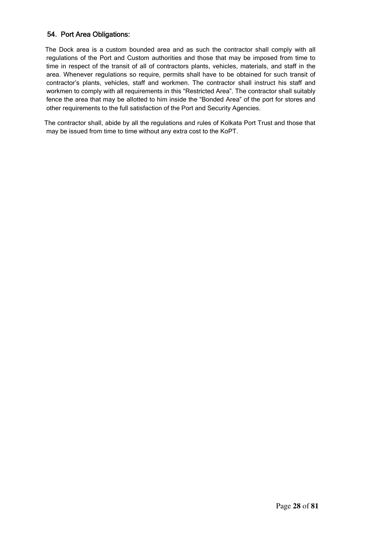#### 54. Port Area Obligations:

 The Dock area is a custom bounded area and as such the contractor shall comply with all regulations of the Port and Custom authorities and those that may be imposed from time to time in respect of the transit of all of contractors plants, vehicles, materials, and staff in the area. Whenever regulations so require, permits shall have to be obtained for such transit of contractor's plants, vehicles, staff and workmen. The contractor shall instruct his staff and workmen to comply with all requirements in this "Restricted Area". The contractor shall suitably fence the area that may be allotted to him inside the "Bonded Area" of the port for stores and other requirements to the full satisfaction of the Port and Security Agencies.

 The contractor shall, abide by all the regulations and rules of Kolkata Port Trust and those that may be issued from time to time without any extra cost to the KoPT.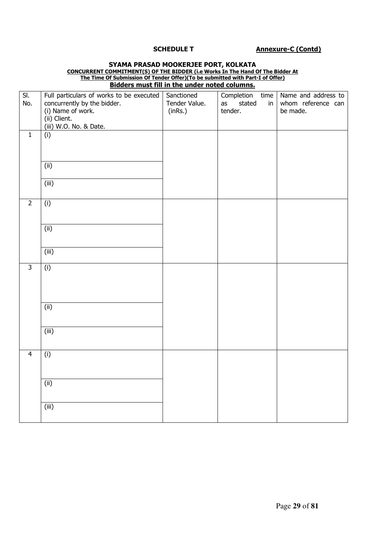#### **SCHEDULE T Annexure-C (Contd)**

|                         | The Time Of Submission Of Tender Offer)(To be submitted with Part-I of Offer) |                                                      |                                 |                     |
|-------------------------|-------------------------------------------------------------------------------|------------------------------------------------------|---------------------------------|---------------------|
|                         |                                                                               | <b>Bidders must fill in the under noted columns.</b> |                                 |                     |
| $\overline{\mathsf{S}}$ | Full particulars of works to be executed                                      | Sanctioned                                           | Completion<br>time              | Name and address to |
| No.                     | concurrently by the bidder.                                                   | Tender Value.                                        | stated<br>as<br>in <sub>1</sub> | whom reference can  |
|                         | (i) Name of work.                                                             | (inRs.)                                              | tender.                         | be made.            |
|                         | (ii) Client.                                                                  |                                                      |                                 |                     |
|                         | (iii) W.O. No. & Date.                                                        |                                                      |                                 |                     |
| $\mathbf{1}$            | (i)                                                                           |                                                      |                                 |                     |
|                         |                                                                               |                                                      |                                 |                     |
|                         |                                                                               |                                                      |                                 |                     |
|                         |                                                                               |                                                      |                                 |                     |
|                         | (ii)                                                                          |                                                      |                                 |                     |
|                         |                                                                               |                                                      |                                 |                     |
|                         | (iii)                                                                         |                                                      |                                 |                     |
|                         |                                                                               |                                                      |                                 |                     |
| $\overline{2}$          | (i)                                                                           |                                                      |                                 |                     |
|                         |                                                                               |                                                      |                                 |                     |
|                         |                                                                               |                                                      |                                 |                     |
|                         | (i)                                                                           |                                                      |                                 |                     |
|                         |                                                                               |                                                      |                                 |                     |
|                         |                                                                               |                                                      |                                 |                     |
|                         | (iii)                                                                         |                                                      |                                 |                     |
|                         |                                                                               |                                                      |                                 |                     |
| $\overline{\mathbf{3}}$ | (i)                                                                           |                                                      |                                 |                     |
|                         |                                                                               |                                                      |                                 |                     |
|                         |                                                                               |                                                      |                                 |                     |
|                         |                                                                               |                                                      |                                 |                     |
|                         |                                                                               |                                                      |                                 |                     |
|                         | (i)                                                                           |                                                      |                                 |                     |
|                         |                                                                               |                                                      |                                 |                     |
|                         |                                                                               |                                                      |                                 |                     |
|                         | (iii)                                                                         |                                                      |                                 |                     |
|                         |                                                                               |                                                      |                                 |                     |
|                         |                                                                               |                                                      |                                 |                     |
| $\overline{4}$          | (i)                                                                           |                                                      |                                 |                     |
|                         |                                                                               |                                                      |                                 |                     |
|                         |                                                                               |                                                      |                                 |                     |
|                         | (ii)                                                                          |                                                      |                                 |                     |
|                         |                                                                               |                                                      |                                 |                     |
|                         |                                                                               |                                                      |                                 |                     |
|                         | (iii)                                                                         |                                                      |                                 |                     |
|                         |                                                                               |                                                      |                                 |                     |
|                         |                                                                               |                                                      |                                 |                     |

### **SYAMA PRASAD MOOKERJEE PORT, KOLKATA CONCURRENT COMMITMENT(S) OF THE BIDDER (i.e Works In The Hand Of The Bidder At**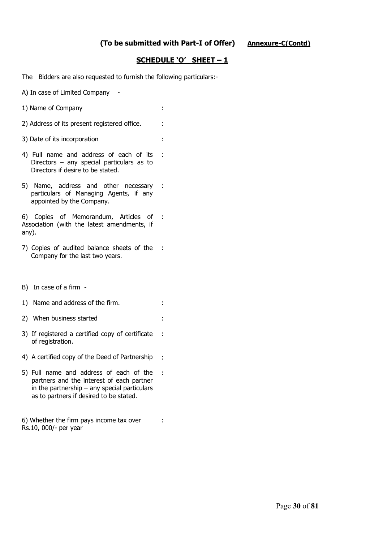:

:

#### **SCHEDULE 'O' SHEET – 1**

The Bidders are also requested to furnish the following particulars:-

A) In case of Limited Company -

- 1) Name of Company :
- 2) Address of its present registered office. :
- 3) Date of its incorporation :
- 4) Full name and address of each of its Directors – any special particulars as to Directors if desire to be stated. :
- 5) Name, address and other necessary : particulars of Managing Agents, if any appointed by the Company.

6) Copies of Memorandum, Articles of Association (with the latest amendments, if any). :

- 7) Copies of audited balance sheets of the : Company for the last two years.
- B) In case of a firm -
- 1) Name and address of the firm.
- 2) When business started :
- 3) If registered a certified copy of certificate of registration. :
- 4) A certified copy of the Deed of Partnership :
- 5) Full name and address of each of the partners and the interest of each partner in the partnership  $-$  any special particulars as to partners if desired to be stated.

6) Whether the firm pays income tax over Rs.10, 000/- per year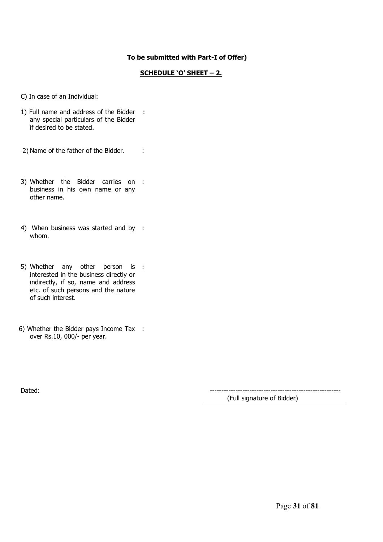#### **To be submitted with Part-I of Offer)**

#### **SCHEDULE 'O' SHEET – 2.**

C) In case of an Individual:

- 1) Full name and address of the Bidder : any special particulars of the Bidder if desired to be stated.
- 2) Name of the father of the Bidder. :
- 3) Whether the Bidder carries on : business in his own name or any other name.
- 4) When business was started and by : whom.
- 5) Whether any other person is : interested in the business directly or indirectly, if so, name and address etc. of such persons and the nature of such interest.
- 6) Whether the Bidder pays Income Tax : over Rs.10, 000/- per year.

Dated: -------------------------------------------------------- (Full signature of Bidder)

Page **31** of **81**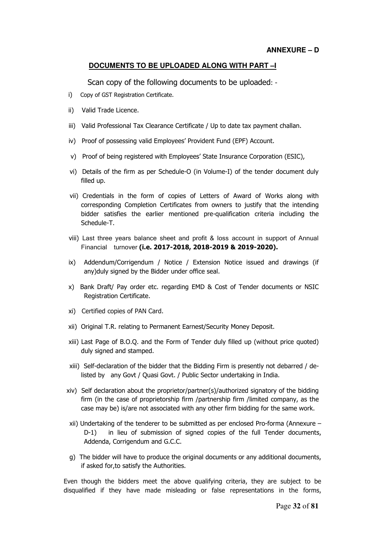#### **DOCUMENTS TO BE UPLOADED ALONG WITH PART –I**

Scan copy of the following documents to be uploaded: -

- i) Copy of GST Registration Certificate.
- ii) Valid Trade Licence.
- iii) Valid Professional Tax Clearance Certificate / Up to date tax payment challan.
- iv) Proof of possessing valid Employees' Provident Fund (EPF) Account.
- v) Proof of being registered with Employees' State Insurance Corporation (ESIC),
- vi) Details of the firm as per Schedule-O (in Volume-I) of the tender document duly filled up.
- vii) Credentials in the form of copies of Letters of Award of Works along with corresponding Completion Certificates from owners to justify that the intending bidder satisfies the earlier mentioned pre-qualification criteria including the Schedule-T.
- viii) Last three years balance sheet and profit & loss account in support of Annual Financial turnover **(i.e. 2017-2018, 2018-2019 & 2019-2020).**
- ix) Addendum/Corrigendum / Notice / Extension Notice issued and drawings (if any)duly signed by the Bidder under office seal.
- x) Bank Draft/ Pay order etc. regarding EMD & Cost of Tender documents or NSIC Registration Certificate.
- xi) Certified copies of PAN Card.
- xii) Original T.R. relating to Permanent Earnest/Security Money Deposit.
- xiii) Last Page of B.O.Q. and the Form of Tender duly filled up (without price quoted) duly signed and stamped.
- xiii) Self-declaration of the bidder that the Bidding Firm is presently not debarred / delisted by any Govt / Quasi Govt. / Public Sector undertaking in India.
- xiv) Self declaration about the proprietor/partner(s)/authorized signatory of the bidding firm (in the case of proprietorship firm /partnership firm /limited company, as the case may be) is/are not associated with any other firm bidding for the same work.
- xii) Undertaking of the tenderer to be submitted as per enclosed Pro-forma (Annexure D-1) in lieu of submission of signed copies of the full Tender documents, Addenda, Corrigendum and G.C.C.
- g) The bidder will have to produce the original documents or any additional documents, if asked for,to satisfy the Authorities.

Even though the bidders meet the above qualifying criteria, they are subject to be disqualified if they have made misleading or false representations in the forms,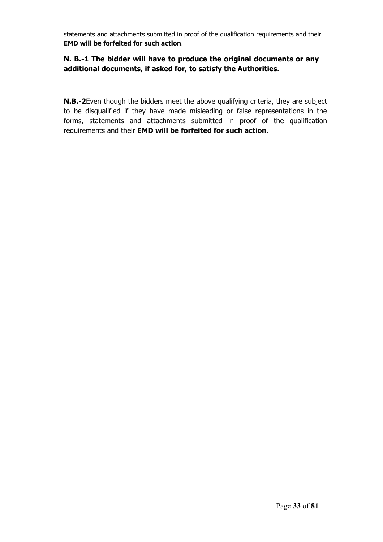statements and attachments submitted in proof of the qualification requirements and their **EMD will be forfeited for such action**.

### **N. B.-1 The bidder will have to produce the original documents or any additional documents, if asked for, to satisfy the Authorities.**

**N.B.-2**Even though the bidders meet the above qualifying criteria, they are subject to be disqualified if they have made misleading or false representations in the forms, statements and attachments submitted in proof of the qualification requirements and their **EMD will be forfeited for such action**.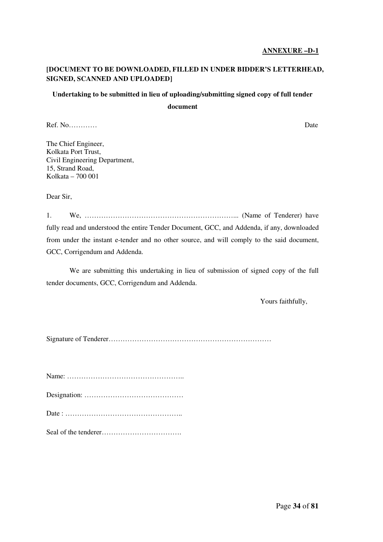#### **ANNEXURE –D-1**

#### **[DOCUMENT TO BE DOWNLOADED, FILLED IN UNDER BIDDER'S LETTERHEAD, SIGNED, SCANNED AND UPLOADED]**

### **Undertaking to be submitted in lieu of uploading/submitting signed copy of full tender**

**document** 

Ref. No………… Date

The Chief Engineer, Kolkata Port Trust, Civil Engineering Department, 15, Strand Road, Kolkata – 700 001

Dear Sir,

1. We, ………………………………………………………... (Name of Tenderer) have fully read and understood the entire Tender Document, GCC, and Addenda, if any, downloaded from under the instant e-tender and no other source, and will comply to the said document, GCC, Corrigendum and Addenda.

 We are submitting this undertaking in lieu of submission of signed copy of the full tender documents, GCC, Corrigendum and Addenda.

Yours faithfully,

Signature of Tenderer……………………………………………………………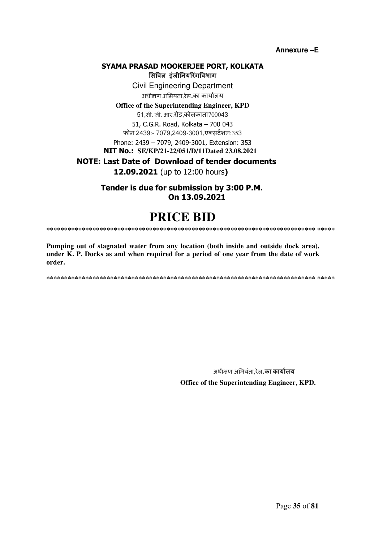**Annexure –E** 

#### **SYAMA PRASAD MOOKERJEE PORT, KOLKATA**

**सवल इंजीनयरंगवभाग** Civil Engineering Department अधीण अभयंता,रेल.का कायालय

**Office of the Superintending Engineer, KPD**

51,सी. जी. आर.रोड,कोलकाता700043 51, C.G.R. Road, Kolkata – 700 043

फोन 2439:- 7079,2409-3001,एसटशन:353

Phone: 2439 – 7079, 2409-3001, Extension: 353

 **NIT No.: SE/KP/21-22/051/D/11Dated 23.08.2021** 

 **NOTE: Last Date of Download of tender documents**

**12.09.2021** (up to 12:00 hours**)**

**Tender is due for submission by 3:00 P.M. On 13.09.2021**

## **PRICE BID**

**\*\*\*\*\*\*\*\*\*\*\*\*\*\*\*\*\*\*\*\*\*\*\*\*\*\*\*\*\*\*\*\*\*\*\*\*\*\*\*\*\*\*\*\*\*\*\*\*\*\*\*\*\*\*\*\*\*\*\*\*\*\*\*\*\*\*\*\*\*\*\*\*\*\*\*\* \*\*\*\*\*** 

**Pumping out of stagnated water from any location (both inside and outside dock area), under K. P. Docks as and when required for a period of one year from the date of work order.** 

**\*\*\*\*\*\*\*\*\*\*\*\*\*\*\*\*\*\*\*\*\*\*\*\*\*\*\*\*\*\*\*\*\*\*\*\*\*\*\*\*\*\*\*\*\*\*\*\*\*\*\*\*\*\*\*\*\*\*\*\*\*\*\*\*\*\*\*\*\*\*\*\*\*\*\*\* \*\*\*\*\*** 

 अधीण अभयंता,रेल.**का कायालय Office of the Superintending Engineer, KPD.**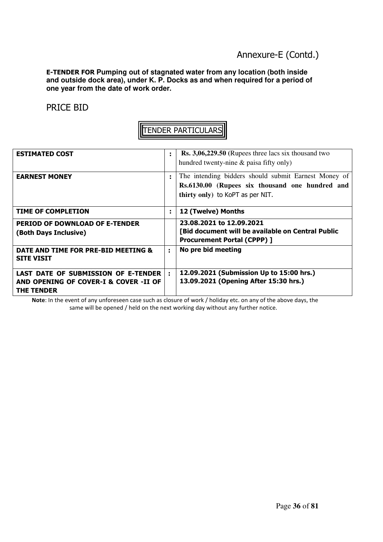### Annexure-E (Contd.)

**E-TENDER FOR Pumping out of stagnated water from any location (both inside and outside dock area), under K. P. Docks as and when required for a period of one year from the date of work order.** 

PRICE BID

|--|

| <b>ESTIMATED COST</b>                                                                             | ÷ | Rs. 3,06,229.50 (Rupees three lacs six thousand two<br>hundred twenty-nine & paisa fifty only)                                              |
|---------------------------------------------------------------------------------------------------|---|---------------------------------------------------------------------------------------------------------------------------------------------|
| <b>EARNEST MONEY</b>                                                                              | t | The intending bidders should submit Earnest Money of<br>Rs.6130.00 (Rupees six thousand one hundred and<br>thirty only) to KoPT as per NIT. |
| <b>TIME OF COMPLETION</b>                                                                         | ÷ | 12 (Twelve) Months                                                                                                                          |
| <b>PERIOD OF DOWNLOAD OF E-TENDER</b><br>(Both Days Inclusive)                                    |   | 23.08.2021 to 12.09.2021<br>[Bid document will be available on Central Public<br><b>Procurement Portal (CPPP) ]</b>                         |
| DATE AND TIME FOR PRE-BID MEETING &<br><b>SITE VISIT</b>                                          | ÷ | No pre bid meeting                                                                                                                          |
| LAST DATE OF SUBMISSION OF E-TENDER<br>AND OPENING OF COVER-I & COVER -II OF<br><b>THE TENDER</b> | ÷ | 12.09.2021 (Submission Up to 15:00 hrs.)<br>13.09.2021 (Opening After 15:30 hrs.)                                                           |

**Note**: In the event of any unforeseen case such as closure of work / holiday etc. on any of the above days, the same will be opened / held on the next working day without any further notice.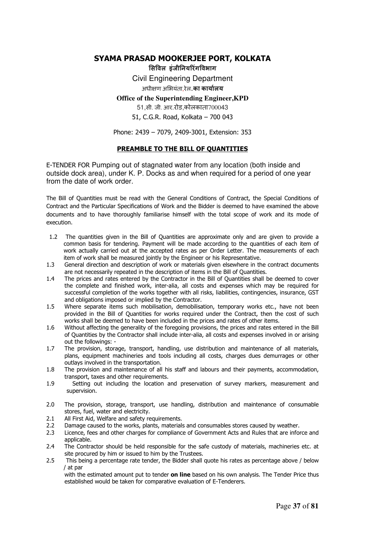### **SYAMA PRASAD MOOKERJEE PORT, KOLKATA**

**सवल इंजीनयरंगवभाग** Civil Engineering Department अधीण अभयंता,रेल.**का कायालय**

**Office of the Superintending Engineer,KPD**

51,सी. जी. आर.रोड,कोलकाता700043

51, C.G.R. Road, Kolkata – 700 043

Phone: 2439 – 7079, 2409-3001, Extension: 353

#### **PREAMBLE TO THE BILL OF QUANTITIES**

E-TENDER FOR Pumping out of stagnated water from any location (both inside and outside dock area), under K. P. Docks as and when required for a period of one year from the date of work order.

The Bill of Quantities must be read with the General Conditions of Contract, the Special Conditions of Contract and the Particular Specifications of Work and the Bidder is deemed to have examined the above documents and to have thoroughly familiarise himself with the total scope of work and its mode of execution.

- 1.2 The quantities given in the Bill of Quantities are approximate only and are given to provide a common basis for tendering. Payment will be made according to the quantities of each item of work actually carried out at the accepted rates as per Order Letter. The measurements of each item of work shall be measured jointly by the Engineer or his Representative.
- 1.3 General direction and description of work or materials given elsewhere in the contract documents are not necessarily repeated in the description of items in the Bill of Quantities.
- 1.4 The prices and rates entered by the Contractor in the Bill of Quantities shall be deemed to cover the complete and finished work, inter-alia, all costs and expenses which may be required for successful completion of the works together with all risks, liabilities, contingencies, insurance, GST and obligations imposed or implied by the Contractor.
- 1.5 Where separate items such mobilisation, demobilisation, temporary works etc., have not been provided in the Bill of Quantities for works required under the Contract, then the cost of such works shall be deemed to have been included in the prices and rates of other items.
- 1.6 Without affecting the generality of the foregoing provisions, the prices and rates entered in the Bill of Quantities by the Contractor shall include inter-alia, all costs and expenses involved in or arising out the followings: -
- 1.7 The provision, storage, transport, handling, use distribution and maintenance of all materials, plans, equipment machineries and tools including all costs, charges dues demurrages or other outlays involved in the transportation.
- 1.8 The provision and maintenance of all his staff and labours and their payments, accommodation, transport, taxes and other requirements.
- 1.9 Setting out including the location and preservation of survey markers, measurement and supervision.
- 2.0 The provision, storage, transport, use handling, distribution and maintenance of consumable stores, fuel, water and electricity.
- 2.1 All First Aid, Welfare and safety requirements.<br>2.2 Damage caused to the works, plants, material
- Damage caused to the works, plants, materials and consumables stores caused by weather.
- 2.3 Licence, fees and other charges for compliance of Government Acts and Rules that are inforce and applicable.
- 2.4 The Contractor should be held responsible for the safe custody of materials, machineries etc. at site procured by him or issued to him by the Trustees.
- 2.5 This being a percentage rate tender, the Bidder shall quote his rates as percentage above / below / at par

with the estimated amount put to tender **on line** based on his own analysis. The Tender Price thus established would be taken for comparative evaluation of E-Tenderers.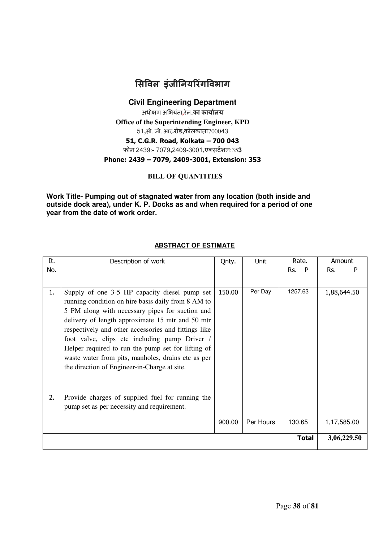

**Civil Engineering Department**

अधीण अभयंता**,**रेल.**का कायालय**

**Office of the Superintending Engineer, KPD**

51**,**सी. जी. आर**.**रोड**,**कोलकाता700043

**51, C.G.R. Road, Kolkata – 700 043**

फोन 2439:**-** 7079**,**2409**-**3001**,**एसटशन:35**3** 

### **Phone: 2439 – 7079, 2409-3001, Extension: 353**

### **BILL OF QUANTITIES**

**Work Title- Pumping out of stagnated water from any location (both inside and outside dock area), under K. P. Docks as and when required for a period of one year from the date of work order.** 

| It. | Description of work                                                                                                                                                                                                                                                                                                                                                                                                                                                             | Qnty.  | Unit      | Rate.        | Amount      |
|-----|---------------------------------------------------------------------------------------------------------------------------------------------------------------------------------------------------------------------------------------------------------------------------------------------------------------------------------------------------------------------------------------------------------------------------------------------------------------------------------|--------|-----------|--------------|-------------|
| No. |                                                                                                                                                                                                                                                                                                                                                                                                                                                                                 |        |           | Rs. P        | Rs.         |
|     |                                                                                                                                                                                                                                                                                                                                                                                                                                                                                 |        |           |              |             |
| 1.  | Supply of one 3-5 HP capacity diesel pump set<br>running condition on hire basis daily from 8 AM to<br>5 PM along with necessary pipes for suction and<br>delivery of length approximate 15 mtr and 50 mtr<br>respectively and other accessories and fittings like<br>foot valve, clips etc including pump Driver /<br>Helper required to run the pump set for lifting of<br>waste water from pits, manholes, drains etc as per<br>the direction of Engineer-in-Charge at site. | 150.00 | Per Day   | 1257.63      | 1,88,644.50 |
| 2.  | Provide charges of supplied fuel for running the<br>pump set as per necessity and requirement.                                                                                                                                                                                                                                                                                                                                                                                  |        |           |              |             |
|     |                                                                                                                                                                                                                                                                                                                                                                                                                                                                                 |        |           |              |             |
|     |                                                                                                                                                                                                                                                                                                                                                                                                                                                                                 | 900.00 | Per Hours | 130.65       | 1,17,585.00 |
|     |                                                                                                                                                                                                                                                                                                                                                                                                                                                                                 |        |           | <b>Total</b> | 3,06,229.50 |

### **ABSTRACT OF ESTIMATE**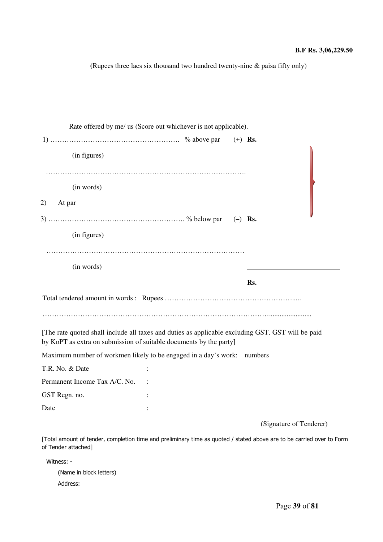**(**Rupees three lacs six thousand two hundred twenty-nine & paisa fifty only)

| Rate offered by me/ us (Score out whichever is not applicable).                                                                                                         |  |           |     |                         |
|-------------------------------------------------------------------------------------------------------------------------------------------------------------------------|--|-----------|-----|-------------------------|
|                                                                                                                                                                         |  | $(+)$ Rs. |     |                         |
| (in figures)                                                                                                                                                            |  |           |     |                         |
| (in words)                                                                                                                                                              |  |           |     |                         |
| 2)<br>At par                                                                                                                                                            |  |           |     |                         |
|                                                                                                                                                                         |  | $(-)$ Rs. |     |                         |
| (in figures)                                                                                                                                                            |  |           |     |                         |
|                                                                                                                                                                         |  |           |     |                         |
| (in words)                                                                                                                                                              |  |           |     |                         |
|                                                                                                                                                                         |  |           | Rs. |                         |
|                                                                                                                                                                         |  |           |     |                         |
|                                                                                                                                                                         |  |           |     |                         |
| [The rate quoted shall include all taxes and duties as applicable excluding GST. GST will be paid<br>by KoPT as extra on submission of suitable documents by the party] |  |           |     |                         |
| Maximum number of workmen likely to be engaged in a day's work: numbers                                                                                                 |  |           |     |                         |
| T.R. No. & Date                                                                                                                                                         |  |           |     |                         |
| Permanent Income Tax A/C. No.                                                                                                                                           |  |           |     |                         |
| GST Regn. no.                                                                                                                                                           |  |           |     |                         |
| Date                                                                                                                                                                    |  |           |     |                         |
|                                                                                                                                                                         |  |           |     | (Sianature of Tandarer) |

(Signature of Tenderer)

[Total amount of tender, completion time and preliminary time as quoted / stated above are to be carried over to Form of Tender attached]

Witness: -

(Name in block letters) Address: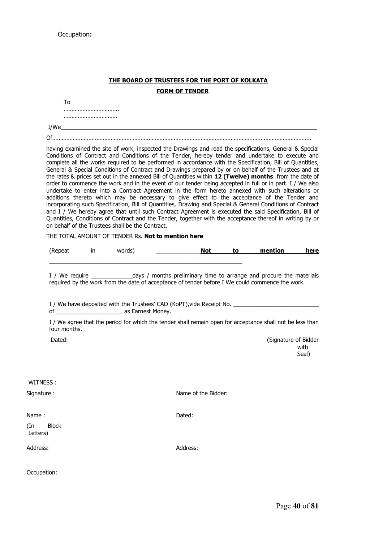### **THE BOARD OF TRUSTEES FOR THE PORT OF KOLKATA FORM OF TENDER**

|                                 |                   |                                                  | I/We                                                                                                                                                                                                                                                                                                                                                                                                                                                                                                                                                                                                                                                                                                                                                                                                                                                                                                                                                                                                                                                                                                                                                                                           |                     |       |                                                                                                                                                                                                            |               |
|---------------------------------|-------------------|--------------------------------------------------|------------------------------------------------------------------------------------------------------------------------------------------------------------------------------------------------------------------------------------------------------------------------------------------------------------------------------------------------------------------------------------------------------------------------------------------------------------------------------------------------------------------------------------------------------------------------------------------------------------------------------------------------------------------------------------------------------------------------------------------------------------------------------------------------------------------------------------------------------------------------------------------------------------------------------------------------------------------------------------------------------------------------------------------------------------------------------------------------------------------------------------------------------------------------------------------------|---------------------|-------|------------------------------------------------------------------------------------------------------------------------------------------------------------------------------------------------------------|---------------|
|                                 |                   |                                                  |                                                                                                                                                                                                                                                                                                                                                                                                                                                                                                                                                                                                                                                                                                                                                                                                                                                                                                                                                                                                                                                                                                                                                                                                |                     |       |                                                                                                                                                                                                            |               |
|                                 |                   | on behalf of the Trustees shall be the Contract. | having examined the site of work, inspected the Drawings and read the specifications, General & Special<br>Conditions of Contract and Conditions of the Tender, hereby tender and undertake to execute and<br>complete all the works required to be performed in accordance with the Specification, Bill of Quantities,<br>General & Special Conditions of Contract and Drawings prepared by or on behalf of the Trustees and at<br>the rates & prices set out in the annexed Bill of Quantities within 12 (Twelve) months from the date of<br>order to commence the work and in the event of our tender being accepted in full or in part. I / We also<br>undertake to enter into a Contract Agreement in the form hereto annexed with such alterations or<br>additions thereto which may be necessary to give effect to the acceptance of the Tender and<br>incorporating such Specification, Bill of Quantities, Drawing and Special & General Conditions of Contract<br>and I / We hereby agree that until such Contract Agreement is executed the said Specification, Bill of<br>Quantities, Conditions of Contract and the Tender, together with the acceptance thereof in writing by or |                     |       |                                                                                                                                                                                                            |               |
|                                 |                   |                                                  | THE TOTAL AMOUNT OF TENDER Rs. Not to mention here                                                                                                                                                                                                                                                                                                                                                                                                                                                                                                                                                                                                                                                                                                                                                                                                                                                                                                                                                                                                                                                                                                                                             |                     |       |                                                                                                                                                                                                            |               |
|                                 | (Repeat in words) |                                                  |                                                                                                                                                                                                                                                                                                                                                                                                                                                                                                                                                                                                                                                                                                                                                                                                                                                                                                                                                                                                                                                                                                                                                                                                | <b>Not</b>          | to to | mention                                                                                                                                                                                                    | here          |
|                                 |                   |                                                  |                                                                                                                                                                                                                                                                                                                                                                                                                                                                                                                                                                                                                                                                                                                                                                                                                                                                                                                                                                                                                                                                                                                                                                                                |                     |       | I / We require _____________________days / months preliminary time to arrange and procure the materials<br>required by the work from the date of acceptance of tender before I We could commence the work. |               |
|                                 |                   |                                                  | I / We have deposited with the Trustees' CAO (KoPT), vide Receipt No. ______________________________<br>I / We agree that the period for which the tender shall remain open for acceptance shall not be less than                                                                                                                                                                                                                                                                                                                                                                                                                                                                                                                                                                                                                                                                                                                                                                                                                                                                                                                                                                              |                     |       |                                                                                                                                                                                                            |               |
| four months.                    |                   |                                                  |                                                                                                                                                                                                                                                                                                                                                                                                                                                                                                                                                                                                                                                                                                                                                                                                                                                                                                                                                                                                                                                                                                                                                                                                |                     |       |                                                                                                                                                                                                            |               |
| Dated:                          |                   |                                                  |                                                                                                                                                                                                                                                                                                                                                                                                                                                                                                                                                                                                                                                                                                                                                                                                                                                                                                                                                                                                                                                                                                                                                                                                |                     |       | (Signature of Bidder                                                                                                                                                                                       | with<br>Seal) |
| WITNESS :                       |                   |                                                  |                                                                                                                                                                                                                                                                                                                                                                                                                                                                                                                                                                                                                                                                                                                                                                                                                                                                                                                                                                                                                                                                                                                                                                                                |                     |       |                                                                                                                                                                                                            |               |
| Signature:                      |                   |                                                  |                                                                                                                                                                                                                                                                                                                                                                                                                                                                                                                                                                                                                                                                                                                                                                                                                                                                                                                                                                                                                                                                                                                                                                                                | Name of the Bidder: |       |                                                                                                                                                                                                            |               |
| Name:                           |                   |                                                  | Dated:                                                                                                                                                                                                                                                                                                                                                                                                                                                                                                                                                                                                                                                                                                                                                                                                                                                                                                                                                                                                                                                                                                                                                                                         |                     |       |                                                                                                                                                                                                            |               |
| <b>Block</b><br>(In<br>Letters) |                   |                                                  |                                                                                                                                                                                                                                                                                                                                                                                                                                                                                                                                                                                                                                                                                                                                                                                                                                                                                                                                                                                                                                                                                                                                                                                                |                     |       |                                                                                                                                                                                                            |               |
| Address:                        |                   |                                                  | Address:                                                                                                                                                                                                                                                                                                                                                                                                                                                                                                                                                                                                                                                                                                                                                                                                                                                                                                                                                                                                                                                                                                                                                                                       |                     |       |                                                                                                                                                                                                            |               |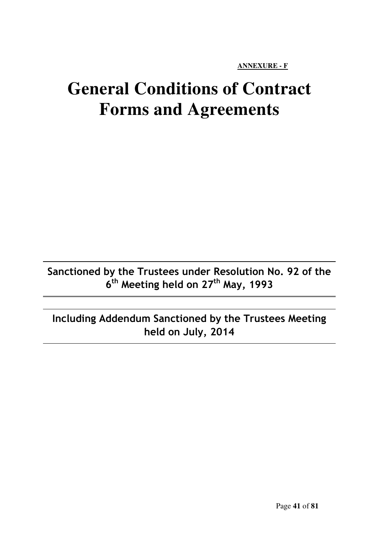**ANNEXURE - F**

# **General Conditions of Contract Forms and Agreements**

**Sanctioned by the Trustees under Resolution No. 92 of the 6 th Meeting held on 27th May, 1993** 

**Including Addendum Sanctioned by the Trustees Meeting held on July, 2014**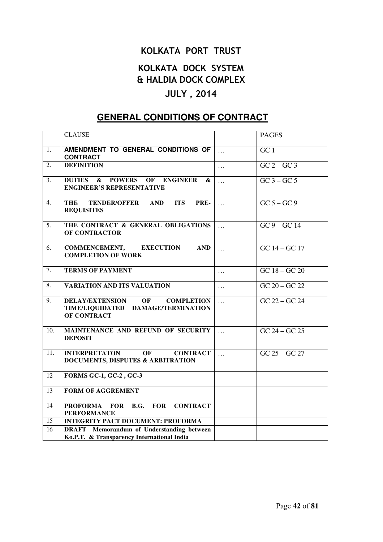# **KOLKATA PORT TRUST**

# **KOLKATA DOCK SYSTEM & HALDIA DOCK COMPLEX**

# **JULY , 2014**

# **GENERAL CONDITIONS OF CONTRACT**

| <b>CLAUSE</b>                                                                                                 |                       | <b>PAGES</b>                    |
|---------------------------------------------------------------------------------------------------------------|-----------------------|---------------------------------|
|                                                                                                               |                       |                                 |
| AMENDMENT TO GENERAL CONDITIONS OF<br><b>CONTRACT</b>                                                         | $\ddots$              | GC <sub>1</sub>                 |
| <b>DEFINITION</b>                                                                                             | $\cdots$              | $GC$ 2 – $GC$ 3                 |
| $\boldsymbol{\&}$<br><b>POWERS</b><br><b>DUTIES</b><br>OF ENGINEER<br>&<br><b>ENGINEER'S REPRESENTATIVE</b>   | $\cdots$              | $GC\overline{3-GC\overline{5}}$ |
| <b>ITS</b><br>PRE-<br>THE<br>TENDER/OFFER AND<br><b>REQUISITES</b>                                            | $\ddotsc$             | $GC 5 - GC 9$                   |
| THE CONTRACT & GENERAL OBLIGATIONS<br><b>OF CONTRACTOR</b>                                                    | $\ddotsc$             | $GC$ 9 – $GC$ 14                |
| <b>COMMENCEMENT,</b><br><b>EXECUTION</b><br><b>AND</b><br><b>COMPLETION OF WORK</b>                           | $\dddot{\phantom{0}}$ | $GC 14 - GC 17$                 |
| <b>TERMS OF PAYMENT</b>                                                                                       | $\cdots$              | $GC 18 - GC 20$                 |
| <b>VARIATION AND ITS VALUATION</b>                                                                            | $\cdots$              | $\overline{GC\ 20-GC\ 22}$      |
| <b>DELAY/EXTENSION</b><br>OF<br><b>COMPLETION</b><br>TIME/LIQUIDATED DAMAGE/TERMINATION<br><b>OF CONTRACT</b> | $\cdots$              | $GC 22 - GC 24$                 |
| MAINTENANCE AND REFUND OF SECURITY<br><b>DEPOSIT</b>                                                          | $\cdots$              | $GC 24 - GC 25$                 |
| <b>OF</b><br><b>INTERPRETATON</b><br><b>CONTRACT</b><br><b>DOCUMENTS, DISPUTES &amp; ARBITRATION</b>          | $\ddotsc$             | $GC 25 - GC 27$                 |
| <b>FORMS GC-1, GC-2, GC-3</b>                                                                                 |                       |                                 |
| <b>FORM OF AGGREMENT</b>                                                                                      |                       |                                 |
| PROFORMA FOR<br><b>CONTRACT</b><br><b>FOR</b><br><b>B.G.</b><br><b>PERFORMANCE</b>                            |                       |                                 |
| <b>INTEGRITY PACT DOCUMENT: PROFORMA</b>                                                                      |                       |                                 |
| <b>DRAFT</b> Memorandum of Understanding between<br>Ko.P.T. & Transparency International India                |                       |                                 |
|                                                                                                               |                       |                                 |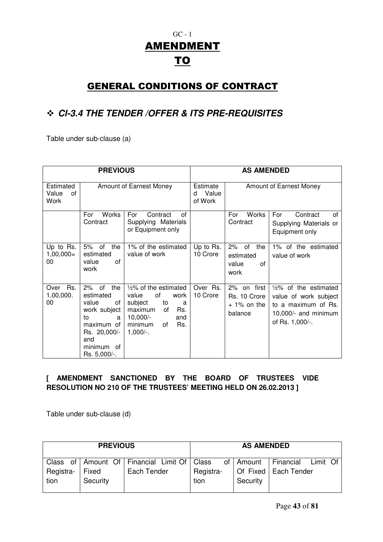# GC - 1 AMENDMENT TO

# GENERAL CONDITIONS OF CONTRACT

# **Cl-3.4 THE TENDER /OFFER & ITS PRE-REQUISITES**

Table under sub-clause (a)

|                                  | <b>PREVIOUS</b>                                                                                                                           |                                                                                                                                                           |                                   | <b>AS AMENDED</b>                                       |                                                                                                                             |
|----------------------------------|-------------------------------------------------------------------------------------------------------------------------------------------|-----------------------------------------------------------------------------------------------------------------------------------------------------------|-----------------------------------|---------------------------------------------------------|-----------------------------------------------------------------------------------------------------------------------------|
| Estimated<br>Value<br>of<br>Work |                                                                                                                                           | Amount of Earnest Money                                                                                                                                   | Estimate<br>Value<br>d<br>of Work |                                                         | Amount of Earnest Money                                                                                                     |
|                                  | Works<br>For<br>Contract                                                                                                                  | For<br>Contract<br>0f<br>Supplying Materials<br>or Equipment only                                                                                         |                                   | Works<br>For<br>Contract                                | Contract<br>For<br>οf<br>Supplying Materials or<br>Equipment only                                                           |
| Up to Rs.<br>$1,00,000=$<br>00   | 5%<br>оf<br>the<br>estimated<br>value<br>οf<br>work                                                                                       | 1% of the estimated<br>value of work                                                                                                                      | Up to Rs.<br>10 Crore             | 2%<br>of<br>the<br>estimated<br>value<br>οf<br>work     | 1% of the estimated<br>value of work                                                                                        |
| Rs.<br>Over<br>1,00,000.<br>00   | 2%<br>the<br>of<br>estimated<br>value<br>of<br>work subject<br>to<br>a<br>maximum of<br>Rs. 20,000/-<br>and<br>minimum of<br>Rs. 5,000/-. | $1/2$ % of the estimated<br>value<br>of<br>work<br>subject<br>to<br>a<br>maximum<br>Rs.<br>0f<br>$10,000/-$<br>and<br>Rs.<br>minimum<br>οf<br>$1,000/-$ . | Over Rs.<br>10 Crore              | 2% on first<br>Rs. 10 Crore<br>$+1\%$ on the<br>balance | $\frac{1}{2}\%$ of the estimated<br>value of work subject<br>to a maximum of Rs.<br>10,000/- and minimum<br>of Rs. 1,000/-. |

### **[ AMENDMENT SANCTIONED BY THE BOARD OF TRUSTEES VIDE RESOLUTION NO 210 OF THE TRUSTEES' MEETING HELD ON 26.02.2013 ]**

Table under sub-clause (d)

|           | <b>PREVIOUS</b> |                                                   |           | <b>AS AMENDED</b> |                        |          |  |
|-----------|-----------------|---------------------------------------------------|-----------|-------------------|------------------------|----------|--|
|           |                 | Class of   Amount Of   Financial Limit Of   Class |           | of   Amount       | Financial              | Limit Of |  |
| Registra- | Fixed           | Each Tender                                       | Registra- |                   | Of Fixed   Each Tender |          |  |
| tion      | Security        |                                                   | tion      | Security          |                        |          |  |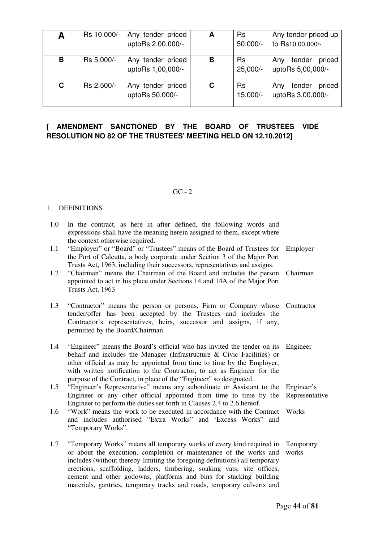| A | Rs 10,000/- | Any tender priced<br>uptoRs 2,00,000/- | A | <b>Rs</b><br>$50,000/-$ | Any tender priced up<br>to Rs10,00,000/-     |
|---|-------------|----------------------------------------|---|-------------------------|----------------------------------------------|
| B | Rs 5,000/-  | Any tender priced<br>uptoRs 1,00,000/- | в | <b>Rs</b><br>$25,000/-$ | tender<br>priced<br>Anv<br>uptoRs 5,00,000/- |
| C | Rs 2,500/-  | Any tender priced<br>uptoRs 50,000/-   | С | <b>Rs</b><br>15,000/-   | tender<br>priced<br>Any<br>uptoRs 3,00,000/- |

### **[ AMENDMENT SANCTIONED BY THE BOARD OF TRUSTEES VIDE RESOLUTION NO 82 OF THE TRUSTEES' MEETING HELD ON 12.10.2012]**

#### $GC - 2$

#### 1. DEFINITIONS

- 1.0 In the contract, as here in after defined, the following words and expressions shall have the meaning herein assigned to them, except where the context otherwise required.
- 1.1 "Employer" or "Board" or "Trustees" means of the Board of Trustees for the Port of Calcutta, a body corporate under Section 3 of the Major Port Trusts Act, 1963, including their successors, representatives and assigns. Employer
- 1.2 "Chairman" means the Chairman of the Board and includes the person appointed to act in his place under Sections 14 and 14A of the Major Port Trusts Act, 1963 Chairman
- 1.3 "Contractor" means the person or persons, Firm or Company whose Contractor tender/offer has been accepted by the Trustees and includes the Contractor's representatives, heirs, successor and assigns, if any, permitted by the Board/Chairman.
- 1.4 "Engineer" means the Board's official who has invited the tender on its behalf and includes the Manager (Infrastructure & Civic Facilities) or other official as may be appointed from time to time by the Employer, with written notification to the Contractor, to act as Engineer for the purpose of the Contract, in place of the "Engineer" so designated. Engineer
- 1.5 "Engineer's Representative" means any subordinate or Assistant to the Engineer or any other official appointed from time to time by the Engineer to perform the duties set forth in Clauses 2.4 to 2.6 hereof. Engineer's Representative
- 1.6 "Work" means the work to be executed in accordance with the Contract and includes authorised "Extra Works" and 'Excess Works" and "Temporary Works". Works
- 1.7 "Temporary Works" means all temporary works of every kind required in or about the execution, completion or maintenance of the works and includes (without thereby limiting the foregoing definitions) all temporary erections, scaffolding, ladders, timbering, soaking vats, site offices, cement and other godowns, platforms and bins for stacking building materials, gantries, temporary tracks and roads, temporary culverts and Temporary works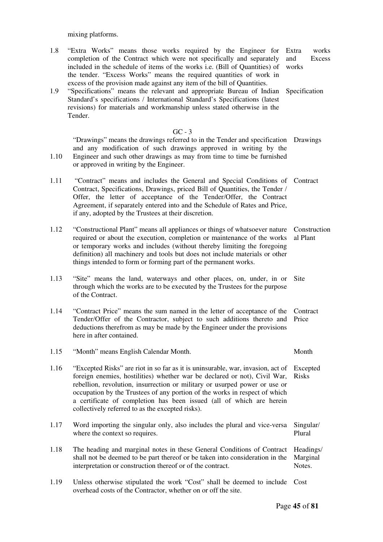mixing platforms.

1.10

- 1.8 "Extra Works" means those works required by the Engineer for completion of the Contract which were not specifically and separately included in the schedule of items of the works i.e. (Bill of Quantities) of the tender. "Excess Works" means the required quantities of work in excess of the provision made against any item of the bill of Quantities. Extra works and Excess works Specification
- 1.9 "Specifications" means the relevant and appropriate Bureau of Indian Standard's specifications / International Standard's Specifications (latest revisions) for materials and workmanship unless stated otherwise in the Tender.

#### $GC - 3$

"Drawings" means the drawings referred to in the Tender and specification Drawings and any modification of such drawings approved in writing by the Engineer and such other drawings as may from time to time be furnished or approved in writing by the Engineer.

- 1.11 "Contract" means and includes the General and Special Conditions of Contract Contract, Specifications, Drawings, priced Bill of Quantities, the Tender / Offer, the letter of acceptance of the Tender/Offer, the Contract Agreement, if separately entered into and the Schedule of Rates and Price, if any, adopted by the Trustees at their discretion.
- 1.12 "Constructional Plant" means all appliances or things of whatsoever nature Construction required or about the execution, completion or maintenance of the works al Plant or temporary works and includes (without thereby limiting the foregoing definition) all machinery and tools but does not include materials or other things intended to form or forming part of the permanent works.
- 1.13 "Site" means the land, waterways and other places, on, under, in or Site through which the works are to be executed by the Trustees for the purpose of the Contract.
- 1.14 "Contract Price" means the sum named in the letter of acceptance of the Contract Tender/Offer of the Contractor, subject to such additions thereto and Price deductions therefrom as may be made by the Engineer under the provisions here in after contained.

1.15 "Month" means English Calendar Month. Month

- 1.16 "Excepted Risks" are riot in so far as it is uninsurable, war, invasion, act of Excepted foreign enemies, hostilities) whether war be declared or not), Civil War, Risks rebellion, revolution, insurrection or military or usurped power or use or occupation by the Trustees of any portion of the works in respect of which a certificate of completion has been issued (all of which are herein collectively referred to as the excepted risks).
- 1.17 Word importing the singular only, also includes the plural and vice-versa Singular/ where the context so requires. Plural
- 1.18 The heading and marginal notes in these General Conditions of Contract shall not be deemed to be part thereof or be taken into consideration in the interpretation or construction thereof or of the contract. Headings/ Marginal Notes.
- 1.19 Unless otherwise stipulated the work "Cost" shall be deemed to include Cost overhead costs of the Contractor, whether on or off the site.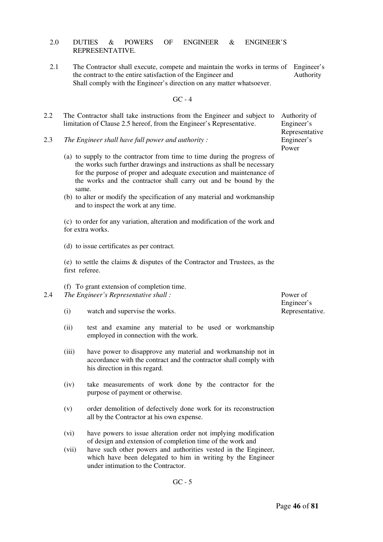#### 2.0 DUTIES & POWERS OF ENGINEER & ENGINEER'S REPRESENTATIVE.

2.1 The Contractor shall execute, compete and maintain the works in terms of Engineer's the contract to the entire satisfaction of the Engineer and Shall comply with the Engineer's direction on any matter whatsoever. Authority

GC - 4

- 2.2 The Contractor shall take instructions from the Engineer and subject to limitation of Clause 2.5 hereof, from the Engineer's Representative.
- 2.3 *The Engineer shall have full power and authority :* 
	- (a) to supply to the contractor from time to time during the progress of the works such further drawings and instructions as shall be necessary for the purpose of proper and adequate execution and maintenance of the works and the contractor shall carry out and be bound by the same.
	- (b) to alter or modify the specification of any material and workmanship and to inspect the work at any time.

(c) to order for any variation, alteration and modification of the work and for extra works.

(d) to issue certificates as per contract.

(e) to settle the claims & disputes of the Contractor and Trustees, as the first referee.

(f) To grant extension of completion time.

- 2.4 *The Engineer's Representative shall :* 
	- (i) watch and supervise the works.
	- (ii) test and examine any material to be used or workmanship employed in connection with the work.
	- (iii) have power to disapprove any material and workmanship not in accordance with the contract and the contractor shall comply with his direction in this regard.
	- (iv) take measurements of work done by the contractor for the purpose of payment or otherwise.
	- (v) order demolition of defectively done work for its reconstruction all by the Contractor at his own expense.
	- (vi) have powers to issue alteration order not implying modification of design and extension of completion time of the work and
	- (vii) have such other powers and authorities vested in the Engineer, which have been delegated to him in writing by the Engineer under intimation to the Contractor.

Authority of Engineer's Representative Engineer's Power

Power of Engineer's Representative.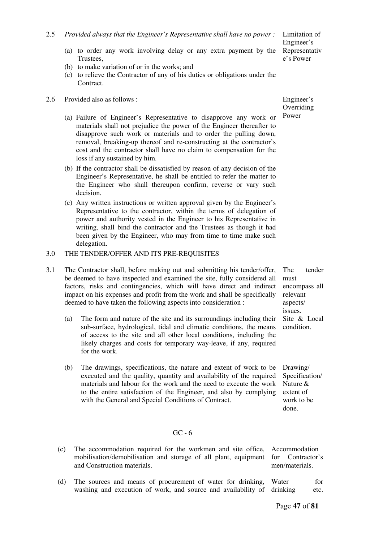- (a) to order any work involving delay or any extra payment by the Trustees,
- (b) to make variation of or in the works; and
- (c) to relieve the Contractor of any of his duties or obligations under the **Contract**
- 2.6 Provided also as follows :
	- (a) Failure of Engineer's Representative to disapprove any work or materials shall not prejudice the power of the Engineer thereafter to disapprove such work or materials and to order the pulling down, removal, breaking-up thereof and re-constructing at the contractor's cost and the contractor shall have no claim to compensation for the loss if any sustained by him.
	- (b) If the contractor shall be dissatisfied by reason of any decision of the Engineer's Representative, he shall be entitled to refer the matter to the Engineer who shall thereupon confirm, reverse or vary such decision.
	- (c) Any written instructions or written approval given by the Engineer's Representative to the contractor, within the terms of delegation of power and authority vested in the Engineer to his Representative in writing, shall bind the contractor and the Trustees as though it had been given by the Engineer, who may from time to time make such delegation.

#### 3.0 THE TENDER/OFFER AND ITS PRE-REQUISITES

- 3.1 The Contractor shall, before making out and submitting his tender/offer, be deemed to have inspected and examined the site, fully considered all factors, risks and contingencies, which will have direct and indirect impact on his expenses and profit from the work and shall be specifically deemed to have taken the following aspects into consideration :
	- (a) The form and nature of the site and its surroundings including their sub-surface, hydrological, tidal and climatic conditions, the means of access to the site and all other local conditions, including the likely charges and costs for temporary way-leave, if any, required for the work.
	- (b) The drawings, specifications, the nature and extent of work to be executed and the quality, quantity and availability of the required materials and labour for the work and the need to execute the work to the entire satisfaction of the Engineer, and also by complying with the General and Special Conditions of Contract.

Engineer's **Overriding** Power

The tender must encompass all relevant aspects/ issues. Site & Local condition.

Drawing/ Specification/ Nature & extent of work to be done.

#### GC - 6

- (c) The accommodation required for the workmen and site office, mobilisation/demobilisation and storage of all plant, equipment and Construction materials. Accommodation for Contractor's men/materials.
- (d) The sources and means of procurement of water for drinking, washing and execution of work, and source and availability of Water for drinking etc.

Page **47** of **81**

Limitation of Engineer's Representativ e's Power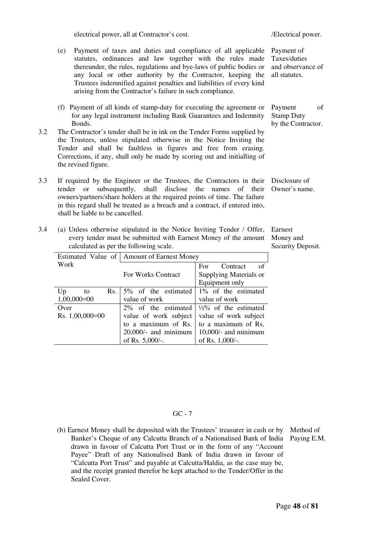electrical power, all at Contractor's cost. /Electrical power.

- (e) Payment of taxes and duties and compliance of all applicable statutes, ordinances and law together with the rules made thereunder, the rules, regulations and bye-laws of public bodies or any local or other authority by the Contractor, keeping the Trustees indemnified against penalties and liabilities of every kind arising from the Contractor's failure in such compliance.
- 

Payment of Taxes/duties and observance of all statutes.

 (f) Payment of all kinds of stamp-duty for executing the agreement or for any legal instrument including Bank Guarantees and Indemnity Bonds. Payment of Stamp Duty by the Contractor.

- 3.2 The Contractor's tender shall be in ink on the Tender Forms supplied by the Trustees, unless stipulated otherwise in the Notice Inviting the Tender and shall be faultless in figures and free from erasing. Corrections, if any, shall only be made by scoring out and initialling of the revised figure.
- 3.3 If required by the Engineer or the Trustees, the Contractors in their tender or subsequently, shall disclose the names of their owners/partners/share holders at the required points of time. The failure in this regard shall be treated as a breach and a contract, if entered into, shall be liable to be cancelled. Disclosure of Owner's name.
- 3.4 (a) Unless otherwise stipulated in the Notice Inviting Tender / Offer, every tender must be submitted with Earnest Money of the amount calculated as per the following scale.

Earnest Money and Security Deposit.

|                   | Estimated Value of   Amount of Earnest Money |                                  |  |  |  |
|-------------------|----------------------------------------------|----------------------------------|--|--|--|
| Work              |                                              | For<br>Contract<br>of            |  |  |  |
|                   | For Works Contract                           | Supplying Materials or           |  |  |  |
|                   |                                              | Equipment only                   |  |  |  |
| Up<br>Rs.<br>to   | 5% of the estimated                          | 1% of the estimated              |  |  |  |
| $1,00,000=00$     | value of work                                | value of work                    |  |  |  |
| Over              | $2\%$ of the estimated                       | $\frac{1}{2}\%$ of the estimated |  |  |  |
| Rs. $1,00,000=00$ | value of work subject                        | value of work subject            |  |  |  |
|                   | to a maximum of Rs.                          | to a maximum of Rs.              |  |  |  |
|                   | $20,000/$ - and minimum                      | $10,000/$ - and minimum          |  |  |  |
|                   | of Rs. 5,000/-.                              | of Rs. $1,000/-$ .               |  |  |  |

 $GC - 7$ 

 (b) Earnest Money shall be deposited with the Trustees' treasurer in cash or by Method of Banker's Cheque of any Calcutta Branch of a Nationalised Bank of India Paying E.M. drawn in favour of Calcutta Port Trust or in the form of any "Account Payee" Draft of any Nationalised Bank of India drawn in favour of "Calcutta Port Trust" and payable at Calcutta/Haldia, as the case may be, and the receipt granted therefor be kept attached to the Tender/Offer in the Sealed Cover.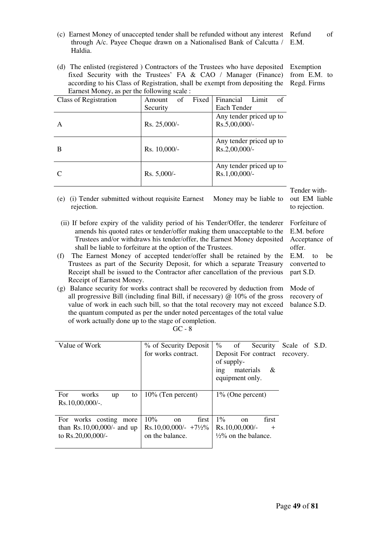- (c) Earnest Money of unaccepted tender shall be refunded without any interest through A/c. Payee Cheque drawn on a Nationalised Bank of Calcutta / Haldia. Refund of E.M.
- (d) The enlisted (registered ) Contractors of the Trustees who have deposited fixed Security with the Trustees' FA & CAO / Manager (Finance) according to his Class of Registration, shall be exempt from depositing the Earnest Money, as per the following scale  $\cdot$ Exemption from E.M. to Regd. Firms

| Earnest Money, as per the following scale: |               |       |                         |       |    |
|--------------------------------------------|---------------|-------|-------------------------|-------|----|
| Class of Registration                      | οf<br>Amount  | Fixed | Financial               | Limit | of |
|                                            | Security      |       | Each Tender             |       |    |
|                                            |               |       | Any tender priced up to |       |    |
| A                                          | Rs. 25,000/-  |       | Rs.5,00,000/-           |       |    |
|                                            |               |       |                         |       |    |
|                                            |               |       | Any tender priced up to |       |    |
| B                                          | Rs. 10,000/-  |       | Rs.2,00,000/-           |       |    |
|                                            |               |       |                         |       |    |
|                                            |               |       | Any tender priced up to |       |    |
| C                                          | $Rs. 5,000/-$ |       | $Rs.1,00,000/-$         |       |    |
|                                            |               |       |                         |       |    |

(e) (i) Tender submitted without requisite Earnest Money may be liable to rejection.

- (ii) If before expiry of the validity period of his Tender/Offer, the tenderer amends his quoted rates or tender/offer making them unacceptable to the Trustees and/or withdraws his tender/offer, the Earnest Money deposited shall be liable to forfeiture at the option of the Trustees.
- (f) The Earnest Money of accepted tender/offer shall be retained by the Trustees as part of the Security Deposit, for which a separate Treasury Receipt shall be issued to the Contractor after cancellation of the previous Receipt of Earnest Money.
- (g) Balance security for works contract shall be recovered by deduction from all progressive Bill (including final Bill, if necessary)  $\omega$  10% of the gross value of work in each such bill, so that the total recovery may not exceed the quantum computed as per the under noted percentages of the total value of work actually done up to the stage of completion.

 $GC - 8$ 

| Value of Work                                                                   | % of Security Deposit<br>for works contract.                                          | $\%$<br>of<br>Security<br>Deposit For contract recovery.<br>of supply-<br>ing<br>materials<br>-&<br>equipment only. | Scale of S.D. |
|---------------------------------------------------------------------------------|---------------------------------------------------------------------------------------|---------------------------------------------------------------------------------------------------------------------|---------------|
| For<br>works<br>to<br>up<br>Rs.10,00,000/-.                                     | $10\%$ (Ten percent)                                                                  | $1\%$ (One percent)                                                                                                 |               |
| For works costing<br>more<br>than $Rs.10,00,000/$ - and up<br>to Rs.20,00,000/- | 10%<br>first<br><sub>on</sub><br>$Rs.10,00,000/ - +7\frac{1}{2}\%$<br>on the balance. | $1\%$<br>first<br>on<br>Rs.10,00,000/-<br>$^{+}$<br>$\frac{1}{2}\%$ on the balance.                                 |               |

Tender without EM liable to rejection.

Forfeiture of E.M. before Acceptance of

offer. E.M. to be converted to part S.D.

Mode of recovery of balance S.D.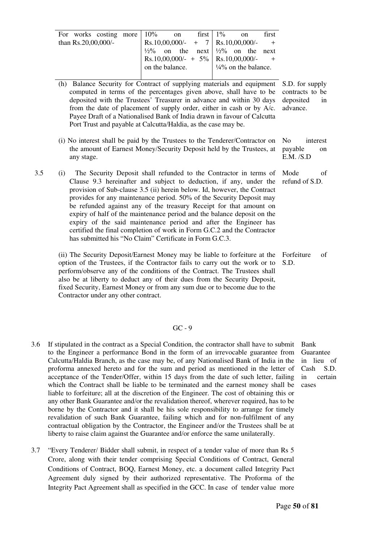| For works costing more $10\%$ on first $1\%$ |  |                 |  |                                                         |                                 | on | first |
|----------------------------------------------|--|-----------------|--|---------------------------------------------------------|---------------------------------|----|-------|
| than $Rs.20,00,000/$ -                       |  |                 |  | $RS.10,00,000/ - + 7   Rs.10,00,000/ - +$               |                                 |    |       |
|                                              |  |                 |  | $\frac{1}{2}\%$ on the next $\frac{1}{2}\%$ on the next |                                 |    |       |
|                                              |  |                 |  | Rs.10,00,000/- + 5%   Rs.10,00,000/- +                  |                                 |    |       |
|                                              |  | on the balance. |  |                                                         | $\frac{1}{4}\%$ on the balance. |    |       |
|                                              |  |                 |  |                                                         |                                 |    |       |

 (h) Balance Security for Contract of supplying materials and equipment computed in terms of the percentages given above, shall have to be deposited with the Trustees' Treasurer in advance and within 30 days from the date of placement of supply order, either in cash or by A/c. Payee Draft of a Nationalised Bank of India drawn in favour of Calcutta Port Trust and payable at Calcutta/Haldia, as the case may be.

S.D. for supply contracts to be deposited in advance.

Mode of refund of S.D.

- (i) No interest shall be paid by the Trustees to the Tenderer/Contractor on the amount of Earnest Money/Security Deposit held by the Trustees, at any stage. No interest payable on E.M. /S.D
- 3.5 (i) The Security Deposit shall refunded to the Contractor in terms of Clause 9.3 hereinafter and subject to deduction, if any, under the provision of Sub-clause 3.5 (ii) herein below. Id, however, the Contract provides for any maintenance period. 50% of the Security Deposit may be refunded against any of the treasury Receipt for that amount on expiry of half of the maintenance period and the balance deposit on the expiry of the said maintenance period and after the Engineer has certified the final completion of work in Form G.C.2 and the Contractor has submitted his "No Claim" Certificate in Form G.C.3.

 (ii) The Security Deposit/Earnest Money may be liable to forfeiture at the option of the Trustees, if the Contractor fails to carry out the work or to perform/observe any of the conditions of the Contract. The Trustees shall also be at liberty to deduct any of their dues from the Security Deposit, fixed Security, Earnest Money or from any sum due or to become due to the Contractor under any other contract. Forfeiture of S.D.

GC - 9

- 3.6 If stipulated in the contract as a Special Condition, the contractor shall have to submit to the Engineer a performance Bond in the form of an irrevocable guarantee from Calcutta/Haldia Branch, as the case may be, of any Nationalised Bank of India in the proforma annexed hereto and for the sum and period as mentioned in the letter of acceptance of the Tender/Offer, within 15 days from the date of such letter, failing which the Contract shall be liable to be terminated and the earnest money shall be liable to forfeiture; all at the discretion of the Engineer. The cost of obtaining this or any other Bank Guarantee and/or the revalidation thereof, wherever required, has to be borne by the Contractor and it shall be his sole responsibility to arrange for timely revalidation of such Bank Guarantee, failing which and for non-fulfilment of any contractual obligation by the Contractor, the Engineer and/or the Trustees shall be at liberty to raise claim against the Guarantee and/or enforce the same unilaterally.
- 3.7 "Every Tenderer/ Bidder shall submit, in respect of a tender value of more than Rs 5 Crore, along with their tender comprising Special Conditions of Contract, General Conditions of Contract, BOQ, Earnest Money, etc. a document called Integrity Pact Agreement duly signed by their authorized representative. The Proforma of the Integrity Pact Agreement shall as specified in the GCC. In case of tender value more

Bank Guarantee in lieu of Cash S.D. in certain cases

Page **50** of **81**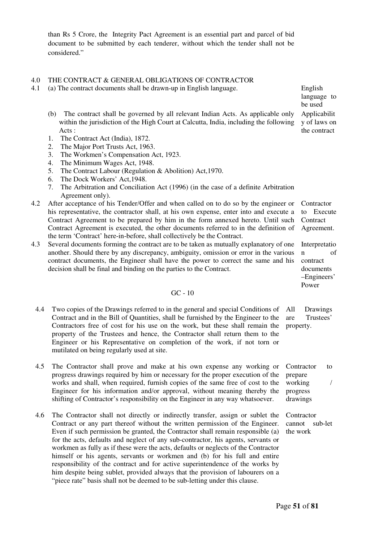than Rs 5 Crore, the Integrity Pact Agreement is an essential part and parcel of bid document to be submitted by each tenderer, without which the tender shall not be considered."

#### 4.0 THE CONTRACT & GENERAL OBLIGATIONS OF CONTRACTOR

- 4.1 (a) The contract documents shall be drawn-up in English language. English
	- (b) The contract shall be governed by all relevant Indian Acts. As applicable only within the jurisdiction of the High Court at Calcutta, India, including the following Acts :
	- 1. The Contract Act (India), 1872.
	- 2. The Major Port Trusts Act, 1963.
	- 3. The Workmen's Compensation Act, 1923.
	- 4. The Minimum Wages Act, 1948.
	- 5. The Contract Labour (Regulation & Abolition) Act,1970.
	- 6. The Dock Workers' Act,1948.
	- 7. The Arbitration and Conciliation Act (1996) (in the case of a definite Arbitration Agreement only).
- 4.2 After acceptance of his Tender/Offer and when called on to do so by the engineer or his representative, the contractor shall, at his own expense, enter into and execute a Contract Agreement to be prepared by him in the form annexed hereto. Until such Contract Agreement is executed, the other documents referred to in the definition of the term 'Contract' here-in-before, shall collectively be the Contract. **Contractor** to Execute **Contract** Agreement.
- 4.3 Several documents forming the contract are to be taken as mutually explanatory of one another. Should there by any discrepancy, ambiguity, omission or error in the various contract documents, the Engineer shall have the power to correct the same and his decision shall be final and binding on the parties to the Contract.
- Interpretatio n of contract documents –Engineers'

Power

GC - 10

- 4.4 Two copies of the Drawings referred to in the general and special Conditions of Contract and in the Bill of Quantities, shall be furnished by the Engineer to the Contractors free of cost for his use on the work, but these shall remain the property of the Trustees and hence, the Contractor shall return them to the Engineer or his Representative on completion of the work, if not torn or mutilated on being regularly used at site. All Drawings are Trustees' property.
- 4.5 The Contractor shall prove and make at his own expense any working or progress drawings required by him or necessary for the proper execution of the works and shall, when required, furnish copies of the same free of cost to the Engineer for his information and/or approval, without meaning thereby the shifting of Contractor's responsibility on the Engineer in any way whatsoever.
- 4.6 The Contractor shall not directly or indirectly transfer, assign or sublet the Contract or any part thereof without the written permission of the Engineer. Even if such permission be granted, the Contractor shall remain responsible (a) for the acts, defaults and neglect of any sub-contractor, his agents, servants or workmen as fully as if these were the acts, defaults or neglects of the Contractor himself or his agents, servants or workmen and (b) for his full and entire responsibility of the contract and for active superintendence of the works by him despite being sublet, provided always that the provision of labourers on a "piece rate" basis shall not be deemed to be sub-letting under this clause.

Contractor to prepare working / progress drawings

**Contractor** cannot sub-let the work

language to be used Applicabilit

y of laws on the contract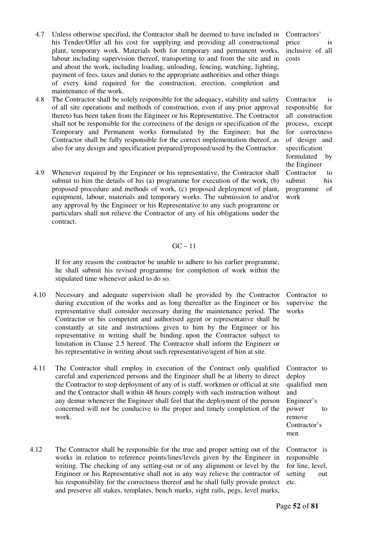- 4.7 Unless otherwise specified, the Contractor shall be deemed to have included in his Tender/Offer all his cost for supplying and providing all constructional plant, temporary work. Materials both for temporary and permanent works, labour including supervision thereof, transporting to and from the site and in and about the work, including loading, unloading, fencing, watching, lighting, payment of fees, taxes and duties to the appropriate authorities and other things of every kind required for the construction, erection, completion and maintenance of the work.
- 4.8 The Contractor shall be solely responsible for the adequacy, stability and safety of all site operations and methods of construction, even if any prior approval thereto has been taken from the Engineer or his Representative. The Contractor shall not be responsible for the correctness of the design or specification of the Temporary and Permanent works formulated by the Engineer; but the Contractor shall be fully responsible for the correct implementation thereof, as also for any design and specification prepared/proposed/used by the Contractor.
- 4.9 Whenever required by the Engineer or his representative, the Contractor shall submit to him the details of his (a) programme for execution of the work, (b) proposed procedure and methods of work, (c) proposed deployment of plant, equipment, labour, materials and temporary works. The submission to and/or any approval by the Engineer or his Representative to any such programme or particulars shall not relieve the Contractor of any of his obligations under the contract.

Contractors' price is inclusive of all costs

Contractor is responsible for all construction process, except for correctness of design and specification formulated by the Engineer Contractor to submit his programme of work

#### $GC - 11$

 If for any reason the contractor be unable to adhere to his earlier programme, he shall submit his revised programme for completion of work within the stipulated time whenever asked to do so.

- 4.10 Necessary and adequate supervision shall be provided by the Contractor during execution of the works and as long thereafter as the Engineer or his representative shall consider necessary during the maintenance period. The Contractor or his competent and authorised agent or representative shall be constantly at site and instructions given to him by the Engineer or his representative in writing shall be binding upon the Contractor subject to limitation in Clause 2.5 hereof. The Contractor shall inform the Engineer or his representative in writing about such representative/agent of him at site.
- 4.11 The Contractor shall employ in execution of the Contract only qualified careful and experienced persons and the Engineer shall be at liberty to direct the Contractor to stop deployment of any of is staff, workmen or official at site and the Contractor shall within 48 hours comply with such instruction without any demur whenever the Engineer shall feel that the deployment of the person concerned will not be conducive to the proper and timely completion of the work.
- 4.12 The Contractor shall be responsible for the true and proper setting out of the works in relation to reference points/lines/levels given by the Engineer in writing. The checking of any setting-out or of any alignment or level by the Engineer or his Representative shall not in any way relieve the contractor of his responsibility for the correctness thereof and he shall fully provide protect and preserve all stakes, templates, bench marks, sight rails, pegs, level marks,

Contractor to supervise the works

Contractor to deploy qualified men and Engineer's power to remove Contractor's men

Contractor is responsible for line, level, setting out etc.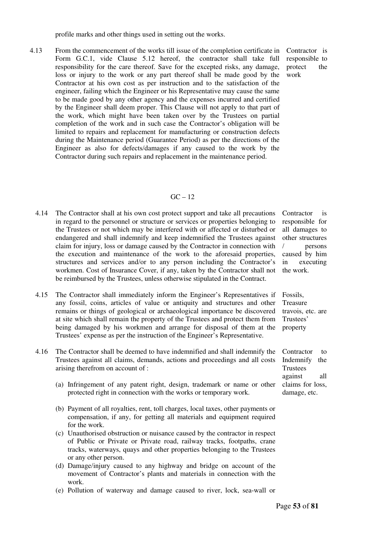profile marks and other things used in setting out the works.

4.13 From the commencement of the works till issue of the completion certificate in Form G.C.1, vide Clause 5.12 hereof, the contractor shall take full responsibility for the care thereof. Save for the excepted risks, any damage, loss or injury to the work or any part thereof shall be made good by the Contractor at his own cost as per instruction and to the satisfaction of the engineer, failing which the Engineer or his Representative may cause the same to be made good by any other agency and the expenses incurred and certified by the Engineer shall deem proper. This Clause will not apply to that part of the work, which might have been taken over by the Trustees on partial completion of the work and in such case the Contractor's obligation will be limited to repairs and replacement for manufacturing or construction defects during the Maintenance period (Guarantee Period) as per the directions of the Engineer as also for defects/damages if any caused to the work by the Contractor during such repairs and replacement in the maintenance period.

Contractor is responsible to protect the work

#### $GC - 12$

- 4.14 The Contractor shall at his own cost protect support and take all precautions in regard to the personnel or structure or services or properties belonging to the Trustees or not which may be interfered with or affected or disturbed or endangered and shall indemnify and keep indemnified the Trustees against claim for injury, loss or damage caused by the Contractor in connection with the execution and maintenance of the work to the aforesaid properties, structures and services and/or to any person including the Contractor's workmen. Cost of Insurance Cover, if any, taken by the Contractor shall not be reimbursed by the Trustees, unless otherwise stipulated in the Contract.
- 4.15 The Contractor shall immediately inform the Engineer's Representatives if any fossil, coins, articles of value or antiquity and structures and other remains or things of geological or archaeological importance be discovered at site which shall remain the property of the Trustees and protect them from being damaged by his workmen and arrange for disposal of them at the Trustees' expense as per the instruction of the Engineer's Representative.
- Contractor is responsible for all damages to other structures / persons caused by him in executing the work.

Fossils, Treasure travois, etc. are Trustees' property

Contractor to Indemnify the Trustees against all claims for loss, damage, etc.

- 4.16 The Contractor shall be deemed to have indemnified and shall indemnify the Trustees against all claims, demands, actions and proceedings and all costs arising therefrom on account of :
	- (a) Infringement of any patent right, design, trademark or name or other protected right in connection with the works or temporary work.
	- (b) Payment of all royalties, rent, toll charges, local taxes, other payments or compensation, if any, for getting all materials and equipment required for the work.
	- (c) Unauthorised obstruction or nuisance caused by the contractor in respect of Public or Private or Private road, railway tracks, footpaths, crane tracks, waterways, quays and other properties belonging to the Trustees or any other person.
	- (d) Damage/injury caused to any highway and bridge on account of the movement of Contractor's plants and materials in connection with the work.
	- (e) Pollution of waterway and damage caused to river, lock, sea-wall or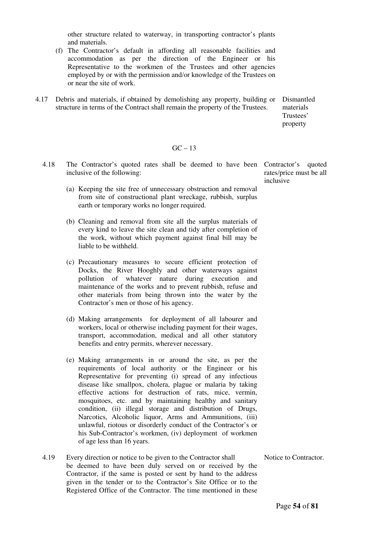other structure related to waterway, in transporting contractor's plants and materials.

- (f) The Contractor's default in affording all reasonable facilities and accommodation as per the direction of the Engineer or his Representative to the workmen of the Trustees and other agencies employed by or with the permission and/or knowledge of the Trustees on or near the site of work.
- 4.17 Debris and materials, if obtained by demolishing any property, building or Dismantled structure in terms of the Contract shall remain the property of the Trustees. materials

Trustees' property

#### $GC - 13$

- 4.18 The Contractor's quoted rates shall be deemed to have been Contractor's quoted inclusive of the following: rates/price must be all inclusive
	- (a) Keeping the site free of unnecessary obstruction and removal from site of constructional plant wreckage, rubbish, surplus earth or temporary works no longer required.
	- (b) Cleaning and removal from site all the surplus materials of every kind to leave the site clean and tidy after completion of the work, without which payment against final bill may be liable to be withheld.
	- (c) Precautionary measures to secure efficient protection of Docks, the River Hooghly and other waterways against pollution of whatever nature during execution and maintenance of the works and to prevent rubbish, refuse and other materials from being thrown into the water by the Contractor's men or those of his agency.
	- (d) Making arrangements for deployment of all labourer and workers, local or otherwise including payment for their wages, transport, accommodation, medical and all other statutory benefits and entry permits, wherever necessary.
	- (e) Making arrangements in or around the site, as per the requirements of local authority or the Engineer or his Representative for preventing (i) spread of any infectious disease like smallpox, cholera, plague or malaria by taking effective actions for destruction of rats, mice, vermin, mosquitoes, etc. and by maintaining healthy and sanitary condition, (ii) illegal storage and distribution of Drugs, Narcotics, Alcoholic liquor, Arms and Ammunitions, (iii) unlawful, riotous or disorderly conduct of the Contractor's or his Sub-Contractor's workmen, (iv) deployment of workmen of age less than 16 years.
- 4.19 Every direction or notice to be given to the Contractor shall be deemed to have been duly served on or received by the Contractor, if the same is posted or sent by hand to the address given in the tender or to the Contractor's Site Office or to the Registered Office of the Contractor. The time mentioned in these

Notice to Contractor.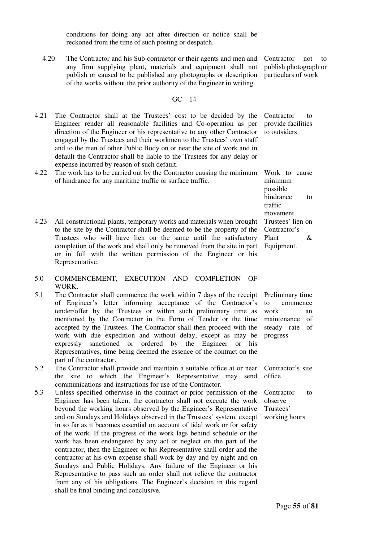conditions for doing any act after direction or notice shall be reckoned from the time of such posting or despatch.

4.20 The Contractor and his Sub-contractor or their agents and men and any firm supplying plant, materials and equipment shall not publish or caused to be published any photographs or description of the works without the prior authority of the Engineer in writing.

$$
GC-14
$$

- 4.21 The Contractor shall at the Trustees' cost to be decided by the Engineer render all reasonable facilities and Co-operation as per direction of the Engineer or his representative to any other Contractor engaged by the Trustees and their workmen to the Trustees' own staff and to the men of other Public Body on or near the site of work and in default the Contractor shall be liable to the Trustees for any delay or expense incurred by reason of such default.
- 4.22 The work has to be carried out by the Contractor causing the minimum of hindrance for any maritime traffic or surface traffic.
- 4.23 All constructional plants, temporary works and materials when brought to the site by the Contractor shall be deemed to be the property of the Trustees who will have lien on the same until the satisfactory completion of the work and shall only be removed from the site in part or in full with the written permission of the Engineer or his Representative.
- 5.0 COMMENCEMENT, EXECUTION AND COMPLETION OF WORK.
- 5.1 The Contractor shall commence the work within 7 days of the receipt of Engineer's letter informing acceptance of the Contractor's tender/offer by the Trustees or within such preliminary time as mentioned by the Contractor in the Form of Tender or the time accepted by the Trustees. The Contractor shall then proceed with the work with due expedition and without delay, except as may be expressly sanctioned or ordered by the Engineer or his Representatives, time being deemed the essence of the contract on the part of the contractor.
- 5.2 The Contractor shall provide and maintain a suitable office at or near the site to which the Engineer's Representative may send communications and instructions for use of the Contractor.
- 5.3 Unless specified otherwise in the contract or prior permission of the Engineer has been taken, the contractor shall not execute the work beyond the working hours observed by the Engineer's Representative and on Sundays and Holidays observed in the Trustees' system, except in so far as it becomes essential on account of tidal work or for safety of the work. If the progress of the work lags behind schedule or the work has been endangered by any act or neglect on the part of the contractor, then the Engineer or his Representative shall order and the contractor at his own expense shall work by day and by night and on Sundays and Public Holidays. Any failure of the Engineer or his Representative to pass such an order shall not relieve the contractor from any of his obligations. The Engineer's decision in this regard shall be final binding and conclusive.

Contractor to provide facilities to outsiders

Work to cause minimum possible hindrance to traffic movement Trustees' lien on Contractor's Plant & Equipment.

Preliminary time to commence work an maintenance of steady rate of progress

Contractor's site office

Contractor to observe Trustees' working hours

Contractor not to publish photograph or particulars of work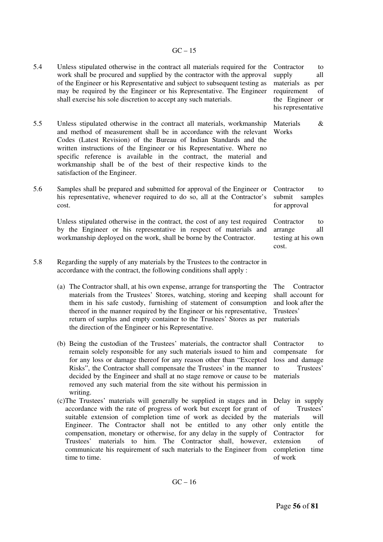### $GC - 15$

| 5.4 | Unless stipulated otherwise in the contract all materials required for the<br>work shall be procured and supplied by the contractor with the approval<br>of the Engineer or his Representative and subject to subsequent testing as<br>may be required by the Engineer or his Representative. The Engineer<br>shall exercise his sole discretion to accept any such materials.                                                                                                                                   | Contractor<br>to<br>supply<br>all<br>materials as<br>per<br>requirement<br>of<br>the Engineer or<br>his representative                               |
|-----|------------------------------------------------------------------------------------------------------------------------------------------------------------------------------------------------------------------------------------------------------------------------------------------------------------------------------------------------------------------------------------------------------------------------------------------------------------------------------------------------------------------|------------------------------------------------------------------------------------------------------------------------------------------------------|
| 5.5 | Unless stipulated otherwise in the contract all materials, workmanship<br>and method of measurement shall be in accordance with the relevant<br>Codes (Latest Revision) of the Bureau of Indian Standards and the<br>written instructions of the Engineer or his Representative. Where no<br>specific reference is available in the contract, the material and<br>workmanship shall be of the best of their respective kinds to the<br>satisfaction of the Engineer.                                             | Materials<br>&<br>Works                                                                                                                              |
| 5.6 | Samples shall be prepared and submitted for approval of the Engineer or<br>his representative, whenever required to do so, all at the Contractor's<br>cost.                                                                                                                                                                                                                                                                                                                                                      | Contractor<br>to<br>submit<br>samples<br>for approval                                                                                                |
|     | Unless stipulated otherwise in the contract, the cost of any test required<br>by the Engineer or his representative in respect of materials and<br>workmanship deployed on the work, shall be borne by the Contractor.                                                                                                                                                                                                                                                                                           | Contractor<br>to<br>all<br>arrange<br>testing at his own<br>cost.                                                                                    |
| 5.8 | Regarding the supply of any materials by the Trustees to the contractor in<br>accordance with the contract, the following conditions shall apply :                                                                                                                                                                                                                                                                                                                                                               |                                                                                                                                                      |
|     | (a) The Contractor shall, at his own expense, arrange for transporting the<br>materials from the Trustees' Stores, watching, storing and keeping<br>them in his safe custody, furnishing of statement of consumption<br>thereof in the manner required by the Engineer or his representative,<br>return of surplus and empty container to the Trustees' Stores as per<br>the direction of the Engineer or his Representative.                                                                                    | The<br>Contractor<br>shall account for<br>and look after the<br>Trustees'<br>materials                                                               |
|     | (b) Being the custodian of the Trustees' materials, the contractor shall<br>remain solely responsible for any such materials issued to him and<br>for any loss or damage thereof for any reason other than "Excepted<br>Risks", the Contractor shall compensate the Trustees' in the manner<br>decided by the Engineer and shall at no stage remove or cause to be<br>removed any such material from the site without his permission in<br>writing.                                                              | Contractor<br>to<br>compensate<br>for<br>loss and damage<br>Trustees'<br>to<br>materials                                                             |
|     | (c) The Trustees' materials will generally be supplied in stages and in<br>accordance with the rate of progress of work but except for grant of<br>suitable extension of completion time of work as decided by the<br>Engineer. The Contractor shall not be entitled to any other<br>compensation, monetary or otherwise, for any delay in the supply of<br>materials to him. The Contractor shall, however,<br>Trustees'<br>communicate his requirement of such materials to the Engineer from<br>time to time. | Delay in supply<br>Trustees'<br>of<br>materials<br>will<br>only entitle<br>the<br>Contractor<br>for<br>extension<br>of<br>completion time<br>of work |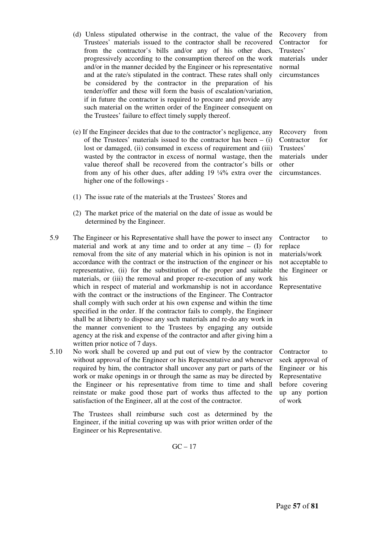- progressively according to the consumption thereof on the work and/or in the manner decided by the Engineer or his representative and at the rate/s stipulated in the contract. These rates shall only be considered by the contractor in the preparation of his tender/offer and these will form the basis of escalation/variation, if in future the contractor is required to procure and provide any such material on the written order of the Engineer consequent on the Trustees' failure to effect timely supply thereof. (e) If the Engineer decides that due to the contractor's negligence, any
- of the Trustees' materials issued to the contractor has been  $-$  (i) lost or damaged, (ii) consumed in excess of requirement and (iii) wasted by the contractor in excess of normal wastage, then the value thereof shall be recovered from the contractor's bills or from any of his other dues, after adding 19 ¼% extra over the higher one of the followings -

 (d) Unless stipulated otherwise in the contract, the value of the Trustees' materials issued to the contractor shall be recovered from the contractor's bills and/or any of his other dues,

- (1) The issue rate of the materials at the Trustees' Stores and
- (2) The market price of the material on the date of issue as would be determined by the Engineer.
- 5.9 The Engineer or his Representative shall have the power to insect any material and work at any time and to order at any time  $-$  (I) for removal from the site of any material which in his opinion is not in accordance with the contract or the instruction of the engineer or his representative, (ii) for the substitution of the proper and suitable materials, or (iii) the removal and proper re-execution of any work which in respect of material and workmanship is not in accordance with the contract or the instructions of the Engineer. The Contractor shall comply with such order at his own expense and within the time specified in the order. If the contractor fails to comply, the Engineer shall be at liberty to dispose any such materials and re-do any work in the manner convenient to the Trustees by engaging any outside agency at the risk and expense of the contractor and after giving him a written prior notice of 7 days.
- 5.10 No work shall be covered up and put out of view by the contractor without approval of the Engineer or his Representative and whenever required by him, the contractor shall uncover any part or parts of the work or make openings in or through the same as may be directed by the Engineer or his representative from time to time and shall reinstate or make good those part of works thus affected to the satisfaction of the Engineer, all at the cost of the contractor.

The Trustees shall reimburse such cost as determined by the Engineer, if the initial covering up was with prior written order of the Engineer or his Representative.

$$
GC-17
$$

Recovery from Contractor for Trustees' materials under normal circumstances

Recovery from Contractor for Trustees' materials under other circumstances.

Contractor to replace materials/work not acceptable to the Engineer or his Representative

Contractor to seek approval of Engineer or his Representative before covering up any portion of work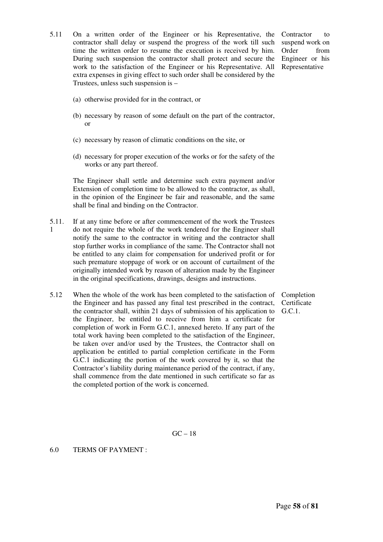- 5.11 On a written order of the Engineer or his Representative, the contractor shall delay or suspend the progress of the work till such time the written order to resume the execution is received by him. During such suspension the contractor shall protect and secure the work to the satisfaction of the Engineer or his Representative. All extra expenses in giving effect to such order shall be considered by the Trustees, unless such suspension is –
- Contractor to suspend work on Order from Engineer or his Representative

- (a) otherwise provided for in the contract, or
- (b) necessary by reason of some default on the part of the contractor, or
- (c) necessary by reason of climatic conditions on the site, or
- (d) necessary for proper execution of the works or for the safety of the works or any part thereof.

The Engineer shall settle and determine such extra payment and/or Extension of completion time to be allowed to the contractor, as shall, in the opinion of the Engineer be fair and reasonable, and the same shall be final and binding on the Contractor.

- 5.11. 1 If at any time before or after commencement of the work the Trustees do not require the whole of the work tendered for the Engineer shall notify the same to the contractor in writing and the contractor shall stop further works in compliance of the same. The Contractor shall not be entitled to any claim for compensation for underived profit or for such premature stoppage of work or on account of curtailment of the originally intended work by reason of alteration made by the Engineer in the original specifications, drawings, designs and instructions.
- 5.12 When the whole of the work has been completed to the satisfaction of the Engineer and has passed any final test prescribed in the contract, the contractor shall, within 21 days of submission of his application to the Engineer, be entitled to receive from him a certificate for completion of work in Form G.C.1, annexed hereto. If any part of the total work having been completed to the satisfaction of the Engineer, be taken over and/or used by the Trustees, the Contractor shall on application be entitled to partial completion certificate in the Form G.C.1 indicating the portion of the work covered by it, so that the Contractor's liability during maintenance period of the contract, if any, shall commence from the date mentioned in such certificate so far as the completed portion of the work is concerned.

Completion **Certificate** G.C.1.

 $GC - 18$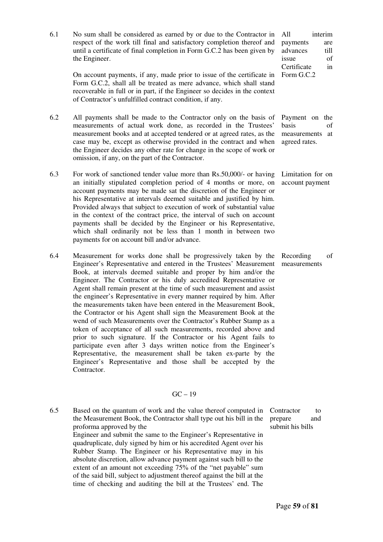6.1 No sum shall be considered as earned by or due to the Contractor in respect of the work till final and satisfactory completion thereof and until a certificate of final completion in Form G.C.2 has been given by the Engineer. On account payments, if any, made prior to issue of the certificate in Form G.C.2, shall all be treated as mere advance, which shall stand recoverable in full or in part, if the Engineer so decides in the context of Contractor's unfulfilled contract condition, if any. All interim payments are advances till issue of Certificate in Form G.C.2 6.2 All payments shall be made to the Contractor only on the basis of measurements of actual work done, as recorded in the Trustees' measurement books and at accepted tendered or at agreed rates, as the case may be, except as otherwise provided in the contract and when the Engineer decides any other rate for change in the scope of work or omission, if any, on the part of the Contractor. Payment on the basis of measurements at agreed rates. 6.3 For work of sanctioned tender value more than Rs.50,000/- or having an initially stipulated completion period of 4 months or more, on account payments may be made sat the discretion of the Engineer or his Representative at intervals deemed suitable and justified by him. Provided always that subject to execution of work of substantial value in the context of the contract price, the interval of such on account payments shall be decided by the Engineer or his Representative, which shall ordinarily not be less than 1 month in between two payments for on account bill and/or advance. Limitation for on account payment 6.4 Measurement for works done shall be progressively taken by the Engineer's Representative and entered in the Trustees' Measurement Book, at intervals deemed suitable and proper by him and/or the Engineer. The Contractor or his duly accredited Representative or Agent shall remain present at the time of such measurement and assist the engineer's Representative in every manner required by him. After the measurements taken have been entered in the Measurement Book, the Contractor or his Agent shall sign the Measurement Book at the wend of such Measurements over the Contractor's Rubber Stamp as a Recording of measurements

token of acceptance of all such measurements, recorded above and prior to such signature. If the Contractor or his Agent fails to participate even after 3 days written notice from the Engineer's Representative, the measurement shall be taken ex-parte by the Engineer's Representative and those shall be accepted by the Contractor.

#### $GC - 19$

6.5 Based on the quantum of work and the value thereof computed in the Measurement Book, the Contractor shall type out his bill in the proforma approved by the Engineer and submit the same to the Engineer's Representative in quadruplicate, duly signed by him or his accredited Agent over his Rubber Stamp. The Engineer or his Representative may in his absolute discretion, allow advance payment against such bill to the extent of an amount not exceeding 75% of the "net payable" sum of the said bill, subject to adjustment thereof against the bill at the time of checking and auditing the bill at the Trustees' end. The

Contractor to prepare and submit his bills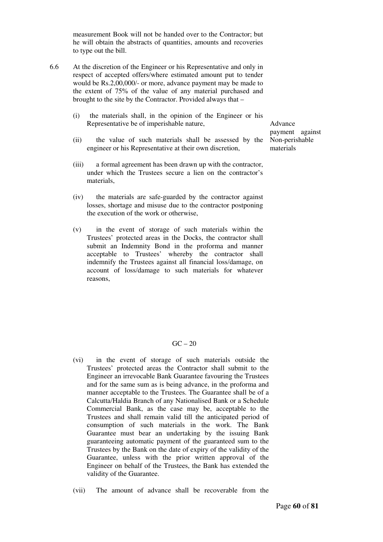measurement Book will not be handed over to the Contractor; but he will obtain the abstracts of quantities, amounts and recoveries to type out the bill.

- 6.6 At the discretion of the Engineer or his Representative and only in respect of accepted offers/where estimated amount put to tender would be Rs.2,00,000/- or more, advance payment may be made to the extent of 75% of the value of any material purchased and brought to the site by the Contractor. Provided always that –
	- (i) the materials shall, in the opinion of the Engineer or his Representative be of imperishable nature,
	- (ii) the value of such materials shall be assessed by the engineer or his Representative at their own discretion,
	- (iii) a formal agreement has been drawn up with the contractor, under which the Trustees secure a lien on the contractor's materials,
	- (iv) the materials are safe-guarded by the contractor against losses, shortage and misuse due to the contractor postponing the execution of the work or otherwise,
	- (v) in the event of storage of such materials within the Trustees' protected areas in the Docks, the contractor shall submit an Indemnity Bond in the proforma and manner acceptable to Trustees' whereby the contractor shall indemnify the Trustees against all financial loss/damage, on account of loss/damage to such materials for whatever reasons,

Advance payment against Non-perishable materials

#### $GC - 20$

- (vi) in the event of storage of such materials outside the Trustees' protected areas the Contractor shall submit to the Engineer an irrevocable Bank Guarantee favouring the Trustees and for the same sum as is being advance, in the proforma and manner acceptable to the Trustees. The Guarantee shall be of a Calcutta/Haldia Branch of any Nationalised Bank or a Schedule Commercial Bank, as the case may be, acceptable to the Trustees and shall remain valid till the anticipated period of consumption of such materials in the work. The Bank Guarantee must bear an undertaking by the issuing Bank guaranteeing automatic payment of the guaranteed sum to the Trustees by the Bank on the date of expiry of the validity of the Guarantee, unless with the prior written approval of the Engineer on behalf of the Trustees, the Bank has extended the validity of the Guarantee.
- (vii) The amount of advance shall be recoverable from the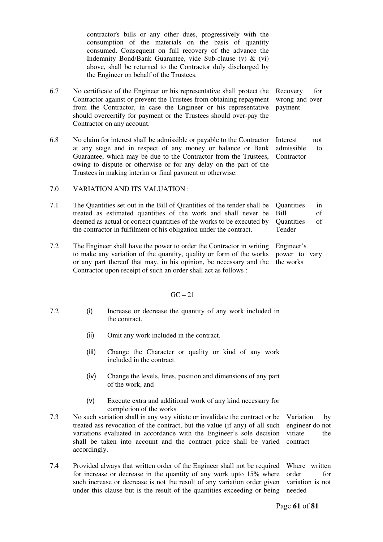contractor's bills or any other dues, progressively with the consumption of the materials on the basis of quantity consumed. Consequent on full recovery of the advance the Indemnity Bond/Bank Guarantee, vide Sub-clause (v) & (vi) above, shall be returned to the Contractor duly discharged by the Engineer on behalf of the Trustees.

- 6.7 No certificate of the Engineer or his representative shall protect the Contractor against or prevent the Trustees from obtaining repayment from the Contractor, in case the Engineer or his representative should overcertify for payment or the Trustees should over-pay the Contractor on any account. Recovery for wrong and over payment
- 6.8 No claim for interest shall be admissible or payable to the Contractor at any stage and in respect of any money or balance or Bank Guarantee, which may be due to the Contractor from the Trustees, owing to dispute or otherwise or for any delay on the part of the Trustees in making interim or final payment or otherwise. Interest not admissible to **Contractor**

#### 7.0 VARIATION AND ITS VALUATION :

- 7.1 The Quantities set out in the Bill of Quantities of the tender shall be treated as estimated quantities of the work and shall never be deemed as actual or correct quantities of the works to be executed by the contractor in fulfilment of his obligation under the contract. Quantities in Bill of Quantities of Tender
- 7.2 The Engineer shall have the power to order the Contractor in writing to make any variation of the quantity, quality or form of the works or any part thereof that may, in his opinion, be necessary and the Contractor upon receipt of such an order shall act as follows : Engineer's power to vary the works

#### $GC - 21$

- 7.2 (i) Increase or decrease the quantity of any work included in the contract.
	- (ii) Omit any work included in the contract.
	- (iii) Change the Character or quality or kind of any work included in the contract.
	- (iv) Change the levels, lines, position and dimensions of any part of the work, and
	- (v) Execute extra and additional work of any kind necessary for completion of the works
- 7.3 No such variation shall in any way vitiate or invalidate the contract or be treated ass revocation of the contract, but the value (if any) of all such variations evaluated in accordance with the Engineer's sole decision shall be taken into account and the contract price shall be varied accordingly. Variation by engineer do not vitiate the contract
- 7.4 Provided always that written order of the Engineer shall not be required for increase or decrease in the quantity of any work upto 15% where such increase or decrease is not the result of any variation order given under this clause but is the result of the quantities exceeding or being variation is not needed

Where written order for

Page **61** of **81**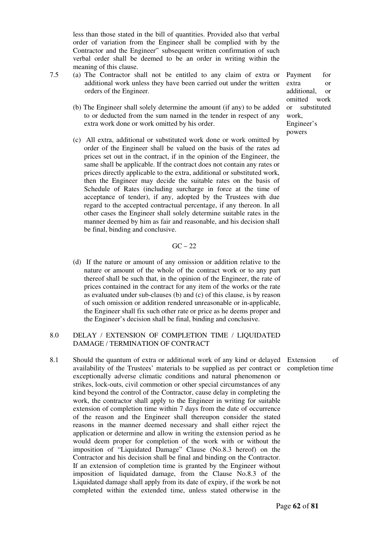less than those stated in the bill of quantities. Provided also that verbal order of variation from the Engineer shall be complied with by the Contractor and the Engineer'' subsequent written confirmation of such verbal order shall be deemed to be an order in writing within the meaning of this clause.

- 7.5 (a) The Contractor shall not be entitled to any claim of extra or additional work unless they have been carried out under the written orders of the Engineer.
	- (b) The Engineer shall solely determine the amount (if any) to be added to or deducted from the sum named in the tender in respect of any extra work done or work omitted by his order.
	- (c) All extra, additional or substituted work done or work omitted by order of the Engineer shall be valued on the basis of the rates ad prices set out in the contract, if in the opinion of the Engineer, the same shall be applicable. If the contract does not contain any rates or prices directly applicable to the extra, additional or substituted work, then the Engineer may decide the suitable rates on the basis of Schedule of Rates (including surcharge in force at the time of acceptance of tender), if any, adopted by the Trustees with due regard to the accepted contractual percentage, if any thereon. In all other cases the Engineer shall solely determine suitable rates in the manner deemed by him as fair and reasonable, and his decision shall be final, binding and conclusive.

 $GC - 22$ 

 (d) If the nature or amount of any omission or addition relative to the nature or amount of the whole of the contract work or to any part thereof shall be such that, in the opinion of the Engineer, the rate of prices contained in the contract for any item of the works or the rate as evaluated under sub-clauses (b) and (c) of this clause, is by reason of such omission or addition rendered unreasonable or in-applicable, the Engineer shall fix such other rate or price as he deems proper and the Engineer's decision shall be final, binding and conclusive.

#### 8.0 DELAY / EXTENSION OF COMPLETION TIME / LIQUIDATED DAMAGE / TERMINATION OF CONTRACT

8.1 Should the quantum of extra or additional work of any kind or delayed availability of the Trustees' materials to be supplied as per contract or exceptionally adverse climatic conditions and natural phenomenon or strikes, lock-outs, civil commotion or other special circumstances of any kind beyond the control of the Contractor, cause delay in completing the work, the contractor shall apply to the Engineer in writing for suitable extension of completion time within 7 days from the date of occurrence of the reason and the Engineer shall thereupon consider the stated reasons in the manner deemed necessary and shall either reject the application or determine and allow in writing the extension period as he would deem proper for completion of the work with or without the imposition of "Liquidated Damage" Clause (No.8.3 hereof) on the Contractor and his decision shall be final and binding on the Contractor. If an extension of completion time is granted by the Engineer without imposition of liquidated damage, from the Clause No.8.3 of the Liquidated damage shall apply from its date of expiry, if the work be not completed within the extended time, unless stated otherwise in the

Payment for extra or additional, or omitted work or substituted work, Engineer's powers

Extension of completion time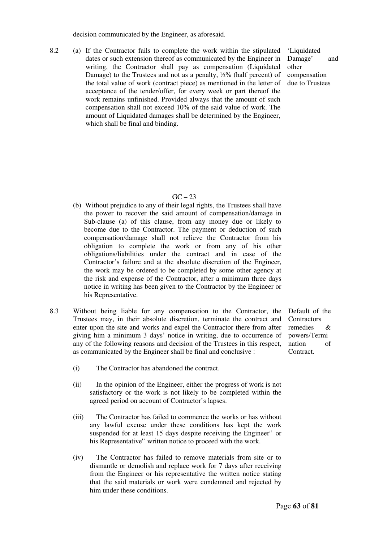decision communicated by the Engineer, as aforesaid.

8.2 (a) If the Contractor fails to complete the work within the stipulated dates or such extension thereof as communicated by the Engineer in writing, the Contractor shall pay as compensation (Liquidated Damage) to the Trustees and not as a penalty,  $\frac{1}{2}\%$  (half percent) of the total value of work (contract piece) as mentioned in the letter of acceptance of the tender/offer, for every week or part thereof the work remains unfinished. Provided always that the amount of such compensation shall not exceed 10% of the said value of work. The amount of Liquidated damages shall be determined by the Engineer, which shall be final and binding.

'Liquidated Damage' and other compensation due to Trustees

#### $GC - 23$

- (b) Without prejudice to any of their legal rights, the Trustees shall have the power to recover the said amount of compensation/damage in Sub-clause (a) of this clause, from any money due or likely to become due to the Contractor. The payment or deduction of such compensation/damage shall not relieve the Contractor from his obligation to complete the work or from any of his other obligations/liabilities under the contract and in case of the Contractor's failure and at the absolute discretion of the Engineer, the work may be ordered to be completed by some other agency at the risk and expense of the Contractor, after a minimum three days notice in writing has been given to the Contractor by the Engineer or his Representative.
- 8.3 Without being liable for any compensation to the Contractor, the Trustees may, in their absolute discretion, terminate the contract and enter upon the site and works and expel the Contractor there from after giving him a minimum 3 days' notice in writing, due to occurrence of any of the following reasons and decision of the Trustees in this respect, as communicated by the Engineer shall be final and conclusive :

Default of the **Contractors** remedies & powers/Termi nation of Contract.

- (i) The Contractor has abandoned the contract.
- (ii) In the opinion of the Engineer, either the progress of work is not satisfactory or the work is not likely to be completed within the agreed period on account of Contractor's lapses.
- (iii) The Contractor has failed to commence the works or has without any lawful excuse under these conditions has kept the work suspended for at least 15 days despite receiving the Engineer'' or his Representative'' written notice to proceed with the work.
- (iv) The Contractor has failed to remove materials from site or to dismantle or demolish and replace work for 7 days after receiving from the Engineer or his representative the written notice stating that the said materials or work were condemned and rejected by him under these conditions.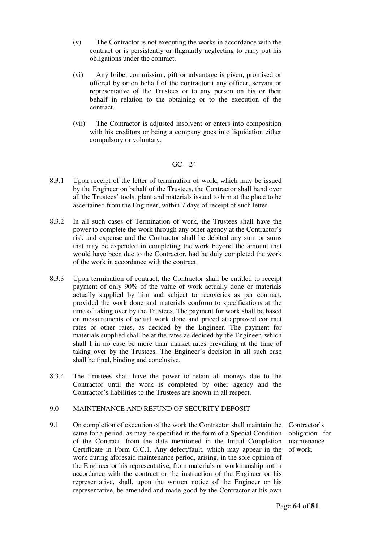- (v) The Contractor is not executing the works in accordance with the contract or is persistently or flagrantly neglecting to carry out his obligations under the contract.
- (vi) Any bribe, commission, gift or advantage is given, promised or offered by or on behalf of the contractor t any officer, servant or representative of the Trustees or to any person on his or their behalf in relation to the obtaining or to the execution of the contract.
- (vii) The Contractor is adjusted insolvent or enters into composition with his creditors or being a company goes into liquidation either compulsory or voluntary.

#### $GC - 24$

- 8.3.1 Upon receipt of the letter of termination of work, which may be issued by the Engineer on behalf of the Trustees, the Contractor shall hand over all the Trustees' tools, plant and materials issued to him at the place to be ascertained from the Engineer, within 7 days of receipt of such letter.
- 8.3.2 In all such cases of Termination of work, the Trustees shall have the power to complete the work through any other agency at the Contractor's risk and expense and the Contractor shall be debited any sum or sums that may be expended in completing the work beyond the amount that would have been due to the Contractor, had he duly completed the work of the work in accordance with the contract.
- 8.3.3 Upon termination of contract, the Contractor shall be entitled to receipt payment of only 90% of the value of work actually done or materials actually supplied by him and subject to recoveries as per contract, provided the work done and materials conform to specifications at the time of taking over by the Trustees. The payment for work shall be based on measurements of actual work done and priced at approved contract rates or other rates, as decided by the Engineer. The payment for materials supplied shall be at the rates as decided by the Engineer, which shall I in no case be more than market rates prevailing at the time of taking over by the Trustees. The Engineer's decision in all such case shall be final, binding and conclusive.
- 8.3.4 The Trustees shall have the power to retain all moneys due to the Contractor until the work is completed by other agency and the Contractor's liabilities to the Trustees are known in all respect.

#### 9.0 MAINTENANCE AND REFUND OF SECURITY DEPOSIT

9.1 On completion of execution of the work the Contractor shall maintain the same for a period, as may be specified in the form of a Special Condition of the Contract, from the date mentioned in the Initial Completion Certificate in Form G.C.1. Any defect/fault, which may appear in the work during aforesaid maintenance period, arising, in the sole opinion of the Engineer or his representative, from materials or workmanship not in accordance with the contract or the instruction of the Engineer or his representative, shall, upon the written notice of the Engineer or his representative, be amended and made good by the Contractor at his own

Contractor's obligation for maintenance of work.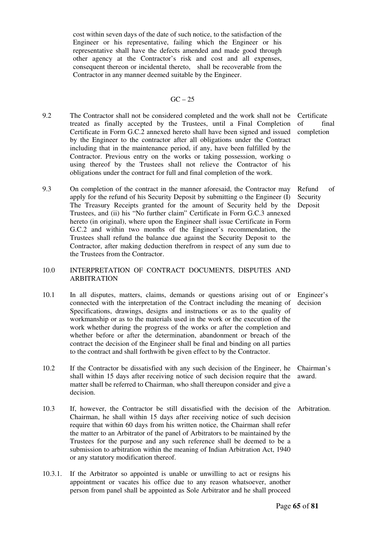cost within seven days of the date of such notice, to the satisfaction of the Engineer or his representative, failing which the Engineer or his representative shall have the defects amended and made good through other agency at the Contractor's risk and cost and all expenses, consequent thereon or incidental thereto, shall be recoverable from the Contractor in any manner deemed suitable by the Engineer.

#### $GC - 25$

- 9.2 The Contractor shall not be considered completed and the work shall not be Certificate treated as finally accepted by the Trustees, until a Final Completion Certificate in Form G.C.2 annexed hereto shall have been signed and issued by the Engineer to the contractor after all obligations under the Contract including that in the maintenance period, if any, have been fulfilled by the Contractor. Previous entry on the works or taking possession, working o using thereof by the Trustees shall not relieve the Contractor of his obligations under the contract for full and final completion of the work.
- 9.3 On completion of the contract in the manner aforesaid, the Contractor may apply for the refund of his Security Deposit by submitting o the Engineer (I) The Treasury Receipts granted for the amount of Security held by the Trustees, and (ii) his "No further claim" Certificate in Form G.C.3 annexed hereto (in original), where upon the Engineer shall issue Certificate in Form G.C.2 and within two months of the Engineer's recommendation, the Trustees shall refund the balance due against the Security Deposit to the Contractor, after making deduction therefrom in respect of any sum due to the Trustees from the Contractor.

#### 10.0 INTERPRETATION OF CONTRACT DOCUMENTS, DISPUTES AND ARBITRATION

- 10.1 In all disputes, matters, claims, demands or questions arising out of or connected with the interpretation of the Contract including the meaning of Specifications, drawings, designs and instructions or as to the quality of workmanship or as to the materials used in the work or the execution of the work whether during the progress of the works or after the completion and whether before or after the determination, abandonment or breach of the contract the decision of the Engineer shall be final and binding on all parties to the contract and shall forthwith be given effect to by the Contractor. decision
- 10.2 If the Contractor be dissatisfied with any such decision of the Engineer, he shall within 15 days after receiving notice of such decision require that the matter shall be referred to Chairman, who shall thereupon consider and give a decision. Chairman's award.
- 10.3 If, however, the Contractor be still dissatisfied with the decision of the Chairman, he shall within 15 days after receiving notice of such decision require that within 60 days from his written notice, the Chairman shall refer the matter to an Arbitrator of the panel of Arbitrators to be maintained by the Trustees for the purpose and any such reference shall be deemed to be a submission to arbitration within the meaning of Indian Arbitration Act, 1940 or any statutory modification thereof. Arbitration.
- 10.3.1. If the Arbitrator so appointed is unable or unwilling to act or resigns his appointment or vacates his office due to any reason whatsoever, another person from panel shall be appointed as Sole Arbitrator and he shall proceed

of final completion

Refund of Security Deposit

Engineer's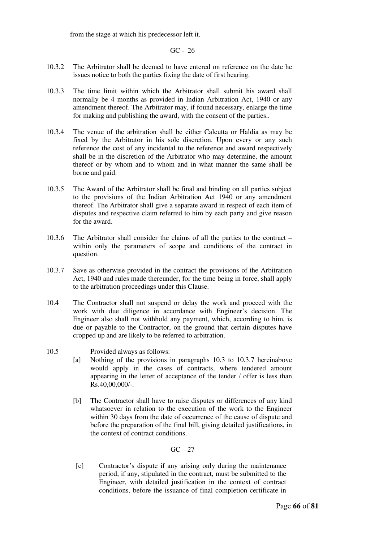from the stage at which his predecessor left it.

GC - 26

- 10.3.2 The Arbitrator shall be deemed to have entered on reference on the date he issues notice to both the parties fixing the date of first hearing.
- 10.3.3 The time limit within which the Arbitrator shall submit his award shall normally be 4 months as provided in Indian Arbitration Act, 1940 or any amendment thereof. The Arbitrator may, if found necessary, enlarge the time for making and publishing the award, with the consent of the parties..
- 10.3.4 The venue of the arbitration shall be either Calcutta or Haldia as may be fixed by the Arbitrator in his sole discretion. Upon every or any such reference the cost of any incidental to the reference and award respectively shall be in the discretion of the Arbitrator who may determine, the amount thereof or by whom and to whom and in what manner the same shall be borne and paid.
- 10.3.5 The Award of the Arbitrator shall be final and binding on all parties subject to the provisions of the Indian Arbitration Act 1940 or any amendment thereof. The Arbitrator shall give a separate award in respect of each item of disputes and respective claim referred to him by each party and give reason for the award.
- 10.3.6 The Arbitrator shall consider the claims of all the parties to the contract within only the parameters of scope and conditions of the contract in question.
- 10.3.7 Save as otherwise provided in the contract the provisions of the Arbitration Act, 1940 and rules made thereunder, for the time being in force, shall apply to the arbitration proceedings under this Clause.
- 10.4 The Contractor shall not suspend or delay the work and proceed with the work with due diligence in accordance with Engineer's decision. The Engineer also shall not withhold any payment, which, according to him, is due or payable to the Contractor, on the ground that certain disputes have cropped up and are likely to be referred to arbitration.
- 10.5 Provided always as follows:
	- [a] Nothing of the provisions in paragraphs 10.3 to 10.3.7 hereinabove would apply in the cases of contracts, where tendered amount appearing in the letter of acceptance of the tender / offer is less than  $Rs.40,00,000/$ -.
	- [b] The Contractor shall have to raise disputes or differences of any kind whatsoever in relation to the execution of the work to the Engineer within 30 days from the date of occurrence of the cause of dispute and before the preparation of the final bill, giving detailed justifications, in the context of contract conditions.

 $GC - 27$ 

 [c] Contractor's dispute if any arising only during the maintenance period, if any, stipulated in the contract, must be submitted to the Engineer, with detailed justification in the context of contract conditions, before the issuance of final completion certificate in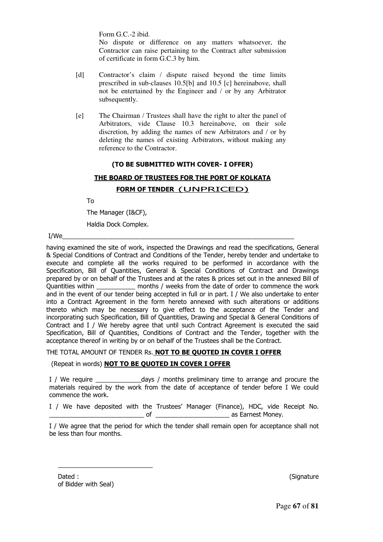Form G.C.-2 ibid.

No dispute or difference on any matters whatsoever, the Contractor can raise pertaining to the Contract after submission of certificate in form G.C.3 by him.

- [d] Contractor's claim / dispute raised beyond the time limits prescribed in sub-clauses 10.5[b] and 10.5 [c] hereinabove, shall not be entertained by the Engineer and / or by any Arbitrator subsequently.
- [e] The Chairman / Trustees shall have the right to alter the panel of Arbitrators, vide Clause 10.3 hereinabove, on their sole discretion, by adding the names of new Arbitrators and / or by deleting the names of existing Arbitrators, without making any reference to the Contractor.

#### **(TO BE SUBMITTED WITH COVER- I OFFER)**

# **THE BOARD OF TRUSTEES FOR THE PORT OF KOLKATA**

#### **FORM OF TENDER** (UNPRICED)

To

The Manager (I&CF),

Haldia Dock Complex.

I/We\_\_\_\_\_\_\_\_\_\_\_\_\_\_\_\_\_\_\_\_\_\_\_\_\_\_\_\_\_\_\_\_\_\_\_\_\_\_\_\_\_\_\_\_\_\_\_\_\_\_\_\_\_\_\_\_\_\_\_\_\_\_\_\_\_\_

having examined the site of work, inspected the Drawings and read the specifications, General & Special Conditions of Contract and Conditions of the Tender, hereby tender and undertake to execute and complete all the works required to be performed in accordance with the Specification, Bill of Quantities, General & Special Conditions of Contract and Drawings prepared by or on behalf of the Trustees and at the rates & prices set out in the annexed Bill of Quantities within \_\_\_\_\_\_\_\_\_\_\_\_\_ months / weeks from the date of order to commence the work and in the event of our tender being accepted in full or in part. I / We also undertake to enter into a Contract Agreement in the form hereto annexed with such alterations or additions thereto which may be necessary to give effect to the acceptance of the Tender and incorporating such Specification, Bill of Quantities, Drawing and Special & General Conditions of Contract and I / We hereby agree that until such Contract Agreement is executed the said Specification, Bill of Quantities, Conditions of Contract and the Tender, together with the acceptance thereof in writing by or on behalf of the Trustees shall be the Contract.

#### THE TOTAL AMOUNT OF TENDER Rs. **NOT TO BE QUOTED IN COVER I OFFER**

#### (Repeat in words) **NOT TO BE QUOTED IN COVER I OFFER**

I / We require The state of the days / months preliminary time to arrange and procure the materials required by the work from the date of acceptance of tender before I We could commence the work.

I / We have deposited with the Trustees' Manager (Finance), HDC, vide Receipt No. of **Example 2** as Earnest Money.

I / We agree that the period for which the tender shall remain open for acceptance shall not be less than four months.

Dated : (Signature ) of Bidder with Seal)

\_\_\_\_\_\_\_\_\_\_\_\_\_\_\_\_\_\_\_\_\_\_\_\_\_\_\_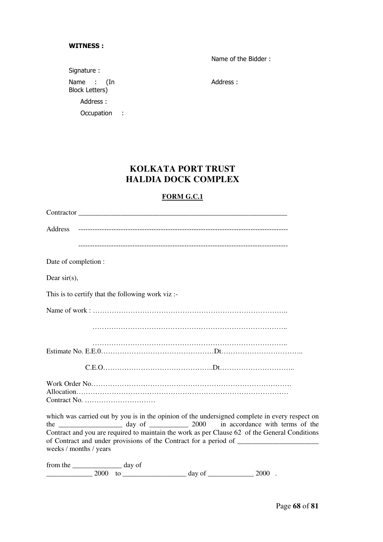#### **WITNESS :**

Name of the Bidder :

Signature : Name : (In Block Letters) Address : Occupation :

Address :

### **KOLKATA PORT TRUST HALDIA DOCK COMPLEX**

### **FORM G.C.1**

| Address                                                                                                                 |
|-------------------------------------------------------------------------------------------------------------------------|
|                                                                                                                         |
| Date of completion :                                                                                                    |
| Dear $sir(s)$ ,                                                                                                         |
| This is to certify that the following work viz:-                                                                        |
|                                                                                                                         |
|                                                                                                                         |
|                                                                                                                         |
|                                                                                                                         |
| Contract No. $\dots \dots \dots \dots \dots \dots \dots \dots \dots$                                                    |
| which was carried out by you is in the opinion of the undersigned complete in every respect on                          |
| Contract and you are required to maintain the work as per Clause 62 of the General Conditions<br>weeks / months / years |
| from the ______________________ day of                                                                                  |

\_\_\_\_\_\_\_\_\_\_\_\_\_ 2000 to \_\_\_\_\_\_\_\_\_\_\_\_\_\_\_\_\_\_ day of \_\_\_\_\_\_\_\_\_\_\_\_\_ 2000 .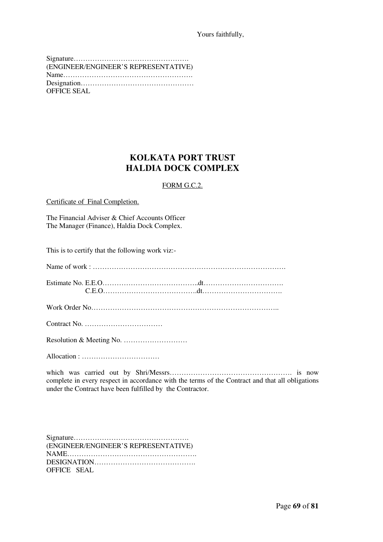Yours faithfully,

| (ENGINEER/ENGINEER'S REPRESENTATIVE) |
|--------------------------------------|
|                                      |
|                                      |
| OFFICE SEAL                          |

# **KOLKATA PORT TRUST HALDIA DOCK COMPLEX**

#### FORM G.C.2.

Certificate of Final Completion.

The Financial Adviser & Chief Accounts Officer The Manager (Finance), Haldia Dock Complex.

This is to certify that the following work viz:-

Name of work : ……………………………………………………………………….

Estimate No. E.E.O…………………………………..dt……………………………. C.E.O………………………………….dt…………………………….

Work Order No……………………………………………………………………..

Contract No. ……………………………

Resolution & Meeting No. ………………………

Allocation : ……………………………

which was carried out by Shri/Messrs……………………………………………. is now complete in every respect in accordance with the terms of the Contract and that all obligations under the Contract have been fulfilled by the Contractor.

| (ENGINEER/ENGINEER'S REPRESENTATIVE) |
|--------------------------------------|
|                                      |
|                                      |
| OFFICE SEAL                          |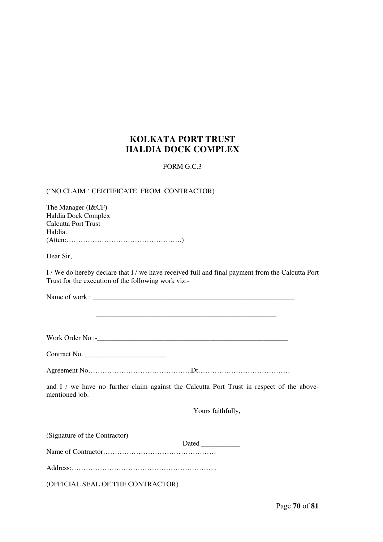# **KOLKATA PORT TRUST HALDIA DOCK COMPLEX**

#### FORM G.C.3

#### ('NO CLAIM ' CERTIFICATE FROM CONTRACTOR)

| The Manager (I&CF)  |
|---------------------|
| Haldia Dock Complex |
| Calcutta Port Trust |
| Haldia.             |
| (Attention 1)       |

Dear Sir,

I / We do hereby declare that I / we have received full and final payment from the Calcutta Port Trust for the execution of the following work viz:-

Name of work : \_\_\_\_\_\_\_\_\_\_\_\_\_\_\_\_\_\_\_\_\_\_\_\_\_\_\_\_\_\_\_\_\_\_\_\_\_\_\_\_\_\_\_\_\_\_\_\_\_\_\_\_\_\_\_\_\_

Work Order No :-\_\_\_\_\_\_\_\_\_\_\_\_\_\_\_\_\_\_\_\_\_\_\_\_\_\_\_\_\_\_\_\_\_\_\_\_\_\_\_\_\_\_\_\_\_\_\_\_\_\_\_\_\_\_

\_\_\_\_\_\_\_\_\_\_\_\_\_\_\_\_\_\_\_\_\_\_\_\_\_\_\_\_\_\_\_\_\_\_\_\_\_\_\_\_\_\_\_\_\_\_\_\_\_\_\_

Agreement No……………………………………..Dt…………………………………

and I / we have no further claim against the Calcutta Port Trust in respect of the abovementioned job.

Yours faithfully,

(Signature of the Contractor)

 Dated \_\_\_\_\_\_\_\_\_\_\_ Name of Contractor…………………………………………

Address:……………………………………………………..

(OFFICIAL SEAL OF THE CONTRACTOR)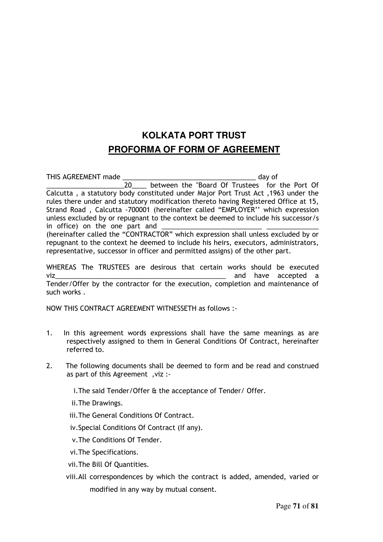# **KOLKATA PORT TRUST PROFORMA OF FORM OF AGREEMENT**

THIS AGREEMENT made \_\_\_\_\_\_\_\_\_\_\_\_\_\_\_\_\_\_\_\_\_\_\_\_\_\_\_\_\_\_\_\_\_\_\_\_ day of \_\_\_\_\_\_\_\_\_\_\_\_\_\_\_\_\_\_\_\_\_20\_\_\_\_ between the "Board Of Trustees for the Port Of Calcutta , a statutory body constituted under Major Port Trust Act ,1963 under the rules there under and statutory modification thereto having Registered Office at 15, Strand Road , Calcutta -700001 (hereinafter called "EMPLOYER'' which expression unless excluded by or repugnant to the context be deemed to include his successor/s in office) on the one part and

(hereinafter called the "CONTRACTOR" which expression shall unless excluded by or repugnant to the context he deemed to include his heirs, executors, administrators, representative, successor in officer and permitted assigns) of the other part.

WHEREAS The TRUSTEES are desirous that certain works should be executed viz with the set of the set of the set of the set of the set of the set of the set of the set of the set of the set of the set of the set of the set of the set of the set of the set of the set of the set of the set of the Tender/Offer by the contractor for the execution, completion and maintenance of such works .

NOW THIS CONTRACT AGREEMENT WITNESSETH as follows :-

- 1. In this agreement words expressions shall have the same meanings as are respectively assigned to them in General Conditions Of Contract, hereinafter referred to.
- 2. The following documents shall be deemed to form and be read and construed as part of this Agreement ,viz :-

i.The said Tender/Offer & the acceptance of Tender/ Offer.

ii.The Drawings.

- iii.The General Conditions Of Contract.
- iv.Special Conditions Of Contract (If any).
- v.The Conditions Of Tender.
- vi.The Specifications.
- vii.The Bill Of Quantities.
- viii.All correspondences by which the contract is added, amended, varied or modified in any way by mutual consent.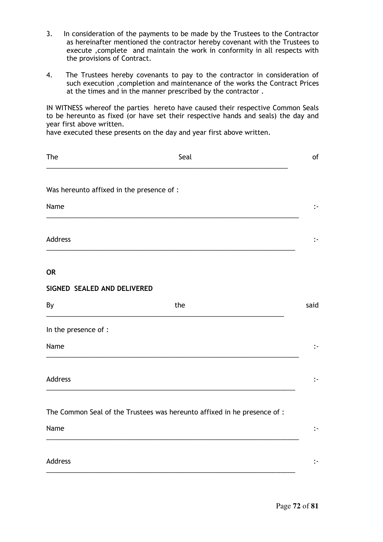- 3. In consideration of the payments to be made by the Trustees to the Contractor as hereinafter mentioned the contractor hereby covenant with the Trustees to execute ,complete and maintain the work in conformity in all respects with the provisions of Contract.
- 4. The Trustees hereby covenants to pay to the contractor in consideration of such execution ,completion and maintenance of the works the Contract Prices at the times and in the manner prescribed by the contractor .

IN WITNESS whereof the parties hereto have caused their respective Common Seals to be hereunto as fixed (or have set their respective hands and seals) the day and year first above written.

have executed these presents on the day and year first above written.

| The                                       | Seal                                                                     | of                   |
|-------------------------------------------|--------------------------------------------------------------------------|----------------------|
| Was hereunto affixed in the presence of : |                                                                          |                      |
| Name                                      |                                                                          | $\ddot{\phantom{1}}$ |
| Address                                   |                                                                          | $\mathbf{L}$         |
| <b>OR</b>                                 |                                                                          |                      |
| SIGNED SEALED AND DELIVERED               |                                                                          |                      |
| By                                        | the                                                                      | said                 |
| In the presence of :                      |                                                                          |                      |
| Name                                      |                                                                          | $\ddot{\phantom{1}}$ |
| Address                                   |                                                                          | $\mathbf{L}$         |
|                                           | The Common Seal of the Trustees was hereunto affixed in he presence of : |                      |
| Name                                      |                                                                          | $\ddot{\phantom{1}}$ |
| Address                                   |                                                                          | $\mathbf{L}$         |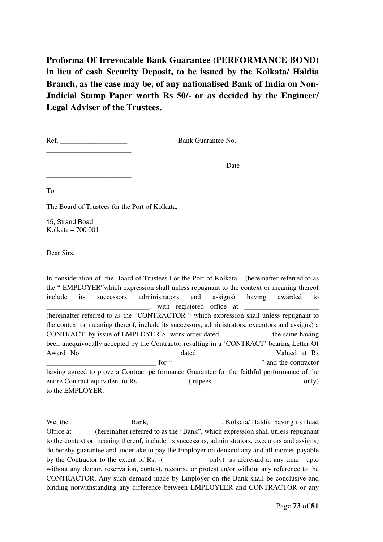**Proforma Of Irrevocable Bank Guarantee (PERFORMANCE BOND) in lieu of cash Security Deposit, to be issued by the Kolkata/ Haldia Branch, as the case may be, of any nationalised Bank of India on Non-Judicial Stamp Paper worth Rs 50/- or as decided by the Engineer/ Legal Adviser of the Trustees.** 

Ref. Bank Guarantee No.

\_\_\_\_\_\_\_\_\_\_\_\_\_\_\_\_\_\_\_\_\_\_\_\_

\_\_\_\_\_\_\_\_\_\_\_\_\_\_\_\_\_\_\_\_\_\_\_\_

**Date** 

To

The Board of Trustees for the Port of Kolkata,

15, Strand Road Kolkata – 700 001

Dear Sirs,

In consideration of the Board of Trustees For the Port of Kolkata, - (hereinafter referred to as the " EMPLOYER"which expression shall unless repugnant to the context or meaning thereof include its successors administrators and assigns) having awarded to \_\_\_\_\_\_\_\_\_\_\_\_\_\_\_\_\_\_\_\_\_\_\_\_\_\_\_\_\_, with registered office at \_\_\_\_\_\_\_\_\_\_\_\_\_\_\_\_\_\_\_\_\_ (hereinafter referred to as the "CONTRACTOR " which expression shall unless repugnant to the context or meaning thereof, include its successors, administrators, executors and assigns) a CONTRACT by issue of EMPLOYER'S work order dated \_\_\_\_\_\_\_\_\_\_\_\_\_\_ the same having been unequivocally accepted by the Contractor resulting in a 'CONTRACT' bearing Letter Of Award No \_\_\_\_\_\_\_\_\_\_\_\_\_\_\_\_\_\_\_\_\_\_\_\_\_\_ dated \_\_\_\_\_\_\_\_\_\_\_\_\_\_\_\_\_\_\_\_ Valued at Rs for "  $\ldots$  " and the contractor" having agreed to prove a Contract performance Guarantee for the faithful performance of the entire Contract equivalent to Rs. ( rupees only) to the EMPLOYER.

We, the Bank, Bank, Bank, Kolkata/ Haldia having its Head Office at (hereinafter referred to as the "Bank", which expression shall unless repugnant to the context or meaning thereof, include its successors, administrators, executors and assigns) do hereby guarantee and undertake to pay the Employer on demand any and all monies payable by the Contractor to the extent of Rs. -( only) as aforesaid at any time upto without any demur, reservation, contest, recourse or protest an/or without any reference to the CONTRACTOR, Any such demand made by Employer on the Bank shall be conclusive and binding notwithstanding any difference between EMPLOYEER and CONTRACTOR or any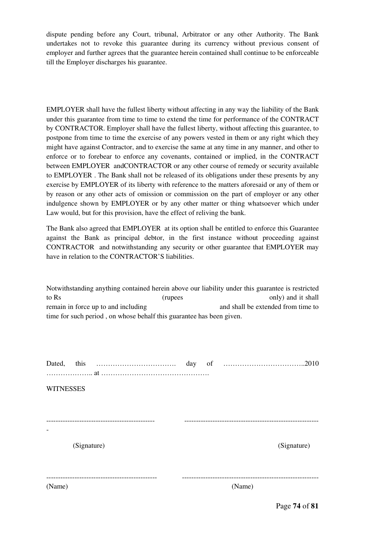dispute pending before any Court, tribunal, Arbitrator or any other Authority. The Bank undertakes not to revoke this guarantee during its currency without previous consent of employer and further agrees that the guarantee herein contained shall continue to be enforceable till the Employer discharges his guarantee.

EMPLOYER shall have the fullest liberty without affecting in any way the liability of the Bank under this guarantee from time to time to extend the time for performance of the CONTRACT by CONTRACTOR. Employer shall have the fullest liberty, without affecting this guarantee, to postpone from time to time the exercise of any powers vested in them or any right which they might have against Contractor, and to exercise the same at any time in any manner, and other to enforce or to forebear to enforce any covenants, contained or implied, in the CONTRACT between EMPLOYER andCONTRACTOR or any other course of remedy or security available to EMPLOYER . The Bank shall not be released of its obligations under these presents by any exercise by EMPLOYER of its liberty with reference to the matters aforesaid or any of them or by reason or any other acts of omission or commission on the part of employer or any other indulgence shown by EMPLOYER or by any other matter or thing whatsoever which under Law would, but for this provision, have the effect of reliving the bank.

The Bank also agreed that EMPLOYER at its option shall be entitled to enforce this Guarantee against the Bank as principal debtor, in the first instance without proceeding against CONTRACTOR and notwithstanding any security or other guarantee that EMPLOYER may have in relation to the CONTRACTOR'S liabilities.

Notwithstanding anything contained herein above our liability under this guarantee is restricted to Rs (rupees only) and it shall remain in force up to and including and shall be extended from time to time for such period , on whose behalf this guarantee has been given.

Dated, this ……………………………. day of ……………………………..2010 ……………….. at ………………………………………. **WITNESSES** ---------------------------------------------- --------------------------------------------------------- - (Signature) (Signature) ----------------------------------------------- ---------------------------------------------------------- (Name) (Name)

Page **74** of **81**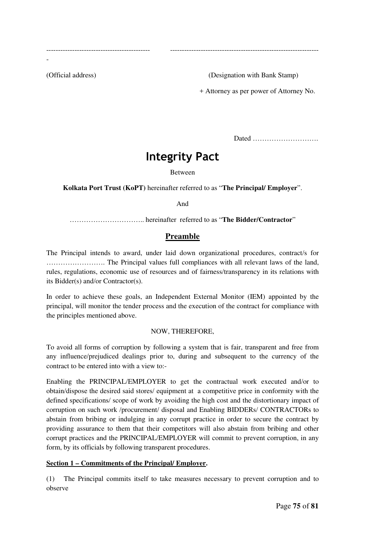-

(Official address) (Designation with Bank Stamp)

+ Attorney as per power of Attorney No.

Dated ……………………….

# **Integrity Pact**

-------------------------------------------- ---------------------------------------------------------------

#### Between

**Kolkata Port Trust (KoPT)** hereinafter referred to as "**The Principal/ Employer**".

And

………………………….. hereinafter referred to as "**The Bidder/Contractor**"

## **Preamble**

The Principal intends to award, under laid down organizational procedures, contract/s for ……………………. The Principal values full compliances with all relevant laws of the land, rules, regulations, economic use of resources and of fairness/transparency in its relations with its Bidder(s) and/or Contractor(s).

In order to achieve these goals, an Independent External Monitor (IEM) appointed by the principal, will monitor the tender process and the execution of the contract for compliance with the principles mentioned above.

## NOW, THEREFORE,

To avoid all forms of corruption by following a system that is fair, transparent and free from any influence/prejudiced dealings prior to, during and subsequent to the currency of the contract to be entered into with a view to:-

Enabling the PRINCIPAL/EMPLOYER to get the contractual work executed and/or to obtain/dispose the desired said stores/ equipment at a competitive price in conformity with the defined specifications/ scope of work by avoiding the high cost and the distortionary impact of corruption on such work /procurement/ disposal and Enabling BIDDERs/ CONTRACTORs to abstain from bribing or indulging in any corrupt practice in order to secure the contract by providing assurance to them that their competitors will also abstain from bribing and other corrupt practices and the PRINCIPAL/EMPLOYER will commit to prevent corruption, in any form, by its officials by following transparent procedures.

#### **Section 1 – Commitments of the Principal/ Employer.**

(1) The Principal commits itself to take measures necessary to prevent corruption and to observe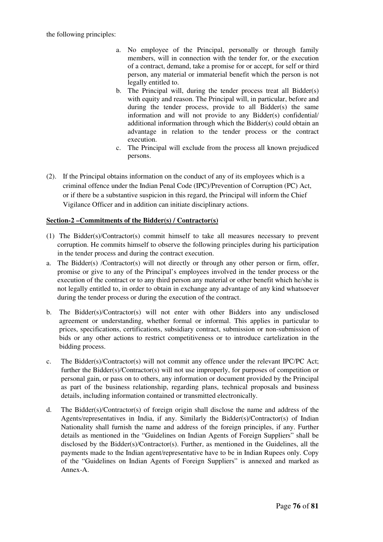the following principles:

- a. No employee of the Principal, personally or through family members, will in connection with the tender for, or the execution of a contract, demand, take a promise for or accept, for self or third person, any material or immaterial benefit which the person is not legally entitled to.
- b. The Principal will, during the tender process treat all Bidder(s) with equity and reason. The Principal will, in particular, before and during the tender process, provide to all Bidder(s) the same information and will not provide to any Bidder(s) confidential/ additional information through which the Bidder(s) could obtain an advantage in relation to the tender process or the contract execution.
- c. The Principal will exclude from the process all known prejudiced persons.
- (2). If the Principal obtains information on the conduct of any of its employees which is a criminal offence under the Indian Penal Code (IPC)/Prevention of Corruption (PC) Act, or if there be a substantive suspicion in this regard, the Principal will inform the Chief Vigilance Officer and in addition can initiate disciplinary actions.

## **Section-2 –Commitments of the Bidder(s) / Contractor(s)**

- (1) The Bidder(s)/Contractor(s) commit himself to take all measures necessary to prevent corruption. He commits himself to observe the following principles during his participation in the tender process and during the contract execution.
- a. The Bidder(s) /Contractor(s) will not directly or through any other person or firm, offer, promise or give to any of the Principal's employees involved in the tender process or the execution of the contract or to any third person any material or other benefit which he/she is not legally entitled to, in order to obtain in exchange any advantage of any kind whatsoever during the tender process or during the execution of the contract.
- b. The Bidder(s)/Contractor(s) will not enter with other Bidders into any undisclosed agreement or understanding, whether formal or informal. This applies in particular to prices, specifications, certifications, subsidiary contract, submission or non-submission of bids or any other actions to restrict competitiveness or to introduce cartelization in the bidding process.
- c. The Bidder(s)/Contractor(s) will not commit any offence under the relevant IPC/PC Act; further the Bidder(s)/Contractor(s) will not use improperly, for purposes of competition or personal gain, or pass on to others, any information or document provided by the Principal as part of the business relationship, regarding plans, technical proposals and business details, including information contained or transmitted electronically.
- d. The Bidder(s)/Contractor(s) of foreign origin shall disclose the name and address of the Agents/representatives in India, if any. Similarly the Bidder(s)/Contractor(s) of Indian Nationality shall furnish the name and address of the foreign principles, if any. Further details as mentioned in the "Guidelines on Indian Agents of Foreign Suppliers" shall be disclosed by the Bidder(s)/Contractor(s). Further, as mentioned in the Guidelines, all the payments made to the Indian agent/representative have to be in Indian Rupees only. Copy of the "Guidelines on Indian Agents of Foreign Suppliers" is annexed and marked as Annex-A.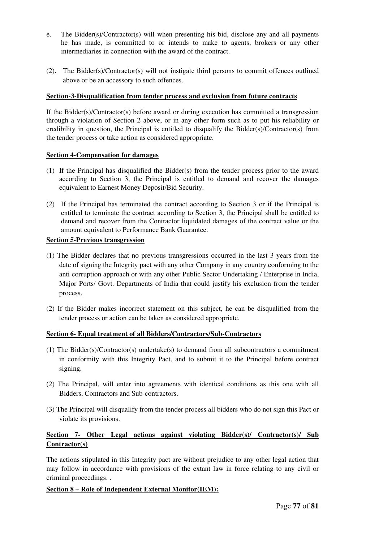- e. The Bidder(s)/Contractor(s) will when presenting his bid, disclose any and all payments he has made, is committed to or intends to make to agents, brokers or any other intermediaries in connection with the award of the contract.
- (2). The Bidder(s)/Contractor(s) will not instigate third persons to commit offences outlined above or be an accessory to such offences.

#### **Section-3-Disqualification from tender process and exclusion from future contracts**

If the Bidder(s)/Contractor(s) before award or during execution has committed a transgression through a violation of Section 2 above, or in any other form such as to put his reliability or credibility in question, the Principal is entitled to disqualify the Bidder(s)/Contractor(s) from the tender process or take action as considered appropriate.

#### **Section 4-Compensation for damages**

- (1) If the Principal has disqualified the Bidder(s) from the tender process prior to the award according to Section 3, the Principal is entitled to demand and recover the damages equivalent to Earnest Money Deposit/Bid Security.
- (2) If the Principal has terminated the contract according to Section 3 or if the Principal is entitled to terminate the contract according to Section 3, the Principal shall be entitled to demand and recover from the Contractor liquidated damages of the contract value or the amount equivalent to Performance Bank Guarantee.

#### **Section 5-Previous transgression**

- (1) The Bidder declares that no previous transgressions occurred in the last 3 years from the date of signing the Integrity pact with any other Company in any country conforming to the anti corruption approach or with any other Public Sector Undertaking / Enterprise in India, Major Ports/ Govt. Departments of India that could justify his exclusion from the tender process.
- (2) If the Bidder makes incorrect statement on this subject, he can be disqualified from the tender process or action can be taken as considered appropriate.

## **Section 6- Equal treatment of all Bidders/Contractors/Sub-Contractors**

- (1) The Bidder(s)/Contractor(s) undertake(s) to demand from all subcontractors a commitment in conformity with this Integrity Pact, and to submit it to the Principal before contract signing.
- (2) The Principal, will enter into agreements with identical conditions as this one with all Bidders, Contractors and Sub-contractors.
- (3) The Principal will disqualify from the tender process all bidders who do not sign this Pact or violate its provisions.

## **Section 7- Other Legal actions against violating Bidder(s)/ Contractor(s)/ Sub Contractor(s)**

The actions stipulated in this Integrity pact are without prejudice to any other legal action that may follow in accordance with provisions of the extant law in force relating to any civil or criminal proceedings. .

## **Section 8 – Role of Independent External Monitor(IEM):**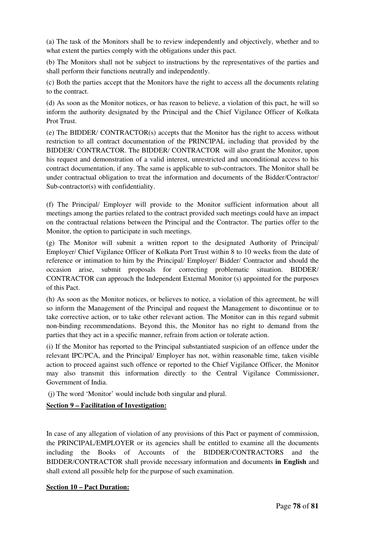(a) The task of the Monitors shall be to review independently and objectively, whether and to what extent the parties comply with the obligations under this pact.

(b) The Monitors shall not be subject to instructions by the representatives of the parties and shall perform their functions neutrally and independently.

(c) Both the parties accept that the Monitors have the right to access all the documents relating to the contract.

(d) As soon as the Monitor notices, or has reason to believe, a violation of this pact, he will so inform the authority designated by the Principal and the Chief Vigilance Officer of Kolkata Prot Trust.

(e) The BIDDER/ CONTRACTOR(s) accepts that the Monitor has the right to access without restriction to all contract documentation of the PRINCIPAL including that provided by the BIDDER/ CONTRACTOR. The BIDDER/ CONTRACTOR will also grant the Monitor, upon his request and demonstration of a valid interest, unrestricted and unconditional access to his contract documentation, if any. The same is applicable to sub-contractors. The Monitor shall be under contractual obligation to treat the information and documents of the Bidder/Contractor/ Sub-contractor(s) with confidentiality.

(f) The Principal/ Employer will provide to the Monitor sufficient information about all meetings among the parties related to the contract provided such meetings could have an impact on the contractual relations between the Principal and the Contractor. The parties offer to the Monitor, the option to participate in such meetings.

(g) The Monitor will submit a written report to the designated Authority of Principal/ Employer/ Chief Vigilance Officer of Kolkata Port Trust within 8 to 10 weeks from the date of reference or intimation to him by the Principal/ Employer/ Bidder/ Contractor and should the occasion arise, submit proposals for correcting problematic situation. BIDDER/ CONTRACTOR can approach the Independent External Monitor (s) appointed for the purposes of this Pact.

(h) As soon as the Monitor notices, or believes to notice, a violation of this agreement, he will so inform the Management of the Principal and request the Management to discontinue or to take corrective action, or to take other relevant action. The Monitor can in this regard submit non-binding recommendations. Beyond this, the Monitor has no right to demand from the parties that they act in a specific manner, refrain from action or tolerate action.

(i) If the Monitor has reported to the Principal substantiated suspicion of an offence under the relevant IPC/PCA, and the Principal/ Employer has not, within reasonable time, taken visible action to proceed against such offence or reported to the Chief Vigilance Officer, the Monitor may also transmit this information directly to the Central Vigilance Commissioner, Government of India.

(j) The word 'Monitor' would include both singular and plural.

## **Section 9 – Facilitation of Investigation:**

In case of any allegation of violation of any provisions of this Pact or payment of commission, the PRINCIPAL/EMPLOYER or its agencies shall be entitled to examine all the documents including the Books of Accounts of the BIDDER/CONTRACTORS and the BIDDER/CONTRACTOR shall provide necessary information and documents **in English** and shall extend all possible help for the purpose of such examination.

## **Section 10 – Pact Duration:**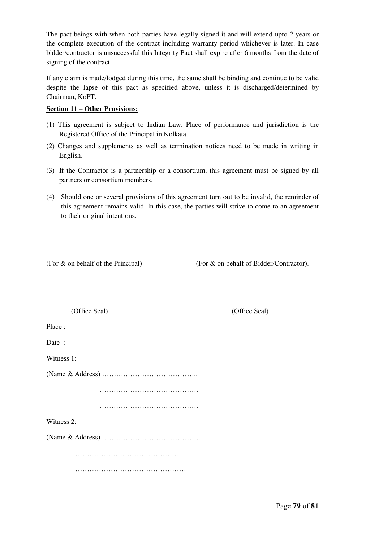The pact beings with when both parties have legally signed it and will extend upto 2 years or the complete execution of the contract including warranty period whichever is later. In case bidder/contractor is unsuccessful this Integrity Pact shall expire after 6 months from the date of signing of the contract.

If any claim is made/lodged during this time, the same shall be binding and continue to be valid despite the lapse of this pact as specified above, unless it is discharged/determined by Chairman, KoPT.

#### **Section 11 – Other Provisions:**

- (1) This agreement is subject to Indian Law. Place of performance and jurisdiction is the Registered Office of the Principal in Kolkata.
- (2) Changes and supplements as well as termination notices need to be made in writing in English.
- (3) If the Contractor is a partnership or a consortium, this agreement must be signed by all partners or consortium members.
- (4) Should one or several provisions of this agreement turn out to be invalid, the reminder of this agreement remains valid. In this case, the parties will strive to come to an agreement to their original intentions.

\_\_\_\_\_\_\_\_\_\_\_\_\_\_\_\_\_\_\_\_\_\_\_\_\_\_\_\_\_\_\_\_\_ \_\_\_\_\_\_\_\_\_\_\_\_\_\_\_\_\_\_\_\_\_\_\_\_\_\_\_\_\_\_\_\_\_\_\_

(For & on behalf of the Principal) (For & on behalf of Bidder/Contractor).

| (Office Seal) | (Office Seal) |
|---------------|---------------|

Place :

Date:

Witness 1:

(Name & Address) …………………………………..

……………………………………

……………………………………………

Witness 2:

(Name & Address) ……………………………………

………………………………………

…………………………………………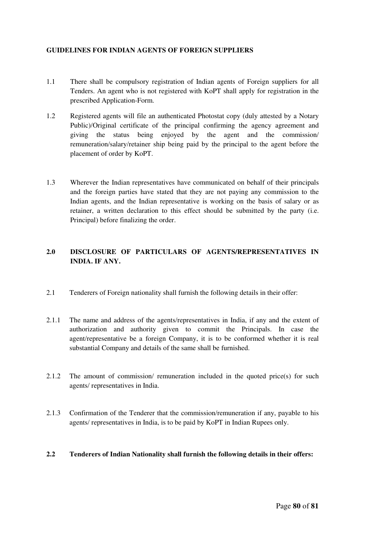#### **GUIDELINES FOR INDIAN AGENTS OF FOREIGN SUPPLIERS**

- 1.1 There shall be compulsory registration of Indian agents of Foreign suppliers for all Tenders. An agent who is not registered with KoPT shall apply for registration in the prescribed Application-Form.
- 1.2 Registered agents will file an authenticated Photostat copy (duly attested by a Notary Public)/Original certificate of the principal confirming the agency agreement and giving the status being enjoyed by the agent and the commission/ remuneration/salary/retainer ship being paid by the principal to the agent before the placement of order by KoPT.
- 1.3 Wherever the Indian representatives have communicated on behalf of their principals and the foreign parties have stated that they are not paying any commission to the Indian agents, and the Indian representative is working on the basis of salary or as retainer, a written declaration to this effect should be submitted by the party (i.e. Principal) before finalizing the order.

## **2.0 DISCLOSURE OF PARTICULARS OF AGENTS/REPRESENTATIVES IN INDIA. IF ANY.**

- 2.1 Tenderers of Foreign nationality shall furnish the following details in their offer:
- 2.1.1 The name and address of the agents/representatives in India, if any and the extent of authorization and authority given to commit the Principals. In case the agent/representative be a foreign Company, it is to be conformed whether it is real substantial Company and details of the same shall be furnished.
- 2.1.2 The amount of commission/ remuneration included in the quoted price(s) for such agents/ representatives in India.
- 2.1.3 Confirmation of the Tenderer that the commission/remuneration if any, payable to his agents/ representatives in India, is to be paid by KoPT in Indian Rupees only.

#### **2.2 Tenderers of Indian Nationality shall furnish the following details in their offers:**